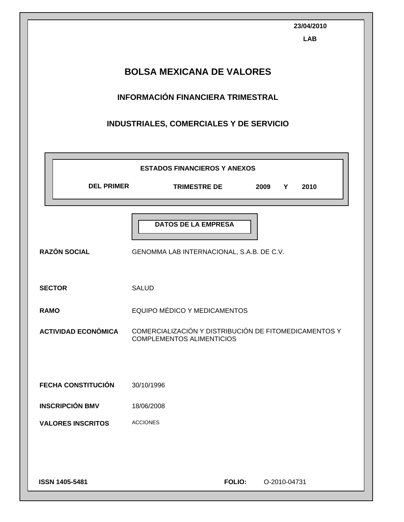|                                           | 23/04/2010<br><b>LAB</b>                                                              |  |  |  |  |
|-------------------------------------------|---------------------------------------------------------------------------------------|--|--|--|--|
| <b>BOLSA MEXICANA DE VALORES</b>          |                                                                                       |  |  |  |  |
|                                           | <b>INFORMACIÓN FINANCIERA TRIMESTRAL</b>                                              |  |  |  |  |
|                                           | INDUSTRIALES, COMERCIALES Y DE SERVICIO                                               |  |  |  |  |
|                                           | <b>ESTADOS FINANCIEROS Y ANEXOS</b>                                                   |  |  |  |  |
| <b>DEL PRIMER</b>                         | <b>TRIMESTRE DE</b><br>2009<br>Y<br>2010                                              |  |  |  |  |
| <b>RAZÓN SOCIAL</b>                       | <b>DATOS DE LA EMPRESA</b><br>GENOMMA LAB INTERNACIONAL, S.A.B. DE C.V.               |  |  |  |  |
| <b>SECTOR</b>                             | <b>SALUD</b>                                                                          |  |  |  |  |
| <b>RAMO</b><br><b>ACTIVIDAD ECONÓMICA</b> | EQUIPO MÉDICO Y MEDICAMENTOS<br>COMERCIALIZACIÓN Y DISTRIBUCIÓN DE FITOMEDICAMENTOS Y |  |  |  |  |
|                                           | <b>COMPLEMENTOS ALIMENTICIOS</b>                                                      |  |  |  |  |
| <b>FECHA CONSTITUCIÓN</b>                 | 30/10/1996                                                                            |  |  |  |  |
| <b>INSCRIPCIÓN BMV</b>                    | 18/06/2008                                                                            |  |  |  |  |
| <b>VALORES INSCRITOS</b>                  | <b>ACCIONES</b>                                                                       |  |  |  |  |
|                                           |                                                                                       |  |  |  |  |
| ISSN 1405-5481                            | <b>FOLIO:</b><br>O-2010-04731                                                         |  |  |  |  |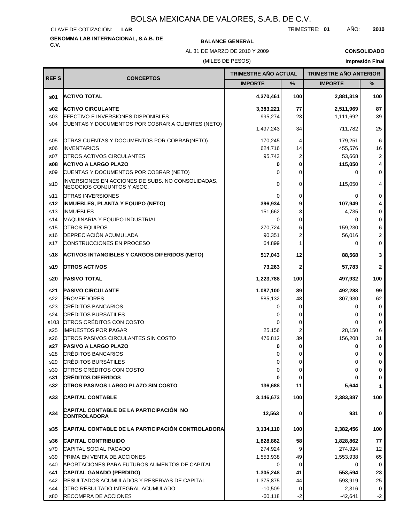CLAVE DE COTIZACIÓN: **LAB**

## **GENOMMA LAB INTERNACIONAL, S.A.B. DE C.V. BALANCE GENERAL**

AL 31 DE MARZO DE 2010 Y 2009

**CONSOLIDADO**

#### (MILES DE PESOS)

| <b>REFS</b>     | <b>CONCEPTOS</b>                                                                | <b>TRIMESTRE AÑO ACTUAL</b> |                | <b>TRIMESTRE AÑO ANTERIOR</b> |                         |
|-----------------|---------------------------------------------------------------------------------|-----------------------------|----------------|-------------------------------|-------------------------|
|                 |                                                                                 | <b>IMPORTE</b>              | $\%$           | <b>IMPORTE</b>                | $\%$                    |
| \$01            | <b>ACTIVO TOTAL</b>                                                             | 4,370,461                   | 100            | 2,881,319                     | 100                     |
| \$02            | <b>ACTIVO CIRCULANTE</b>                                                        | 3,383,221                   | 77             | 2,511,969                     | 87                      |
| \$03            | <b>EFECTIVO E INVERSIONES DISPONIBLES</b>                                       | 995,274                     | 23             | 1,111,692                     | 39                      |
| s04             | CUENTAS Y DOCUMENTOS POR COBRAR A CLIENTES (NETO)                               | 1,497,243                   | 34             | 711,782                       | 25                      |
| \$05            | OTRAS CUENTAS Y DOCUMENTOS POR COBRAR(NETO)                                     | 170,245                     | 4              | 179,251                       | 6                       |
| \$06            | <b>INVENTARIOS</b>                                                              | 624,716                     | 14             | 455,576                       | 16                      |
| S <sub>07</sub> | <b>OTROS ACTIVOS CIRCULANTES</b>                                                | 95,743                      | $\overline{2}$ | 53,668                        | 2                       |
| \$08            | <b>ACTIVO A LARGO PLAZO</b>                                                     | 0                           | 0              | 115,050                       | 4                       |
| \$09            | CUENTAS Y DOCUMENTOS POR COBRAR (NETO)                                          | 0                           | $\mathbf 0$    | $\Omega$                      | 0                       |
| s10             | INVERSIONES EN ACCIONES DE SUBS. NO CONSOLIDADAS,<br>NEGOCIOS CONJUNTOS Y ASOC. | 0                           | 0              | 115,050                       | 4                       |
| s11             | OTRAS INVERSIONES                                                               | 0                           | 0              | 0                             | 0                       |
| s12             | <b>INMUEBLES, PLANTA Y EQUIPO (NETO)</b>                                        | 396,934                     | 9              | 107,949                       | 4                       |
| s <sub>13</sub> | <b>INMUEBLES</b>                                                                | 151,662                     | 3              | 4,735                         | 0                       |
| s14             | <b>MAQUINARIA Y EQUIPO INDUSTRIAL</b>                                           | 0                           | 0              | 0                             | 0                       |
| s15             | <b>OTROS EQUIPOS</b>                                                            | 270,724                     | 6              | 159,230                       | 6                       |
| s16             | DEPRECIACIÓN ACUMULADA                                                          | 90,351                      | 2              | 56,016                        | $\overline{\mathbf{c}}$ |
| s17             | <b>CONSTRUCCIONES EN PROCESO</b>                                                | 64,899                      | 1              | $\Omega$                      | 0                       |
| s18             | <b>ACTIVOS INTANGIBLES Y CARGOS DIFERIDOS (NETO)</b>                            | 517,043                     | 12             | 88,568                        | 3                       |
| s19             | <b>OTROS ACTIVOS</b>                                                            | 73,263                      | $\mathbf 2$    | 57,783                        | $\mathbf{2}$            |
| s20             | <b>PASIVO TOTAL</b>                                                             | 1,223,788                   | 100            | 497,932                       | 100                     |
| s21             | <b>PASIVO CIRCULANTE</b>                                                        | 1,087,100                   | 89             | 492,288                       | 99                      |
| s22             | <b>PROVEEDORES</b>                                                              | 585,132                     | 48             | 307,930                       | 62                      |
| s23             | <b>CRÉDITOS BANCARIOS</b>                                                       | 0                           | 0              | 0                             | 0                       |
| s24             | <b>CRÉDITOS BURSÁTILES</b>                                                      |                             | 0              | 0                             | 0                       |
| s103            | OTROS CRÉDITOS CON COSTO                                                        | 0                           | 0              | 0                             | 0                       |
| s25             | <b>IMPUESTOS POR PAGAR</b>                                                      | 25,156                      | 2              | 28,150                        | 6                       |
| s26             | <b>OTROS PASIVOS CIRCULANTES SIN COSTO</b>                                      | 476,812                     | 39             | 156,208                       | 31                      |
| s27             | <b>PASIVO A LARGO PLAZO</b>                                                     | 0                           | 0              | 0                             | 0                       |
| s28             | <b>CRÉDITOS BANCARIOS</b>                                                       |                             | 0              |                               | 0                       |
| s29             | <b>CRÉDITOS BURSÁTILES</b>                                                      | 0                           | $\overline{0}$ | 0                             | 0                       |
| s30             | OTROS CRÉDITOS CON COSTO                                                        | $\overline{0}$              | 0              | 0                             | $\mathbf 0$             |
| s31             | <b>CRÉDITOS DIFERIDOS</b>                                                       |                             | 0              | 0                             | 0                       |
| s32             | <b>OTROS PASIVOS LARGO PLAZO SIN COSTO</b>                                      | 136,688                     | 11             | 5,644                         | 1                       |
| s33             | <b>CAPITAL CONTABLE</b>                                                         | 3,146,673                   | 100            | 2,383,387                     | 100                     |
| s34             | CAPITAL CONTABLE DE LA PARTICIPACIÓN NO<br>CONTROLADORA                         | 12,563                      | 0              | 931                           | 0                       |
| s35             | CAPITAL CONTABLE DE LA PARTICIPACIÓN CONTROLADORA                               | 3,134,110                   | 100            | 2,382,456                     | 100                     |
| s36             | <b>CAPITAL CONTRIBUIDO</b>                                                      | 1,828,862                   | 58             | 1,828,862                     | 77                      |
| s79             | CAPITAL SOCIAL PAGADO                                                           | 274,924                     | 9              | 274,924                       | 12                      |
| s39             | <b>PRIMA EN VENTA DE ACCIONES</b>                                               | 1,553,938                   | 49             | 1,553,938                     | 65                      |
| s40             | APORTACIONES PARA FUTUROS AUMENTOS DE CAPITAL                                   | 0                           | 0              | 0                             | 0                       |
| s41             | CAPITAL GANADO (PERDIDO)                                                        | 1,305,248                   | 41             | 553,594                       | 23                      |
| s42             | <b>RESULTADOS ACUMULADOS Y RESERVAS DE CAPITAL</b>                              | 1,375,875                   | 44             | 593,919                       | 25                      |
| s44             | OTRO RESULTADO INTEGRAL ACUMULADO                                               | $-10,509$                   | 0              | 2,316                         | $\mathbf 0$             |
| s80             | RECOMPRA DE ACCIONES                                                            | $-60,118$                   | $-2$           | $-42,641$                     | $-2$                    |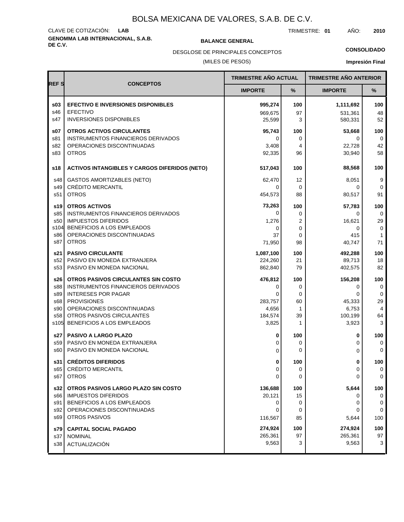## **GENOMMA LAB INTERNACIONAL, S.A.B. DE C.V. BALANCE GENERAL** CLAVE DE COTIZACIÓN: **LAB**

TRIMESTRE: **01** AÑO: **2010**

**CONSOLIDADO**

(MILES DE PESOS) DESGLOSE DE PRINCIPALES CONCEPTOS

|             |                                                      | <b>TRIMESTRE AÑO ACTUAL</b> |     | <b>TRIMESTRE AÑO ANTERIOR</b> |                |
|-------------|------------------------------------------------------|-----------------------------|-----|-------------------------------|----------------|
| <b>REFS</b> | <b>CONCEPTOS</b>                                     | <b>IMPORTE</b>              | %   | <b>IMPORTE</b>                | %              |
| \$03        | <b>EFECTIVO E INVERSIONES DISPONIBLES</b>            | 995,274                     | 100 | 1,111,692                     | 100            |
| s46         | <b>EFECTIVO</b>                                      | 969,675                     | 97  | 531,361                       | 48             |
| s47         | <b>INVERSIONES DISPONIBLES</b>                       | 25,599                      | 3   | 580,331                       | 52             |
| s07         | <b>OTROS ACTIVOS CIRCULANTES</b>                     | 95,743                      | 100 | 53,668                        | 100            |
| s81         | INSTRUMENTOS FINANCIEROS DERIVADOS                   | 0                           | 0   | 0                             | 0              |
| s82         | OPERACIONES DISCONTINUADAS                           | 3,408                       | 4   | 22,728                        | 42             |
| s83         | <b>OTROS</b>                                         | 92,335                      | 96  | 30,940                        | 58             |
| s18         | <b>ACTIVOS INTANGIBLES Y CARGOS DIFERIDOS (NETO)</b> | 517,043                     | 100 | 88,568                        | 100            |
| s48         | <b>GASTOS AMORTIZABLES (NETO)</b>                    | 62,470                      | 12  | 8,051                         | 9              |
| s49         | <b>CRÉDITO MERCANTIL</b>                             | 0                           | 0   | 0                             | $\mathbf 0$    |
| s51         | <b>OTROS</b>                                         | 454,573                     | 88  | 80,517                        | 91             |
| s19         | <b>OTROS ACTIVOS</b>                                 | 73,263                      | 100 | 57,783                        | 100            |
| s85         | INSTRUMENTOS FINANCIEROS DERIVADOS                   | 0                           | 0   | 0                             | 0              |
| s50         | <b>IMPUESTOS DIFERIDOS</b>                           | 1,276                       | 2   | 16,621                        | 29             |
| s104        | BENEFICIOS A LOS EMPLEADOS                           | 0                           | 0   | 0                             | $\mathbf 0$    |
| s86         | OPERACIONES DISCONTINUADAS                           | 37                          | 0   | 415                           | $\mathbf{1}$   |
| s87         | <b>OTROS</b>                                         | 71,950                      | 98  | 40.747                        | 71             |
| s21         | <b>PASIVO CIRCULANTE</b>                             | 1,087,100                   | 100 | 492,288                       | 100            |
| s52         | PASIVO EN MONEDA EXTRANJERA                          | 224,260                     | 21  | 89,713                        | 18             |
| s53         | PASIVO EN MONEDA NACIONAL                            | 862,840                     | 79  | 402,575                       | 82             |
| s26         | OTROS PASIVOS CIRCULANTES SIN COSTO                  | 476,812                     | 100 | 156,208                       | 100            |
| s88         | INSTRUMENTOS FINANCIEROS DERIVADOS                   | 0                           | 0   | 0                             | 0              |
| s89         | <b>INTERESES POR PAGAR</b>                           | $\Omega$                    | 0   | 0                             | 0              |
| s68         | <b>PROVISIONES</b>                                   | 283,757                     | 60  | 45,333                        | 29             |
| s90         | OPERACIONES DISCONTINUADAS                           | 4,656                       | 1   | 6,753                         | $\overline{4}$ |
| s58         | OTROS PASIVOS CIRCULANTES                            | 184,574                     | 39  | 100,199                       | 64             |
| s105        | BENEFICIOS A LOS EMPLEADOS                           | 3,825                       | 1   | 3,923                         | 3              |
| s27         | <b>PASIVO A LARGO PLAZO</b>                          | 0                           | 100 | 0                             | 100            |
| s59         | PASIVO EN MONEDA EXTRANJERA                          | 0                           | 0   | 0                             | $\mathbf 0$    |
| s60         | PASIVO EN MONEDA NACIONAL                            | 0                           | 0   | 0                             | $\mathbf 0$    |
| s31         | <b>CRÉDITOS DIFERIDOS</b>                            | 0                           | 100 | 0                             | 100            |
| s65         | <b>CRÉDITO MERCANTIL</b>                             | 0                           | 0   | 0                             | 0              |
| s67         | <b>OTROS</b>                                         | $\mathbf 0$                 | 0   | 0                             | $\mathbf 0$    |
| s32         | OTROS PASIVOS LARGO PLAZO SIN COSTO                  | 136,688                     | 100 | 5,644                         | 100            |
| s66         | <b>IMPUESTOS DIFERIDOS</b>                           | 20,121                      | 15  | 0                             | 0              |
| s91         | BENEFICIOS A LOS EMPLEADOS                           | 0                           | 0   | 0                             | $\mathbf 0$    |
| s92         | OPERACIONES DISCONTINUADAS                           | 0                           | 0   | 0                             | $\mathbf 0$    |
| s69         | <b>OTROS PASIVOS</b>                                 | 116,567                     | 85  | 5,644                         | 100            |
| s79         | <b>CAPITAL SOCIAL PAGADO</b>                         | 274,924                     | 100 | 274,924                       | 100            |
| s37         | <b>NOMINAL</b>                                       | 265,361                     | 97  | 265,361                       | 97             |
| s38         | ACTUALIZACIÓN                                        | 9,563                       | 3   | 9,563                         | 3              |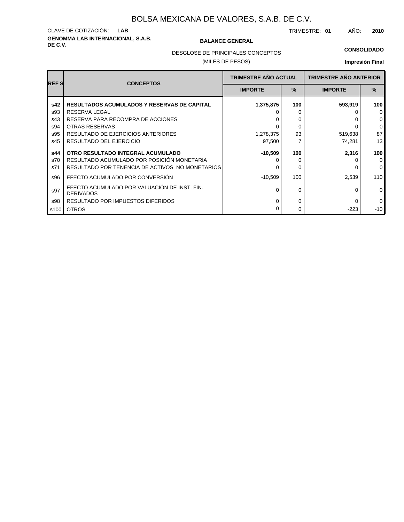## **GENOMMA LAB INTERNACIONAL, S.A.B. DE C.V. BALANCE GENERAL** CLAVE DE COTIZACIÓN: **LAB**

TRIMESTRE: **01** AÑO: **2010**

#### **CONSOLIDADO**

DESGLOSE DE PRINCIPALES CONCEPTOS

#### (MILES DE PESOS)

| <b>REFS</b> | <b>CONCEPTOS</b>                                                 | <b>TRIMESTRE AÑO ACTUAL</b> |               | <b>TRIMESTRE AÑO ANTERIOR</b> |              |
|-------------|------------------------------------------------------------------|-----------------------------|---------------|-------------------------------|--------------|
|             |                                                                  | <b>IMPORTE</b>              | $\frac{9}{6}$ | <b>IMPORTE</b>                | $\%$         |
| s42         | <b>RESULTADOS ACUMULADOS Y RESERVAS DE CAPITAL</b>               | 1,375,875                   | 100           | 593,919                       | 100          |
| s93         | <b>RESERVA LEGAL</b>                                             |                             |               |                               | $\mathbf 0$  |
| s43         | RESERVA PARA RECOMPRA DE ACCIONES                                |                             | 0             |                               | $\mathbf 0$  |
| s94         | OTRAS RESERVAS                                                   |                             | 0             |                               | $\mathbf 0$  |
| s95         | <b>RESULTADO DE EJERCICIOS ANTERIORES</b>                        | 1,278,375                   | 93            | 519,638                       | 87           |
| s45         | RESULTADO DEL EJERCICIO                                          | 97,500                      |               | 74,281                        | 13           |
| s44         | OTRO RESULTADO INTEGRAL ACUMULADO                                | $-10,509$                   | 100           | 2,316                         | 100          |
| s70         | RESULTADO ACUMULADO POR POSICIÓN MONETARIA                       |                             | O             |                               | $\Omega$     |
| s71         | RESULTADO POR TENENCIA DE ACTIVOS NO MONETARIOS                  |                             | 0             |                               | $\mathbf{0}$ |
| s96         | EFECTO ACUMULADO POR CONVERSIÓN                                  | -10,509                     | 100           | 2,539                         | 110          |
| s97         | EFECTO ACUMULADO POR VALUACIÓN DE INST. FIN.<br><b>DERIVADOS</b> |                             | 0             | 0                             | $\mathbf 0$  |
| s98         | RESULTADO POR IMPUESTOS DIFERIDOS                                |                             | 0             |                               | $\mathbf 0$  |
| s100        | <b>OTROS</b>                                                     |                             | 0             | $-223$                        | $-10$        |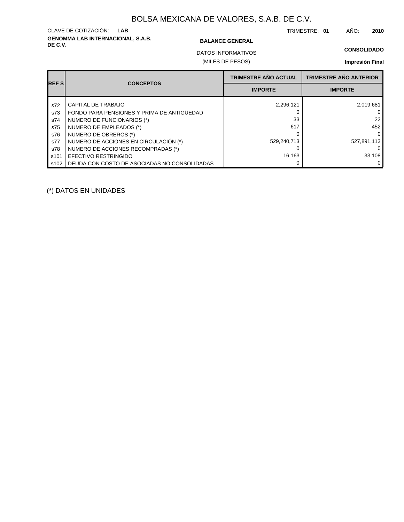## **GENOMMA LAB INTERNACIONAL, S.A.B. DE C.V. BALANCE GENERAL** CLAVE DE COTIZACIÓN: **LAB**

TRIMESTRE: **01** AÑO: **2010**

#### **CONSOLIDADO**

(MILES DE PESOS) DATOS INFORMATIVOS

#### **Impresión Final**

| <b>REFS</b> | <b>CONCEPTOS</b>                             | <b>TRIMESTRE AÑO ACTUAL</b> | <b>TRIMESTRE AÑO ANTERIOR</b> |
|-------------|----------------------------------------------|-----------------------------|-------------------------------|
|             |                                              | <b>IMPORTE</b>              | <b>IMPORTE</b>                |
| s72         | CAPITAL DE TRABAJO                           | 2,296,121                   | 2,019,681                     |
| s73         | FONDO PARA PENSIONES Y PRIMA DE ANTIGÜEDAD   |                             |                               |
| s74         | NUMERO DE FUNCIONARIOS (*)                   | 33                          | 22                            |
| s75         | NUMERO DE EMPLEADOS (*)                      | 617                         | 452                           |
| s76         | NUMERO DE OBREROS (*)                        |                             |                               |
| s77         | NUMERO DE ACCIONES EN CIRCULACIÓN (*)        | 529,240,713                 | 527,891,113                   |
| s78         | NUMERO DE ACCIONES RECOMPRADAS (*)           |                             |                               |
| s101        | EFECTIVO RESTRINGIDO                         | 16,163                      | 33,108                        |
| s102        | DEUDA CON COSTO DE ASOCIADAS NO CONSOLIDADAS |                             |                               |

(\*) DATOS EN UNIDADES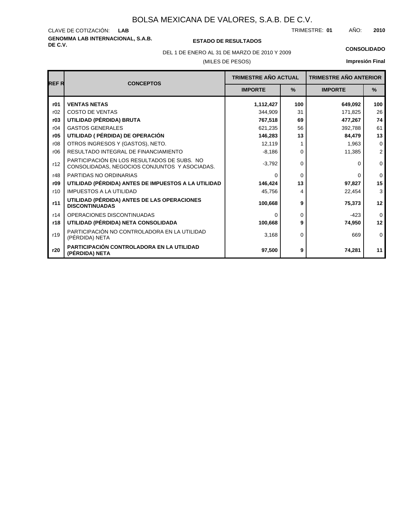## **GENOMMA LAB INTERNACIONAL, S.A.B.** CLAVE DE COTIZACIÓN:

**DE C.V. ESTADO DE RESULTADOS**

TRIMESTRE: AÑO: **LAB 01 2010**

(MILES DE PESOS) DEL 1 DE ENERO AL 31 DE MARZO DE 2010 Y 2009 **CONSOLIDADO**

| <b>REFR</b> | <b>CONCEPTOS</b>                                                                             | <b>TRIMESTRE AÑO ACTUAL</b> |               | <b>TRIMESTRE AÑO ANTERIOR</b> |                |
|-------------|----------------------------------------------------------------------------------------------|-----------------------------|---------------|-------------------------------|----------------|
|             |                                                                                              | <b>IMPORTE</b>              | $\frac{9}{6}$ | <b>IMPORTE</b>                | $\frac{9}{6}$  |
| r01         | <b>VENTAS NETAS</b>                                                                          | 1,112,427                   | 100           | 649,092                       | 100            |
| r02         | <b>COSTO DE VENTAS</b>                                                                       | 344.909                     | 31            | 171,825                       | 26             |
| r03         | UTILIDAD (PÉRDIDA) BRUTA                                                                     | 767,518                     | 69            | 477,267                       | 74             |
| r04         | <b>GASTOS GENERALES</b>                                                                      | 621.235                     | 56            | 392,788                       | 61             |
| r05         | UTILIDAD ( PÉRDIDA) DE OPERACIÓN                                                             | 146,283                     | 13            | 84,479                        | 13             |
| r08         | OTROS INGRESOS Y (GASTOS), NETO.                                                             | 12,119                      |               | 1,963                         | $\mathbf{0}$   |
| r06         | RESULTADO INTEGRAL DE FINANCIAMIENTO                                                         | $-8,186$                    | $\Omega$      | 11,385                        | $\overline{2}$ |
| r12         | PARTICIPACIÓN EN LOS RESULTADOS DE SUBS. NO<br>CONSOLIDADAS, NEGOCIOS CONJUNTOS Y ASOCIADAS. | $-3,792$                    | $\Omega$      | 0                             | $\mathbf 0$    |
| r48         | PARTIDAS NO ORDINARIAS                                                                       | $\Omega$                    | $\Omega$      | 0                             | $\Omega$       |
| r09         | UTILIDAD (PÉRDIDA) ANTES DE IMPUESTOS A LA UTILIDAD                                          | 146,424                     | 13            | 97,827                        | 15             |
| r10         | <b>IMPUESTOS A LA UTILIDAD</b>                                                               | 45,756                      | 4             | 22,454                        | 3              |
| r11         | UTILIDAD (PÉRDIDA) ANTES DE LAS OPERACIONES<br><b>DISCONTINUADAS</b>                         | 100,668                     | 9             | 75,373                        | 12             |
| r14         | OPERACIONES DISCONTINUADAS                                                                   | $\Omega$                    | $\Omega$      | $-423$                        | $\Omega$       |
| r18         | UTILIDAD (PÉRDIDA) NETA CONSOLIDADA                                                          | 100,668                     | 9             | 74,950                        | 12             |
| r19         | PARTICIPACIÓN NO CONTROLADORA EN LA UTILIDAD<br>(PÉRDIDA) NETA                               | 3,168                       | $\Omega$      | 669                           | $\mathbf 0$    |
| r20         | PARTICIPACIÓN CONTROLADORA EN LA UTILIDAD<br>(PÉRDIDA) NETA                                  | 97,500                      | 9             | 74,281                        | 11             |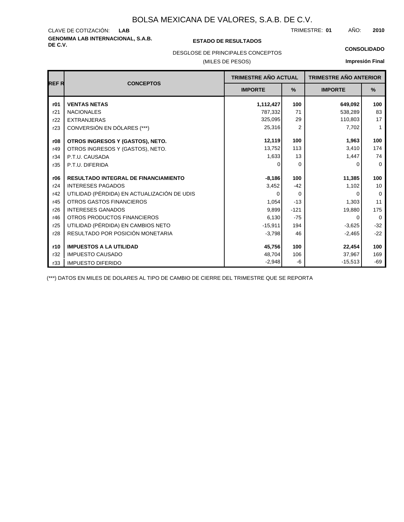## **GENOMMA LAB INTERNACIONAL, S.A.B. DE C.V. ESTADO DE RESULTADOS** CLAVE DE COTIZACIÓN:

TRIMESTRE: AÑO: **LAB 01 2010**

#### **CONSOLIDADO**

DESGLOSE DE PRINCIPALES CONCEPTOS

#### (MILES DE PESOS)

#### **Impresión Final**

|       | <b>CONCEPTOS</b>                            | <b>TRIMESTRE AÑO ACTUAL</b> |                | <b>TRIMESTRE AÑO ANTERIOR</b> |             |
|-------|---------------------------------------------|-----------------------------|----------------|-------------------------------|-------------|
| REF R |                                             | <b>IMPORTE</b>              | $\%$           | <b>IMPORTE</b>                | $\%$        |
| r01   | <b>VENTAS NETAS</b>                         | 1,112,427                   | 100            | 649,092                       | 100         |
| r21   | <b>NACIONALES</b>                           | 787,332                     | 71             | 538,289                       | 83          |
| r22   | <b>EXTRANJERAS</b>                          | 325,095                     | 29             | 110,803                       | 17          |
| r23   | CONVERSIÓN EN DÓLARES (***)                 | 25,316                      | $\overline{2}$ | 7,702                         | 1           |
| r08   | OTROS INGRESOS Y (GASTOS), NETO.            | 12,119                      | 100            | 1,963                         | 100         |
| r49   | OTROS INGRESOS Y (GASTOS), NETO.            | 13,752                      | 113            | 3,410                         | 174         |
| r34   | P.T.U. CAUSADA                              | 1,633                       | 13             | 1,447                         | 74          |
| r35   | P.T.U. DIFERIDA                             | O                           | $\Omega$       | 0                             | $\mathbf 0$ |
| r06   | <b>RESULTADO INTEGRAL DE FINANCIAMIENTO</b> | $-8,186$                    | 100            | 11,385                        | 100         |
| r24   | <b>INTERESES PAGADOS</b>                    | 3,452                       | $-42$          | 1,102                         | 10          |
| r42   | UTILIDAD (PÉRDIDA) EN ACTUALIZACIÓN DE UDIS | $\Omega$                    | $\Omega$       | <sup>0</sup>                  | $\mathbf 0$ |
| r45   | <b>OTROS GASTOS FINANCIEROS</b>             | 1,054                       | $-13$          | 1,303                         | 11          |
| r26   | <b>INTERESES GANADOS</b>                    | 9,899                       | $-121$         | 19,880                        | 175         |
| r46   | OTROS PRODUCTOS FINANCIEROS                 | 6.130                       | $-75$          | $\Omega$                      | $\Omega$    |
| r25   | UTILIDAD (PÉRDIDA) EN CAMBIOS NETO          | $-15,911$                   | 194            | $-3,625$                      | $-32$       |
| r28   | RESULTADO POR POSICIÓN MONETARIA            | $-3,798$                    | 46             | $-2,465$                      | $-22$       |
| r10   | <b>IMPUESTOS A LA UTILIDAD</b>              | 45,756                      | 100            | 22,454                        | 100         |
| r32   | <b>IMPUESTO CAUSADO</b>                     | 48,704                      | 106            | 37,967                        | 169         |
| r33   | <b>IMPUESTO DIFERIDO</b>                    | $-2,948$                    | -6             | $-15,513$                     | $-69$       |

(\*\*\*) DATOS EN MILES DE DOLARES AL TIPO DE CAMBIO DE CIERRE DEL TRIMESTRE QUE SE REPORTA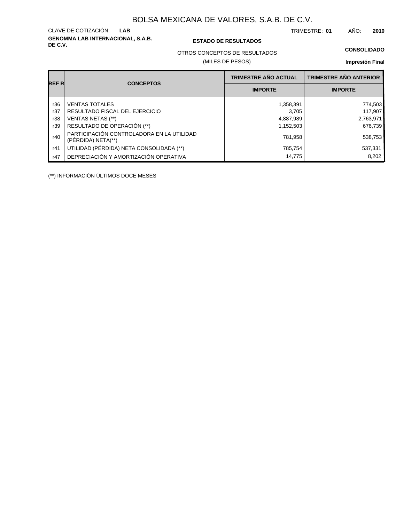**GENOMMA LAB INTERNACIONAL, S.A.B.** CLAVE DE COTIZACIÓN:

#### **DE C.V. ESTADO DE RESULTADOS**

TRIMESTRE: AÑO: **LAB 01 2010**

#### **CONSOLIDADO**

OTROS CONCEPTOS DE RESULTADOS

#### (MILES DE PESOS)

#### **Impresión Final**

|       |                                                                 | <b>TRIMESTRE AÑO ACTUAL</b> | <b>TRIMESTRE AÑO ANTERIOR</b> |
|-------|-----------------------------------------------------------------|-----------------------------|-------------------------------|
| REF R | <b>CONCEPTOS</b>                                                | <b>IMPORTE</b>              | <b>IMPORTE</b>                |
| r36   | <b>VENTAS TOTALES</b>                                           | 1,358,391                   | 774,503                       |
| r37   | RESULTADO FISCAL DEL EJERCICIO                                  | 3.705                       | 117,907                       |
| r38   | VENTAS NETAS (**)                                               | 4,887,989                   | 2,763,971                     |
| r39   | RESULTADO DE OPERACIÓN (**)                                     | 1,152,503                   | 676.739                       |
| r40   | PARTICIPACIÓN CONTROLADORA EN LA UTILIDAD<br>(PERDIDA) NETA(**) | 781,958                     | 538,753                       |
| r41   | UTILIDAD (PÉRDIDA) NETA CONSOLIDADA (**)                        | 785,754                     | 537,331                       |
| r47   | DEPRECIACIÓN Y AMORTIZACIÓN OPERATIVA                           | 14.775                      | 8.202                         |

(\*\*) INFORMACIÓN ÚLTIMOS DOCE MESES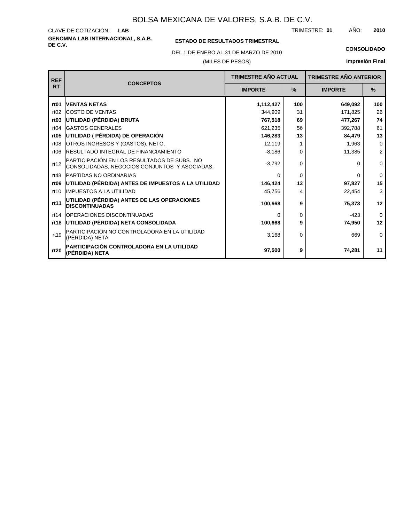**GENOMMA LAB INTERNACIONAL, S.A.B.** CLAVE DE COTIZACIÓN: TRIMESTRE: AÑO: **LAB 01 2010**

### **ESTADO DE RESULTADOS TRIMESTRAL**

DEL 1 DE ENERO AL 31 DE MARZO DE 2010 **CONSOLIDADO**

(MILES DE PESOS)

| <b>REF</b>       | <b>CONCEPTOS</b>                                                                             | <b>TRIMESTRE AÑO ACTUAL</b> |          | <b>TRIMESTRE AÑO ANTERIOR</b> |                         |
|------------------|----------------------------------------------------------------------------------------------|-----------------------------|----------|-------------------------------|-------------------------|
| <b>RT</b>        |                                                                                              | <b>IMPORTE</b>              | $\%$     | <b>IMPORTE</b>                | $\%$                    |
| rt <sub>01</sub> | <b>VENTAS NETAS</b>                                                                          | 1,112,427                   | 100      | 649,092                       | 100                     |
| rt02             | <b>COSTO DE VENTAS</b>                                                                       | 344,909                     | 31       | 171,825                       | 26                      |
| rt <sub>03</sub> | UTILIDAD (PÉRDIDA) BRUTA                                                                     | 767,518                     | 69       | 477,267                       | 74                      |
| rt04             | <b>GASTOS GENERALES</b>                                                                      | 621,235                     | 56       | 392,788                       | 61                      |
| rt <sub>05</sub> | UTILIDAD ( PÉRDIDA) DE OPERACIÓN                                                             | 146,283                     | 13       | 84,479                        | 13                      |
| rt <sub>08</sub> | OTROS INGRESOS Y (GASTOS), NETO.                                                             | 12,119                      |          | 1,963                         | $\mathbf 0$             |
| rt <sub>06</sub> | <b>RESULTADO INTEGRAL DE FINANCIAMIENTO</b>                                                  | $-8,186$                    | 0        | 11,385                        | $\overline{\mathbf{c}}$ |
| rt12             | PARTICIPACIÓN EN LOS RESULTADOS DE SUBS. NO<br>CONSOLIDADAS, NEGOCIOS CONJUNTOS Y ASOCIADAS. | $-3,792$                    | $\Omega$ | O                             | $\mathbf 0$             |
| rt48             | <b>IPARTIDAS NO ORDINARIAS</b>                                                               | 0                           | $\Omega$ | <sup>0</sup>                  | $\mathbf 0$             |
| rt <sub>09</sub> | UTILIDAD (PÉRDIDA) ANTES DE IMPUESTOS A LA UTILIDAD                                          | 146,424                     | 13       | 97,827                        | 15                      |
| rt10             | <b>IIMPUESTOS A LA UTILIDAD</b>                                                              | 45,756                      | 4        | 22,454                        | 3                       |
| rt11             | <b>UTILIDAD (PÉRDIDA) ANTES DE LAS OPERACIONES</b><br><b>DISCONTINUADAS</b>                  | 100,668                     | 9        | 75,373                        | 12                      |
| rt14             | <b>IOPERACIONES DISCONTINUADAS</b>                                                           | 0                           | 0        | $-423$                        | $\Omega$                |
| rt18             | UTILIDAD (PÉRDIDA) NETA CONSOLIDADA                                                          | 100,668                     | 9        | 74,950                        | 12                      |
| rt19             | PARTICIPACIÓN NO CONTROLADORA EN LA UTILIDAD<br>(PÉRDIDA) NETA                               | 3,168                       | $\Omega$ | 669                           | 0                       |
| rt20             | PARTICIPACIÓN CONTROLADORA EN LA UTILIDAD<br>(PÉRDIDA) NETA                                  | 97,500                      | 9        | 74,281                        | 11                      |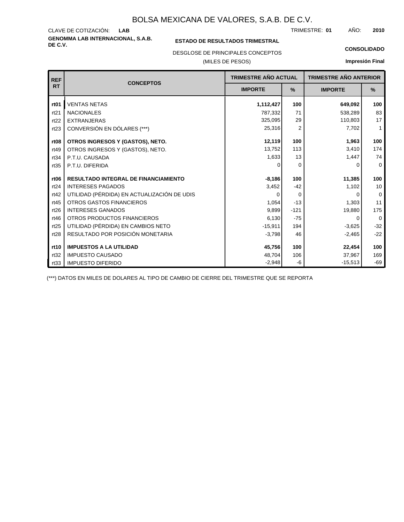**GENOMMA LAB INTERNACIONAL, S.A.B.** CLAVE DE COTIZACIÓN: TRIMESTRE: AÑO: **LAB 01 2010**

#### **ESTADO DE RESULTADOS TRIMESTRAL**

DESGLOSE DE PRINCIPALES CONCEPTOS

(MILES DE PESOS)

#### **CONSOLIDADO**

**Impresión Final**

| <b>REF</b>       |                                             | <b>TRIMESTRE AÑO ACTUAL</b><br><b>IMPORTE</b><br>$\%$ |          | <b>TRIMESTRE AÑO ANTERIOR</b> |                |
|------------------|---------------------------------------------|-------------------------------------------------------|----------|-------------------------------|----------------|
| <b>RT</b>        | <b>CONCEPTOS</b>                            |                                                       |          | <b>IMPORTE</b>                | $\%$           |
| rt <sub>01</sub> | <b>VENTAS NETAS</b>                         | 1,112,427                                             | 100      | 649,092                       | 100            |
| rt21             | <b>NACIONALES</b>                           | 787,332                                               | 71       | 538,289                       | 83             |
| rt22             | <b>EXTRANJERAS</b>                          | 325,095                                               | 29       | 110,803                       | 17             |
| rt23             | CONVERSIÓN EN DÓLARES (***)                 | 25,316                                                | 2        | 7,702                         | $\mathbf{1}$   |
| rt <sub>08</sub> | OTROS INGRESOS Y (GASTOS), NETO.            | 12,119                                                | 100      | 1,963                         | 100            |
| rt49             | OTROS INGRESOS Y (GASTOS), NETO.            | 13,752                                                | 113      | 3,410                         | 174            |
| rt34             | P.T.U. CAUSADA                              | 1,633                                                 | 13       | 1,447                         | 74             |
| rt35             | P.T.U. DIFERIDA                             | ∩                                                     | 0        | O                             | $\Omega$       |
| rt <sub>06</sub> | <b>RESULTADO INTEGRAL DE FINANCIAMIENTO</b> | $-8,186$                                              | 100      | 11,385                        | 100            |
| rt24             | <b>INTERESES PAGADOS</b>                    | 3,452                                                 | $-42$    | 1,102                         | 10             |
| rt42             | UTILIDAD (PÉRDIDA) EN ACTUALIZACIÓN DE UDIS | $\Omega$                                              | $\Omega$ | O                             | $\overline{0}$ |
| rt45             | <b>OTROS GASTOS FINANCIEROS</b>             | 1,054                                                 | $-13$    | 1,303                         | 11             |
| rt26             | <b>INTERESES GANADOS</b>                    | 9,899                                                 | $-121$   | 19,880                        | 175            |
| rt46             | OTROS PRODUCTOS FINANCIEROS                 | 6,130                                                 | $-75$    | 0                             | $\Omega$       |
| rt25             | UTILIDAD (PÉRDIDA) EN CAMBIOS NETO          | $-15,911$                                             | 194      | $-3,625$                      | $-32$          |
| rt28             | RESULTADO POR POSICIÓN MONETARIA            | $-3,798$                                              | 46       | $-2,465$                      | $-22$          |
| rt10             | <b>IMPUESTOS A LA UTILIDAD</b>              | 45,756                                                | 100      | 22,454                        | 100            |
| rt32             | <b>IMPUESTO CAUSADO</b>                     | 48,704                                                | 106      | 37,967                        | 169            |
| rt33             | <b>IMPUESTO DIFERIDO</b>                    | $-2,948$                                              | -6       | $-15,513$                     | $-69$          |

(\*\*\*) DATOS EN MILES DE DOLARES AL TIPO DE CAMBIO DE CIERRE DEL TRIMESTRE QUE SE REPORTA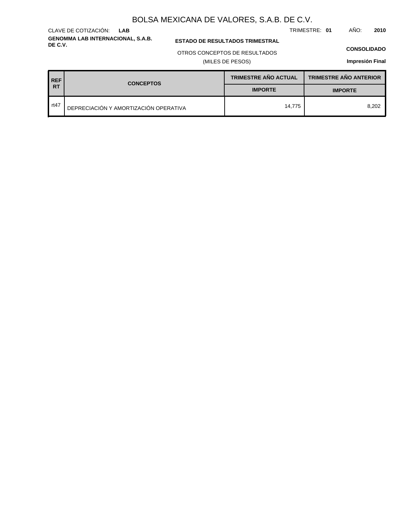**GENOMMA LAB INTERNACIONAL, S.A.B.** CLAVE DE COTIZACIÓN: **LAB**

**ESTADO DE RESULTADOS TRIMESTRAL** 

#### OTROS CONCEPTOS DE RESULTADOS

(MILES DE PESOS)

#### **CONSOLIDADO**

TRIMESTRE: **01** AÑO: **2010**

| <b>REF</b> | <b>CONCEPTOS</b>                      | <b>TRIMESTRE AÑO ACTUAL</b> | <b>TRIMESTRE AÑO ANTERIOR</b> |  |
|------------|---------------------------------------|-----------------------------|-------------------------------|--|
| <b>RT</b>  |                                       | <b>IMPORTE</b>              | <b>IMPORTE</b>                |  |
| rt47       | DEPRECIACIÓN Y AMORTIZACIÓN OPERATIVA | 14.775                      | 8.202                         |  |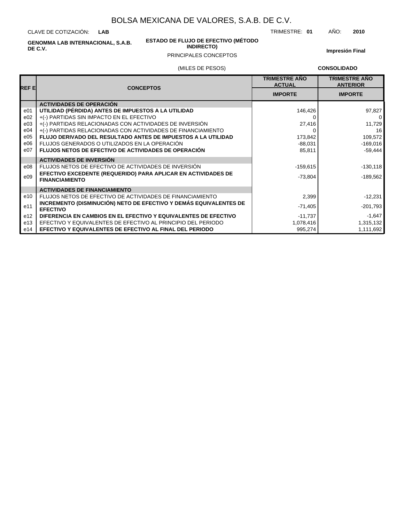CLAVE DE COTIZACIÓN: **LAB**

**GENOMMA LAB INTERNACIONAL, S.A.B.**

**ESTADO DE FLUJO DE EFECTIVO (MÉTODO INDIRECTO)**

TRIMESTRE: **01** AÑO: **2010**

**Impresión Final**

### PRINCIPALES CONCEPTOS

#### (MILES DE PESOS)

**CONSOLIDADO**

| <b>REFE</b>     | <b>CONCEPTOS</b>                                                                       | <b>TRIMESTRE AÑO</b><br><b>ACTUAL</b> | <b>TRIMESTRE AÑO</b><br><b>ANTERIOR</b> |
|-----------------|----------------------------------------------------------------------------------------|---------------------------------------|-----------------------------------------|
|                 |                                                                                        | <b>IMPORTE</b>                        | <b>IMPORTE</b>                          |
|                 | <b>ACTIVIDADES DE OPERACIÓN</b>                                                        |                                       |                                         |
| e01             | UTILIDAD (PÉRDIDA) ANTES DE IMPUESTOS A LA UTILIDAD                                    | 146,426                               | 97,827                                  |
| e02             | +(-) PARTIDAS SIN IMPACTO EN EL EFECTIVO                                               |                                       | 0                                       |
| e03             | +(-) PARTIDAS RELACIONADAS CON ACTIVIDADES DE INVERSIÓN                                | 27,416                                | 11,729                                  |
| e04             | +(-) PARTIDAS RELACIONADAS CON ACTIVIDADES DE FINANCIAMIENTO                           |                                       | 16                                      |
| e05             | <b>FLUJO DERIVADO DEL RESULTADO ANTES DE IMPUESTOS A LA UTILIDAD</b>                   | 173,842                               | 109,572                                 |
| e06             | FLUJOS GENERADOS O UTILIZADOS EN LA OPERACIÓN                                          | $-88,031$                             | $-169,016$                              |
| e07             | <b>FLUJOS NETOS DE EFECTIVO DE ACTIVIDADES DE OPERACIÓN</b>                            | 85,811                                | $-59,444$                               |
|                 | <b>ACTIVIDADES DE INVERSIÓN</b>                                                        |                                       |                                         |
| e08             | FLUJOS NETOS DE EFECTIVO DE ACTIVIDADES DE INVERSIÓN                                   | $-159,615$                            | $-130,118$                              |
| e09             | EFECTIVO EXCEDENTE (REQUERIDO) PARA APLICAR EN ACTIVIDADES DE<br><b>FINANCIAMIENTO</b> | $-73,804$                             | $-189,562$                              |
|                 | <b>ACTIVIDADES DE FINANCIAMIENTO</b>                                                   |                                       |                                         |
| e10             | FLUJOS NETOS DE EFECTIVO DE ACTIVIDADES DE FINANCIAMIENTO                              | 2,399                                 | -12,231                                 |
| e11             | INCREMENTO (DISMINUCIÓN) NETO DE EFECTIVO Y DEMÁS EQUIVALENTES DE<br><b>EFECTIVO</b>   | $-71,405$                             | $-201,793$                              |
| e <sub>12</sub> | DIFERENCIA EN CAMBIOS EN EL EFECTIVO Y EQUIVALENTES DE EFECTIVO                        | $-11,737$                             | $-1,647$                                |
| e13             | EFECTIVO Y EQUIVALENTES DE EFECTIVO AL PRINCIPIO DEL PERIODO                           | 1,078,416                             | 1,315,132                               |
| e14             | EFECTIVO Y EQUIVALENTES DE EFECTIVO AL FINAL DEL PERIODO                               | 995,274                               | 1,111,692                               |

**DE C.V.**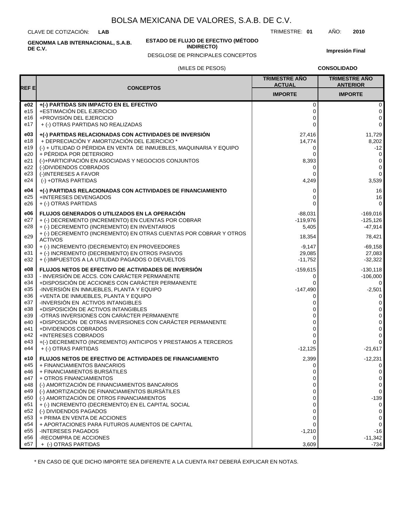CLAVE DE COTIZACIÓN: **LAB**

**DE C.V.**

**ESTADO DE FLUJO DE EFECTIVO (MÉTODO**

**INDIRECTO)**

TRIMESTRE: **01** AÑO: **2010**

**Impresión Final**

DESGLOSE DE PRINCIPALES CONCEPTOS

**CONSOLIDADO**

|                                                                                                | (MILES DE PESOS)                                                                                                                                                                                                                                                                                                                                                                                                                                                                                                                                    |                                                                                     | <b>CONSOLIDADO</b>                                                                                                                                          |  |  |
|------------------------------------------------------------------------------------------------|-----------------------------------------------------------------------------------------------------------------------------------------------------------------------------------------------------------------------------------------------------------------------------------------------------------------------------------------------------------------------------------------------------------------------------------------------------------------------------------------------------------------------------------------------------|-------------------------------------------------------------------------------------|-------------------------------------------------------------------------------------------------------------------------------------------------------------|--|--|
| REF El                                                                                         | <b>CONCEPTOS</b>                                                                                                                                                                                                                                                                                                                                                                                                                                                                                                                                    | <b>TRIMESTRE AÑO</b><br><b>ACTUAL</b>                                               | <b>TRIMESTRE AÑO</b><br><b>ANTERIOR</b>                                                                                                                     |  |  |
|                                                                                                |                                                                                                                                                                                                                                                                                                                                                                                                                                                                                                                                                     | <b>IMPORTE</b>                                                                      | <b>IMPORTE</b>                                                                                                                                              |  |  |
| e02                                                                                            | +(-) PARTIDAS SIN IMPACTO EN EL EFECTIVO                                                                                                                                                                                                                                                                                                                                                                                                                                                                                                            | 0                                                                                   | 0                                                                                                                                                           |  |  |
| e15                                                                                            | +ESTIMACIÓN DEL EJERCICIO                                                                                                                                                                                                                                                                                                                                                                                                                                                                                                                           | 0                                                                                   | 0                                                                                                                                                           |  |  |
| e16                                                                                            | +PROVISIÓN DEL EJERCICIO                                                                                                                                                                                                                                                                                                                                                                                                                                                                                                                            | $\Omega$                                                                            | 0                                                                                                                                                           |  |  |
| e17                                                                                            | + (-) OTRAS PARTIDAS NO REALIZADAS                                                                                                                                                                                                                                                                                                                                                                                                                                                                                                                  | $\Omega$                                                                            | $\Omega$                                                                                                                                                    |  |  |
| e03                                                                                            | +(-) PARTIDAS RELACIONADAS CON ACTIVIDADES DE INVERSIÓN                                                                                                                                                                                                                                                                                                                                                                                                                                                                                             | 27,416                                                                              | 11,729                                                                                                                                                      |  |  |
| e18                                                                                            | + DEPRECIACIÓN Y AMORTIZACIÓN DEL EJERCICIO *                                                                                                                                                                                                                                                                                                                                                                                                                                                                                                       | 14,774                                                                              | 8,202                                                                                                                                                       |  |  |
| e19                                                                                            | (-) + UTILIDAD O PÉRDIDA EN VENTA DE INMUEBLES, MAQUINARIA Y EQUIPO                                                                                                                                                                                                                                                                                                                                                                                                                                                                                 | 0                                                                                   | $-12$                                                                                                                                                       |  |  |
| e20                                                                                            | + PÉRDIDA POR DETERIORO                                                                                                                                                                                                                                                                                                                                                                                                                                                                                                                             | 0                                                                                   | $\mathbf 0$                                                                                                                                                 |  |  |
| e21                                                                                            | (-)+PARTICIPACIÓN EN ASOCIADAS Y NEGOCIOS CONJUNTOS                                                                                                                                                                                                                                                                                                                                                                                                                                                                                                 | 8,393                                                                               | 0                                                                                                                                                           |  |  |
| e22                                                                                            | (-)DIVIDENDOS COBRADOS                                                                                                                                                                                                                                                                                                                                                                                                                                                                                                                              | 0                                                                                   | 0                                                                                                                                                           |  |  |
| e23                                                                                            | (-)INTERESES A FAVOR                                                                                                                                                                                                                                                                                                                                                                                                                                                                                                                                | 0                                                                                   | 0                                                                                                                                                           |  |  |
| e24                                                                                            | (-) +OTRAS PARTIDAS                                                                                                                                                                                                                                                                                                                                                                                                                                                                                                                                 | 4,249                                                                               | 3,539                                                                                                                                                       |  |  |
| e04                                                                                            | +(-) PARTIDAS RELACIONADAS CON ACTIVIDADES DE FINANCIAMIENTO                                                                                                                                                                                                                                                                                                                                                                                                                                                                                        | 0                                                                                   | 16                                                                                                                                                          |  |  |
| e25                                                                                            | +INTERESES DEVENGADOS                                                                                                                                                                                                                                                                                                                                                                                                                                                                                                                               | 0                                                                                   | 16                                                                                                                                                          |  |  |
| e26                                                                                            | + (-) OTRAS PARTIDAS                                                                                                                                                                                                                                                                                                                                                                                                                                                                                                                                | $\Omega$                                                                            | $\Omega$                                                                                                                                                    |  |  |
| e06<br>e27<br>e28                                                                              | FLUJOS GENERADOS O UTILIZADOS EN LA OPERACIÓN<br>+ (-) DECREMENTO (INCREMENTO) EN CUENTAS POR COBRAR<br>+ (-) DECREMENTO (INCREMENTO) EN INVENTARIOS<br>+ (-) DECREMENTO (INCREMENTO) EN OTRAS CUENTAS POR COBRAR Y OTROS                                                                                                                                                                                                                                                                                                                           | $-88,031$<br>$-119,976$<br>5,405                                                    | $-169,016$<br>$-125,126$<br>$-47.914$                                                                                                                       |  |  |
| e29                                                                                            | <b>ACTIVOS</b>                                                                                                                                                                                                                                                                                                                                                                                                                                                                                                                                      | 18,354                                                                              | 78,421                                                                                                                                                      |  |  |
| e30                                                                                            | + (-) INCREMENTO (DECREMENTO) EN PROVEEDORES                                                                                                                                                                                                                                                                                                                                                                                                                                                                                                        | $-9,147$                                                                            | $-69,158$                                                                                                                                                   |  |  |
| e31                                                                                            | + (-) INCREMENTO (DECREMENTO) EN OTROS PASIVOS                                                                                                                                                                                                                                                                                                                                                                                                                                                                                                      | 29,085                                                                              | 27,083                                                                                                                                                      |  |  |
| e32                                                                                            | + (-)IMPUESTOS A LA UTILIDAD PAGADOS O DEVUELTOS                                                                                                                                                                                                                                                                                                                                                                                                                                                                                                    | $-11,752$                                                                           | $-32,322$                                                                                                                                                   |  |  |
| e08                                                                                            | FLUJOS NETOS DE EFECTIVO DE ACTIVIDADES DE INVERSIÓN                                                                                                                                                                                                                                                                                                                                                                                                                                                                                                | $-159,615$                                                                          | $-130, 118$                                                                                                                                                 |  |  |
| e33                                                                                            | - INVERSIÓN DE ACCS. CON CARÁCTER PERMANENTE                                                                                                                                                                                                                                                                                                                                                                                                                                                                                                        | 0                                                                                   | $-106,000$                                                                                                                                                  |  |  |
| e34                                                                                            | +DISPOSICIÓN DE ACCIONES CON CARÁCTER PERMANENTE                                                                                                                                                                                                                                                                                                                                                                                                                                                                                                    | 0                                                                                   | $\Omega$                                                                                                                                                    |  |  |
| e35                                                                                            | -INVERSIÓN EN INMUEBLES, PLANTA Y EQUIPO                                                                                                                                                                                                                                                                                                                                                                                                                                                                                                            | $-147,490$                                                                          | $-2,501$                                                                                                                                                    |  |  |
| e36                                                                                            | +VENTA DE INMUEBLES, PLANTA Y EQUIPO                                                                                                                                                                                                                                                                                                                                                                                                                                                                                                                | 0                                                                                   | 0                                                                                                                                                           |  |  |
| e37                                                                                            | -INVERSIÓN EN ACTIVOS INTANGIBLES                                                                                                                                                                                                                                                                                                                                                                                                                                                                                                                   | 0                                                                                   | $\Omega$                                                                                                                                                    |  |  |
| e38                                                                                            | +DISPOSICIÓN DE ACTIVOS INTANGIBLES                                                                                                                                                                                                                                                                                                                                                                                                                                                                                                                 | 0                                                                                   | $\Omega$                                                                                                                                                    |  |  |
| e39                                                                                            | -OTRAS INVERSIONES CON CARÁCTER PERMANENTE                                                                                                                                                                                                                                                                                                                                                                                                                                                                                                          | 0                                                                                   | 0                                                                                                                                                           |  |  |
| e40                                                                                            | +DISPOSICIÓN DE OTRAS INVERSIONES CON CARÁCTER PERMANENTE                                                                                                                                                                                                                                                                                                                                                                                                                                                                                           | 0                                                                                   | 0                                                                                                                                                           |  |  |
| e41                                                                                            | +DIVIDENDOS COBRADOS                                                                                                                                                                                                                                                                                                                                                                                                                                                                                                                                | 0                                                                                   | $\Omega$                                                                                                                                                    |  |  |
| e42                                                                                            | +INTERESES COBRADOS                                                                                                                                                                                                                                                                                                                                                                                                                                                                                                                                 | 0                                                                                   | 0                                                                                                                                                           |  |  |
| e43                                                                                            | +(-) DECREMENTO (INCREMENTO) ANTICIPOS Y PRESTAMOS A TERCEROS                                                                                                                                                                                                                                                                                                                                                                                                                                                                                       | $\Omega$                                                                            | $\Omega$                                                                                                                                                    |  |  |
| e44                                                                                            | + (-) OTRAS PARTIDAS                                                                                                                                                                                                                                                                                                                                                                                                                                                                                                                                | $-12,125$                                                                           | $-21,617$                                                                                                                                                   |  |  |
| e10<br>e45<br>e46<br>e47<br>e48<br>e49<br>e50<br>e51<br>e52<br>e53<br>e54<br>e55<br>e56<br>e57 | FLUJOS NETOS DE EFECTIVO DE ACTIVIDADES DE FINANCIAMIENTO<br>+ FINANCIAMIENTOS BANCARIOS<br>+ FINANCIAMIENTOS BURSÁTILES<br>+ OTROS FINANCIAMIENTOS<br>(-) AMORTIZACIÓN DE FINANCIAMIENTOS BANCARIOS<br>(-) AMORTIZACIÓN DE FINANCIAMIENTOS BURSÁTILES<br>(-) AMORTIZACIÓN DE OTROS FINANCIAMIENTOS<br>+ (-) INCREMENTO (DECREMENTO) EN EL CAPITAL SOCIAL<br>(-) DIVIDENDOS PAGADOS<br>+ PRIMA EN VENTA DE ACCIONES<br>+ APORTACIONES PARA FUTUROS AUMENTOS DE CAPITAL<br><b>INTERESES PAGADOS</b><br>-RECOMPRA DE ACCIONES<br>+ (-) OTRAS PARTIDAS | 2,399<br>0<br>$\Omega$<br>0<br>0<br>0<br>0<br>0<br>0<br>0<br>0<br>$-1,210$<br>3,609 | $-12,231$<br>$\Omega$<br>$\Omega$<br>$\Omega$<br>$\Omega$<br>$\mathbf 0$<br>$-139$<br>$\Omega$<br>$\Omega$<br>$\Omega$<br>0<br>$-16$<br>$-11,342$<br>$-734$ |  |  |

\* EN CASO DE QUE DICHO IMPORTE SEA DIFERENTE A LA CUENTA R47 DEBERÁ EXPLICAR EN NOTAS.

**GENOMMA LAB INTERNACIONAL, S.A.B.**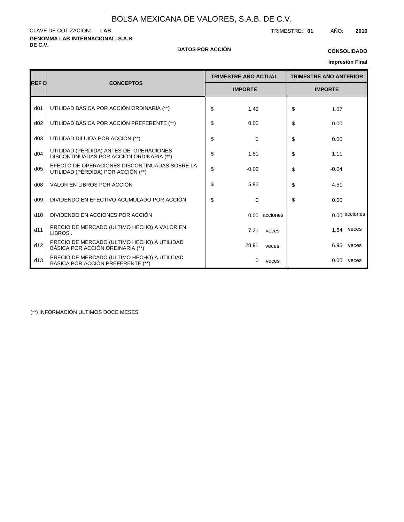**GENOMMA LAB INTERNACIONAL, S.A.B.** CLAVE DE COTIZACIÓN: TRIMESTRE: **01** AÑO: **2010 LAB**

#### **DE C.V. DATOS POR ACCIÓN**

## **CONSOLIDADO**

### **Impresión Final**

|                 |                                                                                     | <b>TRIMESTRE AÑO ACTUAL</b> |                |               |                |         | <b>TRIMESTRE AÑO ANTERIOR</b> |
|-----------------|-------------------------------------------------------------------------------------|-----------------------------|----------------|---------------|----------------|---------|-------------------------------|
| REF D           | <b>CONCEPTOS</b>                                                                    |                             | <b>IMPORTE</b> |               | <b>IMPORTE</b> |         |                               |
| d <sub>01</sub> | UTILIDAD BÁSICA POR ACCIÓN ORDINARIA (**)                                           | \$                          | 1.49           |               | \$             | 1.07    |                               |
| d02             | UTILIDAD BÁSICA POR ACCIÓN PREFERENTE (**)                                          | \$                          | 0.00           |               | \$             | 0.00    |                               |
| d03             | UTILIDAD DILUIDA POR ACCIÓN (**)                                                    | \$                          | 0              |               | \$             | 0.00    |                               |
| d04             | UTILIDAD (PÉRDIDA) ANTES DE OPERACIONES<br>DISCONTINUADAS POR ACCIÓN ORDINARIA (**) | \$                          | 1.51           |               | \$             | 1.11    |                               |
| d05             | EFECTO DE OPERACIONES DISCONTINUADAS SOBRE LA<br>UTILIDAD (PÉRDIDA) POR ACCIÓN (**) | \$                          | $-0.02$        |               | \$             | $-0.04$ |                               |
| d08             | VALOR EN LIBROS POR ACCIÓN                                                          | \$                          | 5.92           |               | \$             | 4.51    |                               |
| d09             | DIVIDENDO EN EFECTIVO ACUMULADO POR ACCIÓN                                          | \$                          | 0              |               | \$             | 0.00    |                               |
| d10             | DIVIDENDO EN ACCIONES POR ACCIÓN                                                    |                             |                | 0.00 acciones |                |         | 0.00 acciones                 |
| d11             | PRECIO DE MERCADO (ULTIMO HECHO) A VALOR EN<br>LIBROS.                              |                             | 7.21           | veces         |                | 1.64    | veces                         |
| d12             | PRECIO DE MERCADO (ULTIMO HECHO) A UTILIDAD<br>BÁSICA POR ACCIÓN ORDINARIA (**)     |                             | 28.91          | veces         |                | 6.95    | veces                         |
| d13             | PRECIO DE MERCADO (ULTIMO HECHO) A UTILIDAD<br>BÁSICA POR ACCIÓN PREFERENTE (**)    |                             | 0              | veces         |                | 0.00    | veces                         |

(\*\*) INFORMACIÓN ULTIMOS DOCE MESES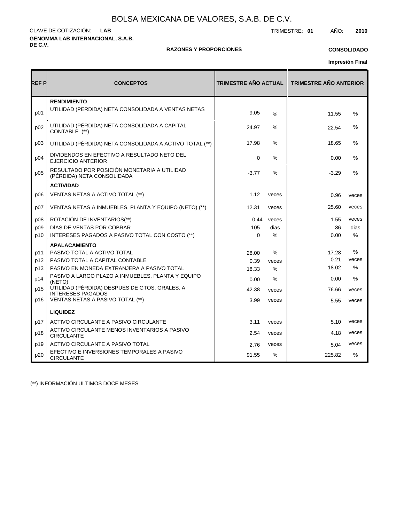**GENOMMA LAB INTERNACIONAL, S.A.B. DE C.V.** CLAVE DE COTIZACIÓN: TRIMESTRE: **01** AÑO: **2010 LAB**

#### **RAZONES Y PROPORCIONES**

#### **CONSOLIDADO**

**Impresión Final**

| REF P | <b>CONCEPTOS</b>                                                          | <b>TRIMESTRE AÑO ACTUAL</b> |               | <b>TRIMESTRE AÑO ANTERIOR</b> |               |
|-------|---------------------------------------------------------------------------|-----------------------------|---------------|-------------------------------|---------------|
| p01   | <b>RENDIMIENTO</b><br>UTILIDAD (PERDIDA) NETA CONSOLIDADA A VENTAS NETAS  | 9.05                        | $\frac{9}{6}$ | 11.55                         | $\%$          |
| p02   | UTILIDAD (PÉRDIDA) NETA CONSOLIDADA A CAPITAL<br>CONTABLE (**)            | 24.97                       | ℅             | 22.54                         | %             |
| D03   | UTILIDAD (PÉRDIDA) NETA CONSOLIDADA A ACTIVO TOTAL (**)                   | 17.98                       | $\%$          | 18.65                         | %             |
| p04   | DIVIDENDOS EN EFECTIVO A RESULTADO NETO DEL<br><b>EJERCICIO ANTERIOR</b>  | $\mathbf 0$                 | %             | 0.00                          | %             |
| p05   | RESULTADO POR POSICIÓN MONETARIA A UTILIDAD<br>(PÉRDIDA) NETA CONSOLIDADA | $-3.77$                     | $\frac{0}{0}$ | $-3.29$                       | %             |
|       | <b>ACTIVIDAD</b>                                                          |                             |               |                               |               |
| p06   | VENTAS NETAS A ACTIVO TOTAL (**)                                          | 1.12                        | veces         | 0.96                          | veces         |
| p07   | VENTAS NETAS A INMUEBLES, PLANTA Y EQUIPO (NETO) (**)                     | 12.31                       | veces         | 25.60                         | veces         |
| p08   | ROTACIÓN DE INVENTARIOS(**)                                               | 0.44                        | veces         | 1.55                          | veces         |
| p09   | DÍAS DE VENTAS POR COBRAR                                                 | 105                         | dias          | 86                            | dias          |
| p10   | INTERESES PAGADOS A PASIVO TOTAL CON COSTO (**)                           | $\Omega$                    | %             | 0.00                          | %             |
|       | <b>APALACAMIENTO</b>                                                      |                             |               |                               |               |
| p11   | PASIVO TOTAL A ACTIVO TOTAL                                               | 28.00                       | $\%$          | 17.28                         | %             |
| p12   | PASIVO TOTAL A CAPITAL CONTABLE                                           | 0.39                        | veces         | 0.21                          | veces         |
| p13   | PASIVO EN MONEDA EXTRANJERA A PASIVO TOTAL                                | 18.33                       | %             | 18.02                         | $\%$          |
| p14   | PASIVO A LARGO PLAZO A INMUEBLES, PLANTA Y EQUIPO<br>(NETO)               | 0.00                        | $\%$          | 0.00                          | $\frac{0}{0}$ |
| p15   | UTILIDAD (PÉRDIDA) DESPUÉS DE GTOS. GRALES. A<br><b>INTERESES PAGADOS</b> | 42.38                       | veces         | 76.66                         | veces         |
| p16   | VENTAS NETAS A PASIVO TOTAL (**)                                          | 3.99                        | veces         | 5.55                          | veces         |
|       | <b>LIQUIDEZ</b>                                                           |                             |               |                               |               |
| p17   | ACTIVO CIRCULANTE A PASIVO CIRCULANTE                                     | 3.11                        | veces         | 5.10                          | veces         |
| p18   | ACTIVO CIRCULANTE MENOS INVENTARIOS A PASIVO<br><b>CIRCULANTE</b>         | 2.54                        | veces         | 4.18                          | veces         |
| p19   | ACTIVO CIRCULANTE A PASIVO TOTAL                                          | 2.76                        | veces         | 5.04                          | veces         |
| p20   | EFECTIVO E INVERSIONES TEMPORALES A PASIVO<br><b>CIRCULANTE</b>           | 91.55                       | %             | 225.82                        | $\%$          |

(\*\*) INFORMACIÓN ULTIMOS DOCE MESES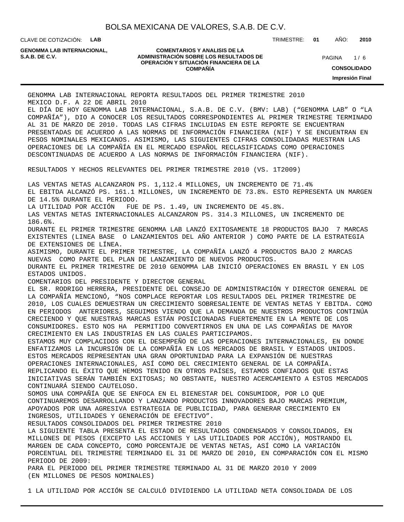CLAVE DE COTIZACIÓN: **LAB**

**GENOMMA LAB INTERNACIONAL,**

#### **COMENTARIOS Y ANALISIS DE LA ADMINISTRACIÓN SOBRE LOS RESULTADOS DE S.A.B. DE C.V.** PAGINA / 6 **OPERACIÓN Y SITUACIÓN FINANCIERA DE LA COMPAÑÍA**

TRIMESTRE: **01** AÑO: **2010**

 $1/6$ **CONSOLIDADO**

**Impresión Final**

GENOMMA LAB INTERNACIONAL REPORTA RESULTADOS DEL PRIMER TRIMESTRE 2010 MEXICO D.F. A 22 DE ABRIL 2010 EL DÍA DE HOY GENOMMA LAB INTERNACIONAL, S.A.B. DE C.V. (BMV: LAB) ("GENOMMA LAB" O "LA COMPAÑÍA"), DIO A CONOCER LOS RESULTADOS CORRESPONDIENTES AL PRIMER TRIMESTRE TERMINADO AL 31 DE MARZO DE 2010. TODAS LAS CIFRAS INCLUIDAS EN ESTE REPORTE SE ENCUENTRAN PRESENTADAS DE ACUERDO A LAS NORMAS DE INFORMACIÓN FINANCIERA (NIF) Y SE ENCUENTRAN EN PESOS NOMINALES MEXICANOS. ASIMISMO, LAS SIGUIENTES CIFRAS CONSOLIDADAS MUESTRAN LAS OPERACIONES DE LA COMPAÑÍA EN EL MERCADO ESPAÑOL RECLASIFICADAS COMO OPERACIONES DESCONTINUADAS DE ACUERDO A LAS NORMAS DE INFORMACIÓN FINANCIERA (NIF). RESULTADOS Y HECHOS RELEVANTES DEL PRIMER TRIMESTRE 2010 (VS. 1T2009) LAS VENTAS NETAS ALCANZARON PS. 1,112.4 MILLONES, UN INCREMENTO DE 71.4% EL EBITDA ALCANZÓ PS. 161.1 MILLONES, UN INCREMENTO DE 73.8%. ESTO REPRESENTA UN MARGEN DE 14.5% DURANTE EL PERIODO. LA UTILIDAD POR ACCIÓN FUE DE PS. 1.49, UN INCREMENTO DE 45.8%. LAS VENTAS NETAS INTERNACIONALES ALCANZARON PS. 314.3 MILLONES, UN INCREMENTO DE 186.6%. DURANTE EL PRIMER TRIMESTRE GENOMMA LAB LANZÓ EXITOSAMENTE 18 PRODUCTOS BAJO 7 MARCAS EXISTENTES (LINEA BASE O LANZAMIENTOS DEL AÑO ANTERIOR ) COMO PARTE DE LA ESTRATEGIA DE EXTENSIONES DE LÍNEA. ASIMISMO, DURANTE EL PRIMER TRIMESTRE, LA COMPAÑÍA LANZÓ 4 PRODUCTOS BAJO 2 MARCAS NUEVAS COMO PARTE DEL PLAN DE LANZAMIENTO DE NUEVOS PRODUCTOS. DURANTE EL PRIMER TRIMESTRE DE 2010 GENOMMA LAB INICIÓ OPERACIONES EN BRASIL Y EN LOS ESTADOS UNIDOS. COMENTARIOS DEL PRESIDENTE Y DIRECTOR GENERAL EL SR. RODRIGO HERRERA, PRESIDENTE DEL CONSEJO DE ADMINISTRACIÓN Y DIRECTOR GENERAL DE LA COMPAÑÍA MENCIONÓ, "NOS COMPLACE REPORTAR LOS RESULTADOS DEL PRIMER TRIMESTRE DE 2010, LOS CUALES DEMUESTRAN UN CRECIMIENTO SOBRESALIENTE DE VENTAS NETAS Y EBITDA. COMO EN PERIODOS ANTERIORES, SEGUIMOS VIENDO QUE LA DEMANDA DE NUESTROS PRODUCTOS CONTINÚA CRECIENDO Y QUE NUESTRAS MARCAS ESTÁN POSICIONADAS FUERTEMENTE EN LA MENTE DE LOS CONSUMIDORES. ESTO NOS HA PERMITIDO CONVERTIRNOS EN UNA DE LAS COMPAÑÍAS DE MAYOR CRECIMIENTO EN LAS INDUSTRIAS EN LAS CUALES PARTICIPAMOS. ESTAMOS MUY COMPLACIDOS CON EL DESEMPEÑO DE LAS OPERACIONES INTERNACIONALES, EN DONDE ENFATIZAMOS LA INCURSIÓN DE LA COMPAÑÍA EN LOS MERCADOS DE BRASIL Y ESTADOS UNIDOS. ESTOS MERCADOS REPRESENTAN UNA GRAN OPORTUNIDAD PARA LA EXPANSIÓN DE NUESTRAS OPERACIONES INTERNACIONALES, ASÍ COMO DEL CRECIMIENTO GENERAL DE LA COMPAÑÍA. REPLICANDO EL ÉXITO QUE HEMOS TENIDO EN OTROS PAÍSES, ESTAMOS CONFIADOS QUE ESTAS INICIATIVAS SERÁN TAMBIÉN EXITOSAS; NO OBSTANTE, NUESTRO ACERCAMIENTO A ESTOS MERCADOS CONTINUARÁ SIENDO CAUTELOSO. SOMOS UNA COMPAÑÍA QUE SE ENFOCA EN EL BIENESTAR DEL CONSUMIDOR, POR LO QUE CONTINUAREMOS DESARROLLANDO Y LANZANDO PRODUCTOS INNOVADORES BAJO MARCAS PREMIUM, APOYADOS POR UNA AGRESIVA ESTRATEGIA DE PUBLICIDAD, PARA GENERAR CRECIMIENTO EN INGRESOS, UTILIDADES Y GENERACIÓN DE EFECTIVO". RESULTADOS CONSOLIDADOS DEL PRIMER TRIMESTRE 2010 LA SIGUIENTE TABLA PRESENTA EL ESTADO DE RESULTADOS CONDENSADOS Y CONSOLIDADOS, EN MILLONES DE PESOS (EXCEPTO LAS ACCIONES Y LAS UTILIDADES POR ACCIÓN), MOSTRANDO EL MARGEN DE CADA CONCEPTO, COMO PORCENTAJE DE VENTAS NETAS, ASÍ COMO LA VARIACIÓN PORCENTUAL DEL TRIMESTRE TERMINADO EL 31 DE MARZO DE 2010, EN COMPARACIÓN CON EL MISMO PERIODO DE 2009: PARA EL PERIODO DEL PRIMER TRIMESTRE TERMINADO AL 31 DE MARZO 2010 Y 2009 (EN MILLONES DE PESOS NOMINALES)

1 LA UTILIDAD POR ACCIÓN SE CALCULÓ DIVIDIENDO LA UTILIDAD NETA CONSOLIDADA DE LOS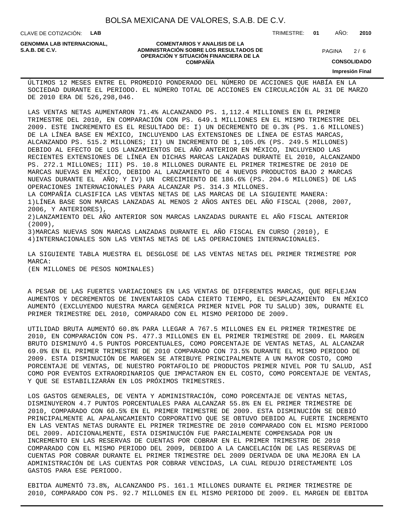CLAVE DE COTIZACIÓN: **LAB**

**GENOMMA LAB INTERNACIONAL,**

#### **COMENTARIOS Y ANALISIS DE LA ADMINISTRACIÓN SOBRE LOS RESULTADOS DE PAGINA 2/6** PAGINA 2/6 **OPERACIÓN Y SITUACIÓN FINANCIERA DE LA COMPAÑÍA**

 $2/6$ 

TRIMESTRE: **01** AÑO: **2010**

**CONSOLIDADO**

**Impresión Final**

ÚLTIMOS 12 MESES ENTRE EL PROMEDIO PONDERADO DEL NÚMERO DE ACCIONES QUE HABÍA EN LA SOCIEDAD DURANTE EL PERIODO. EL NÚMERO TOTAL DE ACCIONES EN CIRCULACIÓN AL 31 DE MARZO DE 2010 ERA DE 526,298,046.

LAS VENTAS NETAS AUMENTARON 71.4% ALCANZANDO PS. 1,112.4 MILLIONES EN EL PRIMER TRIMESTRE DEL 2010, EN COMPARACIÓN CON PS. 649.1 MILLIONES EN EL MISMO TRIMESTRE DEL 2009. ESTE INCREMENTO ES EL RESULTADO DE: I) UN DECREMENTO DE 0.3% (PS. 1.6 MILLONES) DE LA LÍNEA BASE EN MÉXICO, INCLUYENDO LAS EXTENSIONES DE LÍNEA DE ESTAS MARCAS, ALCANZANDO PS. 515.2 MILLONES; II) UN INCREMENTO DE 1,105.0% (PS. 249.5 MILLONES) DEBIDO AL EFECTO DE LOS LANZAMIENTOS DEL AÑO ANTERIOR EN MÉXICO, INCLUYENDO LAS RECIENTES EXTENSIONES DE LÍNEA EN DICHAS MARCAS LANZADAS DURANTE EL 2010, ALCANZANDO PS. 272.1 MILLONES; III) PS. 10.8 MILLONES DURANTE EL PRIMER TRIMESTRE DE 2010 DE MARCAS NUEVAS EN MÉXICO, DEBIDO AL LANZAMIENTO DE 4 NUEVOS PRODUCTOS BAJO 2 MARCAS NUEVAS DURANTE EL AÑO; Y IV) UN CRECIMIENTO DE 186.6% (PS. 204.6 MILLONES) DE LAS OPERACIONES INTERNACIONALES PARA ALCANZAR PS. 314.3 MILLONES.

LA COMPAÑÍA CLASIFICA LAS VENTAS NETAS DE LAS MARCAS DE LA SIGUIENTE MANERA: 1) LÍNEA BASE SON MARCAS LANZADAS AL MENOS 2 AÑOS ANTES DEL AÑO FISCAL (2008, 2007, 2006, Y ANTERIORES),

2) LANZAMIENTO DEL AÑO ANTERIOR SON MARCAS LANZADAS DURANTE EL AÑO FISCAL ANTERIOR (2009),

3) MARCAS NUEVAS SON MARCAS LANZADAS DURANTE EL AÑO FISCAL EN CURSO (2010), E

4) INTERNACIONALES SON LAS VENTAS NETAS DE LAS OPERACIONES INTERNACIONALES.

LA SIGUIENTE TABLA MUESTRA EL DESGLOSE DE LAS VENTAS NETAS DEL PRIMER TRIMESTRE POR MARCA:

(EN MILLONES DE PESOS NOMINALES)

A PESAR DE LAS FUERTES VARIACIONES EN LAS VENTAS DE DIFERENTES MARCAS, QUE REFLEJAN AUMENTOS Y DECREMENTOS DE INVENTARIOS CADA CIERTO TIEMPO, EL DESPLAZAMIENTO EN MÉXICO AUMENTÓ (EXCLUYENDO NUESTRA MARCA GENÉRICA PRIMER NIVEL POR TU SALUD) 30%, DURANTE EL PRIMER TRIMESTRE DEL 2010, COMPARADO CON EL MISMO PERIODO DE 2009.

UTILIDAD BRUTA AUMENTÓ 60.8% PARA LLEGAR A 767.5 MILLONES EN EL PRIMER TRIMESTRE DE 2010, EN COMPARACIÓN CON PS. 477.3 MILLONES EN EL PRIMER TRIMESTRE DE 2009. EL MARGEN BRUTO DISMINUYÓ 4.5 PUNTOS PORCENTUALES, COMO PORCENTAJE DE VENTAS NETAS, AL ALCANZAR 69.0% EN EL PRIMER TRIMESTRE DE 2010 COMPARADO CON 73.5% DURANTE EL MISMO PERIODO DE 2009. ESTA DISMINUCIÓN DE MARGEN SE ATRIBUYE PRINCIPALMENTE A UN MAYOR COSTO, COMO PORCENTAJE DE VENTAS, DE NUESTRO PORTAFOLIO DE PRODUCTOS PRIMER NIVEL POR TU SALUD, ASÍ COMO POR EVENTOS EXTRAORDINARIOS QUE IMPACTARON EN EL COSTO, COMO PORCENTAJE DE VENTAS, Y QUE SE ESTABILIZARÁN EN LOS PRÓXIMOS TRIMESTRES.

LOS GASTOS GENERALES, DE VENTA Y ADMINISTRACIÓN, COMO PORCENTAJE DE VENTAS NETAS, DISMINUYERON 4.7 PUNTOS PORCENTUALES PARA ALCANZAR 55.8% EN EL PRIMER TRIMESTRE DE 2010, COMPARADO CON 60.5% EN EL PRIMER TRIMESTRE DE 2009. ESTA DISMINUCIÓN SE DEBIÓ PRINCIPALMENTE AL APALANCAMIENTO CORPORATIVO QUE SE OBTUVO DEBIDO AL FUERTE INCREMENTO EN LAS VENTAS NETAS DURANTE EL PRIMER TRIMESTRE DE 2010 COMPARADO CON EL MISMO PERIODO DEL 2009. ADICIONALMENTE, ESTA DISMINUCIÓN FUE PARCIALMENTE COMPENSADA POR UN INCREMENTO EN LAS RESERVAS DE CUENTAS POR COBRAR EN EL PRIMER TRIMESTRE DE 2010 COMPARADO CON EL MISMO PERIODO DEL 2009, DEBIDO A LA CANCELACIÓN DE LAS RESERVAS DE CUENTAS POR COBRAR DURANTE EL PRIMER TRIMESTRE DEL 2009 DERIVADA DE UNA MEJORA EN LA ADMINISTRACIÓN DE LAS CUENTAS POR COBRAR VENCIDAS, LA CUAL REDUJO DIRECTAMENTE LOS GASTOS PARA ESE PERIODO.

EBITDA AUMENTÓ 73.8%, ALCANZANDO PS. 161.1 MILLONES DURANTE EL PRIMER TRIMESTRE DE 2010, COMPARADO CON PS. 92.7 MILLONES EN EL MISMO PERIODO DE 2009. EL MARGEN DE EBITDA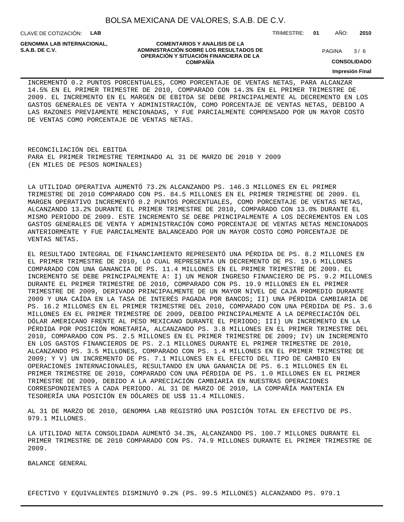CLAVE DE COTIZACIÓN: **LAB**

**GENOMMA LAB INTERNACIONAL,**

#### **COMENTARIOS Y ANALISIS DE LA ADMINISTRACIÓN SOBRE LOS RESULTADOS DE S.A.B. DE C.V.** PAGINA / 6 **OPERACIÓN Y SITUACIÓN FINANCIERA DE LA COMPAÑÍA**

 $3/6$ 

TRIMESTRE: **01** AÑO: **2010**

**CONSOLIDADO**

**Impresión Final**

INCREMENTÓ 0.2 PUNTOS PORCENTUALES, COMO PORCENTAJE DE VENTAS NETAS, PARA ALCANZAR 14.5% EN EL PRIMER TRIMESTRE DE 2010, COMPARADO CON 14.3% EN EL PRIMER TRIMESTRE DE 2009. EL INCREMENTO EN EL MARGEN DE EBITDA SE DEBE PRINCIPALMENTE AL DECREMENTO EN LOS GASTOS GENERALES DE VENTA Y ADMINISTRACIÓN, COMO PORCENTAJE DE VENTAS NETAS, DEBIDO A LAS RAZONES PREVIAMENTE MENCIONADAS, Y FUE PARCIALMENTE COMPENSADO POR UN MAYOR COSTO DE VENTAS COMO PORCENTAJE DE VENTAS NETAS.

RECONCILIACIÓN DEL EBITDA PARA EL PRIMER TRIMESTRE TERMINADO AL 31 DE MARZO DE 2010 Y 2009 (EN MILES DE PESOS NOMINALES)

LA UTILIDAD OPERATIVA AUMENTÓ 73.2% ALCANZANDO PS. 146.3 MILLONES EN EL PRIMER TRIMESTRE DE 2010 COMPARADO CON PS. 84.5 MILLONES EN EL PRIMER TRIMESTRE DE 2009. EL MARGEN OPERATIVO INCREMENTÓ 0.2 PUNTOS PORCENTUALES, COMO PORCENTAJE DE VENTAS NETAS, ALCANZANDO 13.2% DURANTE EL PRIMER TRIMESTRE DE 2010, COMPARADO CON 13.0% DURANTE EL MISMO PERIODO DE 2009. ESTE INCREMENTO SE DEBE PRINCIPALMENTE A LOS DECREMENTOS EN LOS GASTOS GENERALES DE VENTA Y ADMINISTRACIÓN COMO PORCENTAJE DE VENTAS NETAS MENCIONADOS ANTERIORMENTE Y FUE PARCIALMENTE BALANCEADO POR UN MAYOR COSTO COMO PORCENTAJE DE VENTAS NETAS.

EL RESULTADO INTEGRAL DE FINANCIAMIENTO REPRESENTÓ UNA PÉRDIDA DE PS. 8.2 MILLONES EN EL PRIMER TRIMESTRE DE 2010, LO CUAL REPRESENTA UN DECREMENTO DE PS. 19.6 MILLONES COMPARADO CON UNA GANANCIA DE PS. 11.4 MILLONES EN EL PRIMER TRIMESTRE DE 2009. EL INCREMENTO SE DEBE PRINCIPALMENTE A: I) UN MENOR INGRESO FINANCIERO DE PS. 9.2 MILLONES DURANTE EL PRIMER TRIMESTRE DE 2010, COMPARADO CON PS. 19.9 MILLONES EN EL PRIMER TRIMESTRE DE 2009, DERIVADO PRINCIPALMENTE DE UN MAYOR NIVEL DE CAJA PROMEDIO DURANTE 2009 Y UNA CAÍDA EN LA TASA DE INTERÉS PAGADA POR BANCOS; II) UNA PÉRDIDA CAMBIARIA DE PS. 16.2 MILLONES EN EL PRIMER TRIMESTRE DEL 2010, COMPARADO CON UNA PÉRDIDA DE PS. 3.6 MILLONES EN EL PRIMER TRIMESTRE DE 2009, DEBIDO PRINCIPALMENTE A LA DEPRECIACIÓN DEL DÓLAR AMERICANO FRENTE AL PESO MEXICANO DURANTE EL PERIODO; III) UN INCREMENTO EN LA PÉRDIDA POR POSICIÓN MONETARIA, ALCANZANDO PS. 3.8 MILLONES EN EL PRIMER TRIMESTRE DEL 2010, COMPARADO CON PS. 2.5 MILLONES EN EL PRIMER TRIMESTRE DE 2009; IV) UN INCREMENTO EN LOS GASTOS FINANCIEROS DE PS. 2.1 MILLONES DURANTE EL PRIMER TRIMESTRE DE 2010, ALCANZANDO PS. 3.5 MILLONES, COMPARADO CON PS. 1.4 MILLONES EN EL PRIMER TRIMESTRE DE 2009; Y V) UN INCREMENTO DE PS. 7.1 MILLONES EN EL EFECTO DEL TIPO DE CAMBIO EN OPERACIONES INTERNACIONALES, RESULTANDO EN UNA GANANCIA DE PS. 6.1 MILLONES EN EL PRIMER TRIMESTRE DE 2010, COMPARADO CON UNA PÉRDIDA DE PS. 1.0 MILLONES EN EL PRIMER TRIMESTRE DE 2009, DEBIDO A LA APRECIACIÓN CAMBIARIA EN NUESTRAS OPERACIONES CORRESPONDIENTES A CADA PERIODO. AL 31 DE MARZO DE 2010, LA COMPAÑÍA MANTENÍA EN TESORERÍA UNA POSICIÓN EN DÓLARES DE US\$ 11.4 MILLONES.

AL 31 DE MARZO DE 2010, GENOMMA LAB REGISTRÓ UNA POSICIÓN TOTAL EN EFECTIVO DE PS. 979.1 MILLONES.

LA UTILIDAD NETA CONSOLIDADA AUMENTÓ 34.3%, ALCANZANDO PS. 100.7 MILLONES DURANTE EL PRIMER TRIMESTRE DE 2010 COMPARADO CON PS. 74.9 MILLONES DURANTE EL PRIMER TRIMESTRE DE 2009.

BALANCE GENERAL

EFECTIVO Y EQUIVALENTES DISMINUYÓ 9.2% (PS. 99.5 MILLONES) ALCANZANDO PS. 979.1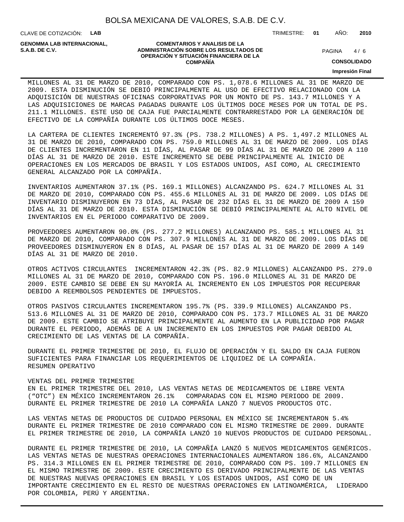CLAVE DE COTIZACIÓN: **LAB**

**GENOMMA LAB INTERNACIONAL,**

#### **COMENTARIOS Y ANALISIS DE LA ADMINISTRACIÓN SOBRE LOS RESULTADOS DE PAGINA 1/6** PAGINA 1/6 **OPERACIÓN Y SITUACIÓN FINANCIERA DE LA COMPAÑÍA**

 $4/6$ 

TRIMESTRE: **01** AÑO: **2010**

**CONSOLIDADO**

**Impresión Final**

MILLONES AL 31 DE MARZO DE 2010, COMPARADO CON PS. 1,078.6 MILLONES AL 31 DE MARZO DE 2009. ESTA DISMINUCIÓN SE DEBIÓ PRINCIPALMENTE AL USO DE EFECTIVO RELACIONADO CON LA ADQUISICIÓN DE NUESTRAS OFICINAS CORPORATIVAS POR UN MONTO DE PS. 143.7 MILLONES Y A LAS ADQUISICIONES DE MARCAS PAGADAS DURANTE LOS ÚLTIMOS DOCE MESES POR UN TOTAL DE PS. 211.1 MILLONES. ESTE USO DE CAJA FUE PARCIALMENTE CONTRARRESTADO POR LA GENERACIÓN DE EFECTIVO DE LA COMPAÑÍA DURANTE LOS ÚLTIMOS DOCE MESES.

LA CARTERA DE CLIENTES INCREMENTÓ 97.3% (PS. 738.2 MILLONES) A PS. 1,497.2 MILLONES AL 31 DE MARZO DE 2010, COMPARADO CON PS. 759.0 MILLONES AL 31 DE MARZO DE 2009. LOS DÍAS DE CLIENTES INCREMENTARON EN 11 DÍAS, AL PASAR DE 99 DÍAS AL 31 DE MARZO DE 2009 A 110 DÍAS AL 31 DE MARZO DE 2010. ESTE INCREMENTO SE DEBE PRINCIPALMENTE AL INICIO DE OPERACIONES EN LOS MERCADOS DE BRASIL Y LOS ESTADOS UNIDOS, ASÍ COMO, AL CRECIMIENTO GENERAL ALCANZADO POR LA COMPAÑÍA.

INVENTARIOS AUMENTARON 37.1% (PS. 169.1 MILLONES) ALCANZANDO PS. 624.7 MILLONES AL 31 DE MARZO DE 2010, COMPARADO CON PS. 455.6 MILLONES AL 31 DE MARZO DE 2009. LOS DÍAS DE INVENTARIO DISMINUYERON EN 73 DÍAS, AL PASAR DE 232 DÍAS EL 31 DE MARZO DE 2009 A 159 DÍAS AL 31 DE MARZO DE 2010. ESTA DISMINUCIÓN SE DEBIÓ PRINCIPALMENTE AL ALTO NIVEL DE INVENTARIOS EN EL PERIODO COMPARATIVO DE 2009.

PROVEEDORES AUMENTARON 90.0% (PS. 277.2 MILLONES) ALCANZANDO PS. 585.1 MILLONES AL 31 DE MARZO DE 2010, COMPARADO CON PS. 307.9 MILLONES AL 31 DE MARZO DE 2009. LOS DÍAS DE PROVEEDORES DISMINUYERON EN 8 DÍAS, AL PASAR DE 157 DÍAS AL 31 DE MARZO DE 2009 A 149 DÍAS AL 31 DE MARZO DE 2010.

OTROS ACTIVOS CIRCULANTES INCREMENTARON 42.3% (PS. 82.9 MILLONES) ALCANZANDO PS. 279.0 MILLONES AL 31 DE MARZO DE 2010, COMPARADO CON PS. 196.0 MILLONES AL 31 DE MARZO DE 2009. ESTE CAMBIO SE DEBE EN SU MAYORÍA AL INCREMENTO EN LOS IMPUESTOS POR RECUPERAR DEBIDO A REEMBOLSOS PENDIENTES DE IMPUESTOS.

OTROS PASIVOS CIRCULANTES INCREMENTARON 195.7% (PS. 339.9 MILLONES) ALCANZANDO PS. 513.6 MILLONES AL 31 DE MARZO DE 2010, COMPARADO CON PS. 173.7 MILLONES AL 31 DE MARZO DE 2009. ESTE CAMBIO SE ATRIBUYE PRINCIPALMENTE AL AUMENTO EN LA PUBLICIDAD POR PAGAR DURANTE EL PERIODO, ADEMÁS DE A UN INCREMENTO EN LOS IMPUESTOS POR PAGAR DEBIDO AL CRECIMIENTO DE LAS VENTAS DE LA COMPAÑÍA.

DURANTE EL PRIMER TRIMESTRE DE 2010, EL FLUJO DE OPERACIÓN Y EL SALDO EN CAJA FUERON SUFICIENTES PARA FINANCIAR LOS REQUERIMIENTOS DE LIQUIDEZ DE LA COMPAÑÍA. RESUMEN OPERATIVO

#### VENTAS DEL PRIMER TRIMESTRE

EN EL PRIMER TRIMESTRE DEL 2010, LAS VENTAS NETAS DE MEDICAMENTOS DE LIBRE VENTA ("OTC") EN MÉXICO INCREMENTARON 26.1% COMPARADAS CON EL MISMO PERIODO DE 2009. DURANTE EL PRIMER TRIMESTRE DE 2010 LA COMPAÑÍA LANZÓ 7 NUEVOS PRODUCTOS OTC.

LAS VENTAS NETAS DE PRODUCTOS DE CUIDADO PERSONAL EN MÉXICO SE INCREMENTARON 5.4% DURANTE EL PRIMER TRIMESTRE DE 2010 COMPARADO CON EL MISMO TRIMESTRE DE 2009. DURANTE EL PRIMER TRIMESTRE DE 2010, LA COMPAÑÍA LANZÓ 10 NUEVOS PRODUCTOS DE CUIDADO PERSONAL.

DURANTE EL PRIMER TRIMESTRE DE 2010, LA COMPAÑÍA LANZÓ 5 NUEVOS MEDICAMENTOS GENÉRICOS. LAS VENTAS NETAS DE NUESTRAS OPERACIONES INTERNACIONALES AUMENTARON 186.6%, ALCANZANDO PS. 314.3 MILLONES EN EL PRIMER TRIMESTRE DE 2010, COMPARADO CON PS. 109.7 MILLONES EN EL MISMO TRIMESTRE DE 2009. ESTE CRECIMIENTO ES DERIVADO PRINCIPALMENTE DE LAS VENTAS DE NUESTRAS NUEVAS OPERACIONES EN BRASIL Y LOS ESTADOS UNIDOS, ASÍ COMO DE UN IMPORTANTE CRECIMIENTO EN EL RESTO DE NUESTRAS OPERACIONES EN LATINOAMÉRICA, LIDERADO POR COLOMBIA, PERÚ Y ARGENTINA.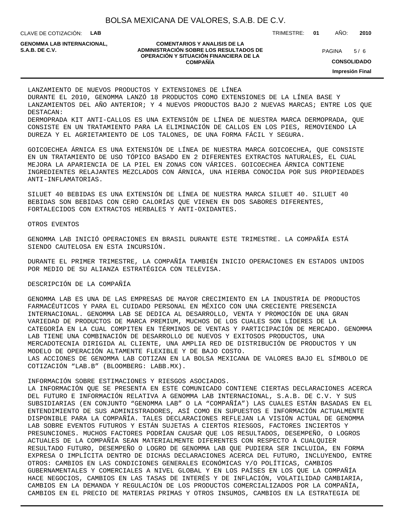CLAVE DE COTIZACIÓN: **LAB**

**GENOMMA LAB INTERNACIONAL,**

#### **COMENTARIOS Y ANALISIS DE LA ADMINISTRACIÓN SOBRE LOS RESULTADOS DE S.A.B. DE C.V.** PAGINA / 6 **OPERACIÓN Y SITUACIÓN FINANCIERA DE LA COMPAÑÍA**

 $5/6$ 

TRIMESTRE: **01** AÑO: **2010**

**CONSOLIDADO**

**Impresión Final**

LANZAMIENTO DE NUEVOS PRODUCTOS Y EXTENSIONES DE LÍNEA DURANTE EL 2010, GENOMMA LANZÓ 18 PRODUCTOS COMO EXTENSIONES DE LA LÍNEA BASE Y LANZAMIENTOS DEL AÑO ANTERIOR; Y 4 NUEVOS PRODUCTOS BAJO 2 NUEVAS MARCAS; ENTRE LOS QUE DESTACAN: DERMOPRADA KIT ANTI-CALLOS ES UNA EXTENSIÓN DE LÍNEA DE NUESTRA MARCA DERMOPRADA, QUE CONSISTE EN UN TRATAMIENTO PARA LA ELIMINACIÓN DE CALLOS EN LOS PIES, REMOVIENDO LA DUREZA Y EL AGRIETAMIENTO DE LOS TALONES, DE UNA FORMA FÁCIL Y SEGURA.

GOICOECHEA ÁRNICA ES UNA EXTENSIÓN DE LÍNEA DE NUESTRA MARCA GOICOECHEA, QUE CONSISTE EN UN TRATAMIENTO DE USO TÓPICO BASADO EN 2 DIFERENTES EXTRACTOS NATURALES, EL CUAL MEJORA LA APARIENCIA DE LA PIEL EN ZONAS CON VÁRICES. GOICOECHEA ÁRNICA CONTIENE INGREDIENTES RELAJANTES MEZCLADOS CON ÁRNICA, UNA HIERBA CONOCIDA POR SUS PROPIEDADES ANTI-INFLAMATORIAS.

SILUET 40 BEBIDAS ES UNA EXTENSIÓN DE LÍNEA DE NUESTRA MARCA SILUET 40. SILUET 40 BEBIDAS SON BEBIDAS CON CERO CALORÍAS QUE VIENEN EN DOS SABORES DIFERENTES, FORTALECIDOS CON EXTRACTOS HERBALES Y ANTI-OXIDANTES.

#### OTROS EVENTOS

 GENOMMA LAB INICIÓ OPERACIONES EN BRASIL DURANTE ESTE TRIMESTRE. LA COMPAÑÍA ESTÁ SIENDO CAUTELOSA EN ESTA INCURSIÓN.

 DURANTE EL PRIMER TRIMESTRE, LA COMPAÑÍA TAMBIÉN INICIO OPERACIONES EN ESTADOS UNIDOS POR MEDIO DE SU ALIANZA ESTRATÉGICA CON TELEVISA.

#### DESCRIPCIÓN DE LA COMPAÑÍA

GENOMMA LAB ES UNA DE LAS EMPRESAS DE MAYOR CRECIMIENTO EN LA INDUSTRIA DE PRODUCTOS FARMACÉUTICOS Y PARA EL CUIDADO PERSONAL EN MÉXICO CON UNA CRECIENTE PRESENCIA INTERNACIONAL. GENOMMA LAB SE DEDICA AL DESARROLLO, VENTA Y PROMOCIÓN DE UNA GRAN VARIEDAD DE PRODUCTOS DE MARCA PREMIUM, MUCHOS DE LOS CUALES SON LÍDERES DE LA CATEGORÍA EN LA CUAL COMPITEN EN TÉRMINOS DE VENTAS Y PARTICIPACIÓN DE MERCADO. GENOMMA LAB TIENE UNA COMBINACIÓN DE DESARROLLO DE NUEVOS Y EXITOSOS PRODUCTOS, UNA MERCADOTECNIA DIRIGIDA AL CLIENTE, UNA AMPLIA RED DE DISTRIBUCIÓN DE PRODUCTOS Y UN MODELO DE OPERACIÓN ALTAMENTE FLEXIBLE Y DE BAJO COSTO. LAS ACCIONES DE GENOMMA LAB COTIZAN EN LA BOLSA MEXICANA DE VALORES BAJO EL SÍMBOLO DE COTIZACIÓN "LAB.B" (BLOOMBERG: LABB.MX).

#### INFORMACIÓN SOBRE ESTIMACIONES Y RIESGOS ASOCIADOS.

LA INFORMACIÓN QUE SE PRESENTA EN ESTE COMUNICADO CONTIENE CIERTAS DECLARACIONES ACERCA DEL FUTURO E INFORMACIÓN RELATIVA A GENOMMA LAB INTERNACIONAL, S.A.B. DE C.V. Y SUS SUBSIDIARIAS (EN CONJUNTO "GENOMMA LAB" O LA "COMPAÑÍA") LAS CUALES ESTÁN BASADAS EN EL ENTENDIMIENTO DE SUS ADMINISTRADORES, ASÍ COMO EN SUPUESTOS E INFORMACIÓN ACTUALMENTE DISPONIBLE PARA LA COMPAÑÍA. TALES DECLARACIONES REFLEJAN LA VISIÓN ACTUAL DE GENOMMA LAB SOBRE EVENTOS FUTUROS Y ESTÁN SUJETAS A CIERTOS RIESGOS, FACTORES INCIERTOS Y PRESUNCIONES. MUCHOS FACTORES PODRÍAN CAUSAR QUE LOS RESULTADOS, DESEMPEÑO, O LOGROS ACTUALES DE LA COMPAÑÍA SEAN MATERIALMENTE DIFERENTES CON RESPECTO A CUALQUIER RESULTADO FUTURO, DESEMPEÑO O LOGRO DE GENOMMA LAB QUE PUDIERA SER INCLUIDA, EN FORMA EXPRESA O IMPLÍCITA DENTRO DE DICHAS DECLARACIONES ACERCA DEL FUTURO, INCLUYENDO, ENTRE OTROS: CAMBIOS EN LAS CONDICIONES GENERALES ECONÓMICAS Y/O POLÍTICAS, CAMBIOS GUBERNAMENTALES Y COMERCIALES A NIVEL GLOBAL Y EN LOS PAÍSES EN LOS QUE LA COMPAÑÍA HACE NEGOCIOS, CAMBIOS EN LAS TASAS DE INTERÉS Y DE INFLACIÓN, VOLATILIDAD CAMBIARIA, CAMBIOS EN LA DEMANDA Y REGULACIÓN DE LOS PRODUCTOS COMERCIALIZADOS POR LA COMPAÑÍA, CAMBIOS EN EL PRECIO DE MATERIAS PRIMAS Y OTROS INSUMOS, CAMBIOS EN LA ESTRATEGIA DE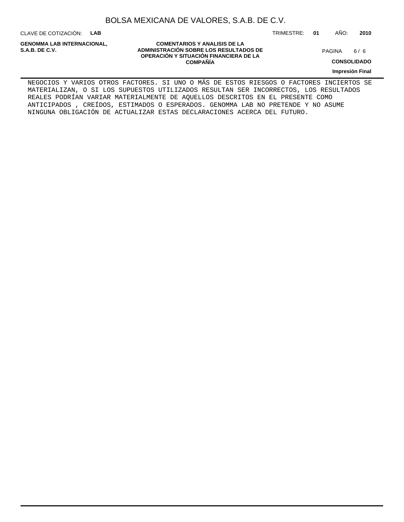CLAVE DE COTIZACIÓN: **LAB**

**GENOMMA LAB INTERNACIONAL,**

**COMENTARIOS Y ANALISIS DE LA ADMINISTRACIÓN SOBRE LOS RESULTADOS DE S.A.B. DE C.V.** PAGINA / 6 **OPERACIÓN Y SITUACIÓN FINANCIERA DE LA COMPAÑÍA**

 $6/6$ 

**CONSOLIDADO**

**Impresión Final**

NEGOCIOS Y VARIOS OTROS FACTORES. SI UNO O MÁS DE ESTOS RIESGOS O FACTORES INCIERTOS SE MATERIALIZAN, O SI LOS SUPUESTOS UTILIZADOS RESULTAN SER INCORRECTOS, LOS RESULTADOS REALES PODRÍAN VARIAR MATERIALMENTE DE AQUELLOS DESCRITOS EN EL PRESENTE COMO ANTICIPADOS , CREÍDOS, ESTIMADOS O ESPERADOS. GENOMMA LAB NO PRETENDE Y NO ASUME NINGUNA OBLIGACIÓN DE ACTUALIZAR ESTAS DECLARACIONES ACERCA DEL FUTURO.

TRIMESTRE: **01** AÑO: **2010**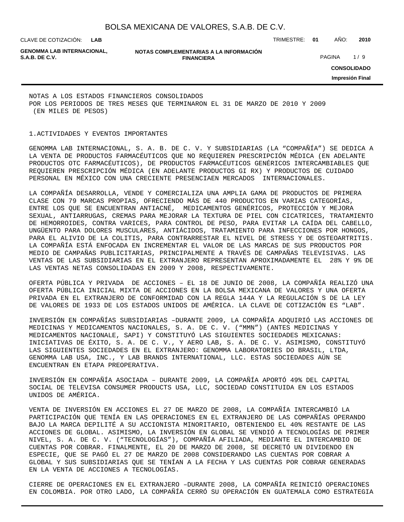**LAB**

CLAVE DE COTIZACIÓN: TRIMESTRE: **01** AÑO: **2010**

**GENOMMA LAB INTERNACIONAL,**

**NOTAS COMPLEMENTARIAS A LA INFORMACIÓN FINANCIERA S.A.B. DE C.V.** PAGINA 1 / 9

**CONSOLIDADO Impresión Final**

NOTAS A LOS ESTADOS FINANCIEROS CONSOLIDADOS POR LOS PERIODOS DE TRES MESES QUE TERMINARON EL 31 DE MARZO DE 2010 Y 2009 (EN MILES DE PESOS)

#### 1. ACTIVIDADES Y EVENTOS IMPORTANTES

GENOMMA LAB INTERNACIONAL, S. A. B. DE C. V. Y SUBSIDIARIAS (LA "COMPAÑÍA") SE DEDICA A LA VENTA DE PRODUCTOS FARMACÉUTICOS QUE NO REQUIEREN PRESCRIPCIÓN MÉDICA (EN ADELANTE PRODUCTOS OTC FARMACÉUTICOS), DE PRODUCTOS FARMACÉUTICOS GENÉRICOS INTERCAMBIABLES QUE REQUIEREN PRESCRIPCIÓN MÉDICA (EN ADELANTE PRODUCTOS GI RX) Y PRODUCTOS DE CUIDADO PERSONAL EN MÉXICO CON UNA CRECIENTE PRESENCIAEN MERCADOS INTERNACIONALES.

LA COMPAÑÍA DESARROLLA, VENDE Y COMERCIALIZA UNA AMPLIA GAMA DE PRODUCTOS DE PRIMERA CLASE CON 79 MARCAS PROPIAS, OFRECIENDO MÁS DE 440 PRODUCTOS EN VARIAS CATEGORÍAS, ENTRE LOS QUE SE ENCUENTRAN ANTIACNÉ, MEDICAMENTOS GENÉRICOS, PROTECCIÓN Y MEJORA SEXUAL, ANTIARRUGAS, CREMAS PARA MEJORAR LA TEXTURA DE PIEL CON CICATRICES, TRATAMIENTO DE HEMORROIDES, CONTRA VARICES, PARA CONTROL DE PESO, PARA EVITAR LA CAÍDA DEL CABELLO, UNGÜENTO PARA DOLORES MUSCULARES, ANTIÁCIDOS, TRATAMIENTO PARA INFECCIONES POR HONGOS, PARA EL ALIVIO DE LA COLITIS, PARA CONTRARRESTAR EL NIVEL DE STRESS Y DE OSTEOARTRITIS. LA COMPAÑÍA ESTÁ ENFOCADA EN INCREMENTAR EL VALOR DE LAS MARCAS DE SUS PRODUCTOS POR MEDIO DE CAMPAÑAS PUBLICITARIAS, PRINCIPALMENTE A TRAVÉS DE CAMPAÑAS TELEVISIVAS. LAS VENTAS DE LAS SUBSIDIARIAS EN EL EXTRANJERO REPRESENTAN APROXIMADAMENTE EL 28% Y 9% DE LAS VENTAS NETAS CONSOLIDADAS EN 2009 Y 2008, RESPECTIVAMENTE.

OFERTA PÚBLICA Y PRIVADA DE ACCIONES – EL 18 DE JUNIO DE 2008, LA COMPAÑÍA REALIZÓ UNA OFERTA PÚBLICA INICIAL MIXTA DE ACCIONES EN LA BOLSA MEXICANA DE VALORES Y UNA OFERTA PRIVADA EN EL EXTRANJERO DE CONFORMIDAD CON LA REGLA 144A Y LA REGULACIÓN S DE LA LEY DE VALORES DE 1933 DE LOS ESTADOS UNIDOS DE AMÉRICA. LA CLAVE DE COTIZACIÓN ES "LAB".

INVERSIÓN EN COMPAÑÍAS SUBSIDIARIAS –DURANTE 2009, LA COMPAÑÍA ADQUIRIÓ LAS ACCIONES DE MEDICINAS Y MEDICAMENTOS NACIONALES, S. A. DE C. V. ("MMN") (ANTES MEDICINAS Y MEDICAMENTOS NACIONALE, SAPI) Y CONSTITUYÓ LAS SIGUIENTES SOCIEDADES MEXICANAS: INICIATIVAS DE ÉXITO, S. A. DE C. V., Y AERO LAB, S. A. DE C. V. ASIMISMO, CONSTITUYÓ LAS SIGUIENTES SOCIEDADES EN EL EXTRANJERO: GENOMMA LABORATORIES DO BRASIL, LTDA, GENOMMA LAB USA, INC., Y LAB BRANDS INTERNATIONAL, LLC. ESTAS SOCIEDADES AÚN SE ENCUENTRAN EN ETAPA PREOPERATIVA.

INVERSIÓN EN COMPAÑÍA ASOCIADA – DURANTE 2009, LA COMPAÑÍA APORTÓ 49% DEL CAPITAL SOCIAL DE TELEVISA CONSUMER PRODUCTS USA, LLC, SOCIEDAD CONSTITUIDA EN LOS ESTADOS UNIDOS DE AMÉRICA.

VENTA DE INVERSIÓN EN ACCIONES EL 27 DE MARZO DE 2008, LA COMPAÑÍA INTERCAMBIÓ LA PARTICIPACIÓN QUE TENÍA EN LAS OPERACIONES EN EL EXTRANJERO DE LAS COMPAÑÍAS OPERANDO BAJO LA MARCA DEPILITÉ A SU ACCIONISTA MINORITARIO, OBTENIENDO EL 40% RESTANTE DE LAS ACCIONES DE GLOBAL. ASIMISMO, LA INVERSIÓN EN GLOBAL SE VENDIÓ A TECNOLOGÍAS DE PRIMER NIVEL, S. A. DE C. V. ("TECNOLOGÍAS"), COMPAÑÍA AFILIADA, MEDIANTE EL INTERCAMBIO DE CUENTAS POR COBRAR. FINALMENTE, EL 20 DE MARZO DE 2008, SE DECRETÓ UN DIVIDENDO EN ESPECIE, QUE SE PAGÓ EL 27 DE MARZO DE 2008 CONSIDERANDO LAS CUENTAS POR COBRAR A GLOBAL Y SUS SUBSIDIARIAS QUE SE TENÍAN A LA FECHA Y LAS CUENTAS POR COBRAR GENERADAS EN LA VENTA DE ACCIONES A TECNOLOGÍAS.

CIERRE DE OPERACIONES EN EL EXTRANJERO –DURANTE 2008, LA COMPAÑÍA REINICIÓ OPERACIONES EN COLOMBIA. POR OTRO LADO, LA COMPAÑÍA CERRÓ SU OPERACIÓN EN GUATEMALA COMO ESTRATEGIA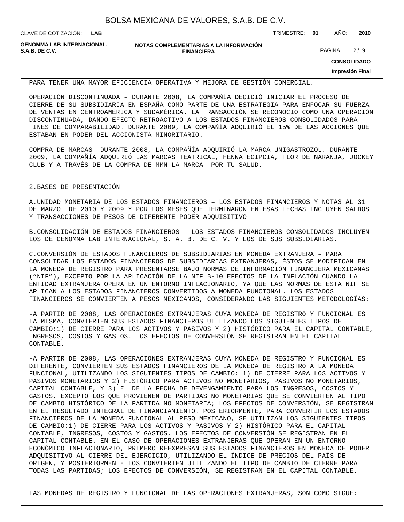**LAB**

CLAVE DE COTIZACIÓN: TRIMESTRE: **01** AÑO: **2010**

**GENOMMA LAB INTERNACIONAL,**

**NOTAS COMPLEMENTARIAS A LA INFORMACIÓN FINANCIERA S.A.B. DE C.V.** PAGINA 2 / 9

**CONSOLIDADO**

**Impresión Final**

PARA TENER UNA MAYOR EFICIENCIA OPERATIVA Y MEJORA DE GESTIÓN COMERCIAL.

OPERACIÓN DISCONTINUADA – DURANTE 2008, LA COMPAÑÍA DECIDIÓ INICIAR EL PROCESO DE CIERRE DE SU SUBSIDIARIA EN ESPAÑA COMO PARTE DE UNA ESTRATEGIA PARA ENFOCAR SU FUERZA DE VENTAS EN CENTROAMÉRICA Y SUDAMÉRICA. LA TRANSACCIÓN SE RECONOCIÓ COMO UNA OPERACIÓN DISCONTINUADA, DANDO EFECTO RETROACTIVO A LOS ESTADOS FINANCIEROS CONSOLIDADOS PARA FINES DE COMPARABILIDAD. DURANTE 2009, LA COMPAÑÍA ADQUIRIÓ EL 15% DE LAS ACCIONES QUE ESTABAN EN PODER DEL ACCIONISTA MINORITARIO.

COMPRA DE MARCAS –DURANTE 2008, LA COMPAÑÍA ADQUIRIÓ LA MARCA UNIGASTROZOL. DURANTE 2009, LA COMPAÑÍA ADQUIRIÓ LAS MARCAS TEATRICAL, HENNA EGIPCIA, FLOR DE NARANJA, JOCKEY CLUB Y A TRAVÉS DE LA COMPRA DE MMN LA MARCA POR TU SALUD.

#### 2. BASES DE PRESENTACIÓN

A. UNIDAD MONETARIA DE LOS ESTADOS FINANCIEROS – LOS ESTADOS FINANCIEROS Y NOTAS AL 31 DE MARZO DE 2010 Y 2009 Y POR LOS MESES QUE TERMINARON EN ESAS FECHAS INCLUYEN SALDOS Y TRANSACCIONES DE PESOS DE DIFERENTE PODER ADQUISITIVO

B. CONSOLIDACIÓN DE ESTADOS FINANCIEROS - LOS ESTADOS FINANCIEROS CONSOLIDADOS INCLUYEN LOS DE GENOMMA LAB INTERNACIONAL, S. A. B. DE C. V. Y LOS DE SUS SUBSIDIARIAS.

C. CONVERSIÓN DE ESTADOS FINANCIEROS DE SUBSIDIARIAS EN MONEDA EXTRANJERA – PARA CONSOLIDAR LOS ESTADOS FINANCIEROS DE SUBSIDIARIAS EXTRANJERAS, ÉSTOS SE MODIFICAN EN LA MONEDA DE REGISTRO PARA PRESENTARSE BAJO NORMAS DE INFORMACIÓN FINANCIERA MEXICANAS ("NIF"), EXCEPTO POR LA APLICACIÓN DE LA NIF B-10 EFECTOS DE LA INFLACIÓN CUANDO LA ENTIDAD EXTRANJERA OPERA EN UN ENTORNO INFLACIONARIO, YA QUE LAS NORMAS DE ESTA NIF SE APLICAN A LOS ESTADOS FINANCIEROS CONVERTIDOS A MONEDA FUNCIONAL. LOS ESTADOS FINANCIEROS SE CONVIERTEN A PESOS MEXICANOS, CONSIDERANDO LAS SIGUIENTES METODOLOGÍAS:

- A PARTIR DE 2008, LAS OPERACIONES EXTRANJERAS CUYA MONEDA DE REGISTRO Y FUNCIONAL ES LA MISMA, CONVIERTEN SUS ESTADOS FINANCIEROS UTILIZANDO LOS SIGUIENTES TIPOS DE CAMBIO:1) DE CIERRE PARA LOS ACTIVOS Y PASIVOS Y 2) HISTÓRICO PARA EL CAPITAL CONTABLE, INGRESOS, COSTOS Y GASTOS. LOS EFECTOS DE CONVERSIÓN SE REGISTRAN EN EL CAPITAL CONTABLE.

- A PARTIR DE 2008, LAS OPERACIONES EXTRANJERAS CUYA MONEDA DE REGISTRO Y FUNCIONAL ES DIFERENTE, CONVIERTEN SUS ESTADOS FINANCIEROS DE LA MONEDA DE REGISTRO A LA MONEDA FUNCIONAL, UTILIZANDO LOS SIGUIENTES TIPOS DE CAMBIO: 1) DE CIERRE PARA LOS ACTIVOS Y PASIVOS MONETARIOS Y 2) HISTÓRICO PARA ACTIVOS NO MONETARIOS, PASIVOS NO MONETARIOS, CAPITAL CONTABLE, Y 3) EL DE LA FECHA DE DEVENGAMIENTO PARA LOS INGRESOS, COSTOS Y GASTOS, EXCEPTO LOS QUE PROVIENEN DE PARTIDAS NO MONETARIAS QUE SE CONVIERTEN AL TIPO DE CAMBIO HISTÓRICO DE LA PARTIDA NO MONETARIA; LOS EFECTOS DE CONVERSIÓN, SE REGISTRAN EN EL RESULTADO INTEGRAL DE FINANCIAMIENTO. POSTERIORMENTE, PARA CONVERTIR LOS ESTADOS FINANCIEROS DE LA MONEDA FUNCIONAL AL PESO MEXICANO, SE UTILIZAN LOS SIGUIENTES TIPOS DE CAMBIO:1) DE CIERRE PARA LOS ACTIVOS Y PASIVOS Y 2) HISTÓRICO PARA EL CAPITAL CONTABLE, INGRESOS, COSTOS Y GASTOS. LOS EFECTOS DE CONVERSIÓN SE REGISTRAN EN EL CAPITAL CONTABLE. EN EL CASO DE OPERACIONES EXTRANJERAS QUE OPERAN EN UN ENTORNO ECONÓMICO INFLACIONARIO, PRIMERO REEXPRESAN SUS ESTADOS FINANCIEROS EN MONEDA DE PODER ADQUISITIVO AL CIERRE DEL EJERCICIO, UTILIZANDO EL ÍNDICE DE PRECIOS DEL PAÍS DE ORIGEN, Y POSTERIORMENTE LOS CONVIERTEN UTILIZANDO EL TIPO DE CAMBIO DE CIERRE PARA TODAS LAS PARTIDAS; LOS EFECTOS DE CONVERSIÓN, SE REGISTRAN EN EL CAPITAL CONTABLE.

LAS MONEDAS DE REGISTRO Y FUNCIONAL DE LAS OPERACIONES EXTRANJERAS, SON COMO SIGUE: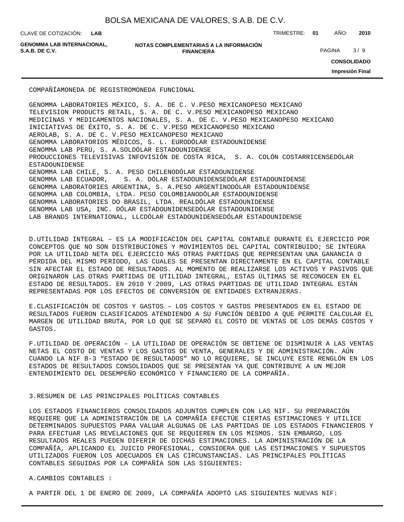**LAB**

CLAVE DE COTIZACIÓN: TRIMESTRE: **01** AÑO: **2010**

**GENOMMA LAB INTERNACIONAL,**

```
NOTAS COMPLEMENTARIAS A LA INFORMACIÓN
                        FINANCIERA
S.A.B. DE C.V. PAGINA 3 / 9
```
**CONSOLIDADO**

**Impresión Final**

COMPAÑÍA MONEDA DE REGISTRO MONEDA FUNCIONAL

GENOMMA LABORATORIES MÉXICO, S. A. DE C. V. PESO MEXICANO PESO MEXICANO TELEVISION PRODUCTS RETAIL, S. A. DE C. V. PESO MEXICANO PESO MEXICANO MEDICINAS Y MEDICAMENTOS NACIONALES, S. A. DE C. V. PESO MEXICANO PESO MEXICANO INICIATIVAS DE ÉXITO, S. A. DE C. V. PESO MEXICANO PESO MEXICANO AEROLAB, S. A. DE C. V. PESO MEXICANO PESO MEXICANO GENOMMA LABORATORIOS MÉDICOS, S. L. EURO DÓLAR ESTADOUNIDENSE GENOMMA LAB PERÚ, S. A. SOL DÓLAR ESTADOUNIDENSE PRODUCCIONES TELEVISIVAS INFOVISIÓN DE COSTA RICA, S. A. COLÓN COSTARRICENSE DÓLAR ESTADOUNIDENSE GENOMMA LAB CHILE, S. A. PESO CHILENO DÓLAR ESTADOUNIDENSE GENOMMA LAB ECUADOR, S. A. DÓLAR ESTADOUNIDENSE DÓLAR ESTADOUNIDENSE GENOMMA LABORATORIES ARGENTINA, S. A. PESO ARGENTINO DÓLAR ESTADOUNIDENSE GENOMMA LAB COLOMBIA, LTDA. PESO COLOMBIANO DÓLAR ESTADOUNIDENSE GENOMMA LABORATORIES DO BRASIL, LTDA. REAL DÓLAR ESTADOUNIDENSE GENOMMA LAB USA, INC. DÓLAR ESTADOUNIDENSE DÓLAR ESTADOUNIDENSE LAB BRANDS INTERNATIONAL, LLC DÓLAR ESTADOUNIDENSE DÓLAR ESTADOUNIDENSE

D. UTILIDAD INTEGRAL – ES LA MODIFICACIÓN DEL CAPITAL CONTABLE DURANTE EL EJERCICIO POR CONCEPTOS QUE NO SON DISTRIBUCIONES Y MOVIMIENTOS DEL CAPITAL CONTRIBUIDO; SE INTEGRA POR LA UTILIDAD NETA DEL EJERCICIO MÁS OTRAS PARTIDAS QUE REPRESENTAN UNA GANANCIA O PÉRDIDA DEL MISMO PERIODO, LAS CUALES SE PRESENTAN DIRECTAMENTE EN EL CAPITAL CONTABLE SIN AFECTAR EL ESTADO DE RESULTADOS. AL MOMENTO DE REALIZARSE LOS ACTIVOS Y PASIVOS QUE ORIGINARON LAS OTRAS PARTIDAS DE UTILIDAD INTEGRAL, ESTAS ÚLTIMAS SE RECONOCEN EN EL ESTADO DE RESULTADOS. EN 2010 Y 2009, LAS OTRAS PARTIDAS DE UTILIDAD INTEGRAL ESTÁN REPRESENTADAS POR LOS EFECTOS DE CONVERSIÓN DE ENTIDADES EXTRANJERAS.

E. CLASIFICACIÓN DE COSTOS Y GASTOS – LOS COSTOS Y GASTOS PRESENTADOS EN EL ESTADO DE RESULTADOS FUERON CLASIFICADOS ATENDIENDO A SU FUNCIÓN DEBIDO A QUE PERMITE CALCULAR EL MARGEN DE UTILIDAD BRUTA, POR LO QUE SE SEPARÓ EL COSTO DE VENTAS DE LOS DEMÁS COSTOS Y GASTOS.

F. UTILIDAD DE OPERACIÓN – LA UTILIDAD DE OPERACIÓN SE OBTIENE DE DISMINUIR A LAS VENTAS NETAS EL COSTO DE VENTAS Y LOS GASTOS DE VENTA, GENERALES Y DE ADMINISTRACIÓN. AÚN CUANDO LA NIF B-3 "ESTADO DE RESULTADOS" NO LO REQUIERE, SE INCLUYE ESTE RENGLÓN EN LOS ESTADOS DE RESULTADOS CONSOLIDADOS QUE SE PRESENTAN YA QUE CONTRIBUYE A UN MEJOR ENTENDIMIENTO DEL DESEMPEÑO ECONÓMICO Y FINANCIERO DE LA COMPAÑÍA.

#### 3. RESUMEN DE LAS PRINCIPALES POLÍTICAS CONTABLES

LOS ESTADOS FINANCIEROS CONSOLIDADOS ADJUNTOS CUMPLEN CON LAS NIF. SU PREPARACIÓN REQUIERE QUE LA ADMINISTRACIÓN DE LA COMPAÑÍA EFECTÚE CIERTAS ESTIMACIONES Y UTILICE DETERMINADOS SUPUESTOS PARA VALUAR ALGUNAS DE LAS PARTIDAS DE LOS ESTADOS FINANCIEROS Y PARA EFECTUAR LAS REVELACIONES QUE SE REQUIEREN EN LOS MISMOS. SIN EMBARGO, LOS RESULTADOS REALES PUEDEN DIFERIR DE DICHAS ESTIMACIONES. LA ADMINISTRACIÓN DE LA COMPAÑÍA, APLICANDO EL JUICIO PROFESIONAL, CONSIDERA QUE LAS ESTIMACIONES Y SUPUESTOS UTILIZADOS FUERON LOS ADECUADOS EN LAS CIRCUNSTANCIAS. LAS PRINCIPALES POLÍTICAS CONTABLES SEGUIDAS POR LA COMPAÑÍA SON LAS SIGUIENTES:

A. CAMBIOS CONTABLES :

A PARTIR DEL 1 DE ENERO DE 2009, LA COMPAÑÍA ADOPTÓ LAS SIGUIENTES NUEVAS NIF: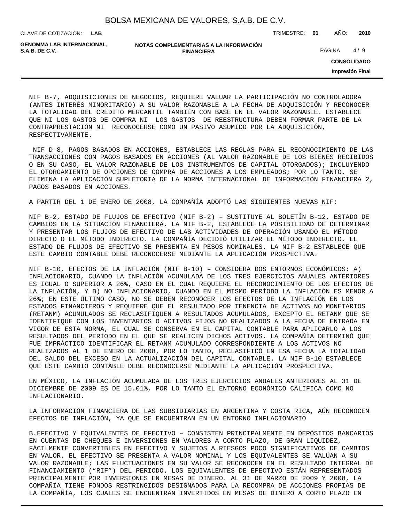| BOLSA MEXICANA DE VALORES, S.A.B. DE C.V. |  |  |  |
|-------------------------------------------|--|--|--|
|-------------------------------------------|--|--|--|

**LAB**

CLAVE DE COTIZACIÓN: TRIMESTRE: **01** AÑO: **2010**

| GENOMMA LAB INTERNACIONAL. | NOTAS COMPLEMENTARIAS A LA INFORMACIÓN |               |     |
|----------------------------|----------------------------------------|---------------|-----|
| S.A.B. DE C.V.             | <b>FINANCIERA</b>                      | <b>PAGINA</b> | 4/9 |

**CONSOLIDADO**

**Impresión Final**

NIF B-7, ADQUISICIONES DE NEGOCIOS, REQUIERE VALUAR LA PARTICIPACIÓN NO CONTROLADORA (ANTES INTERÉS MINORITARIO) A SU VALOR RAZONABLE A LA FECHA DE ADQUISICIÓN Y RECONOCER LA TOTALIDAD DEL CRÉDITO MERCANTIL TAMBIÉN CON BASE EN EL VALOR RAZONABLE. ESTABLECE QUE NI LOS GASTOS DE COMPRA NI LOS GASTOS DE REESTRUCTURA DEBEN FORMAR PARTE DE LA CONTRAPRESTACIÓN NI RECONOCERSE COMO UN PASIVO ASUMIDO POR LA ADQUISICIÓN, RESPECTIVAMENTE.

 NIF D-8, PAGOS BASADOS EN ACCIONES, ESTABLECE LAS REGLAS PARA EL RECONOCIMIENTO DE LAS TRANSACCIONES CON PAGOS BASADOS EN ACCIONES (AL VALOR RAZONABLE DE LOS BIENES RECIBIDOS O EN SU CASO, EL VALOR RAZONABLE DE LOS INSTRUMENTOS DE CAPITAL OTORGADOS); INCLUYENDO EL OTORGAMIENTO DE OPCIONES DE COMPRA DE ACCIONES A LOS EMPLEADOS; POR LO TANTO, SE ELIMINA LA APLICACIÓN SUPLETORIA DE LA NORMA INTERNACIONAL DE INFORMACIÓN FINANCIERA 2, PAGOS BASADOS EN ACCIONES.

A PARTIR DEL 1 DE ENERO DE 2008, LA COMPAÑÍA ADOPTÓ LAS SIGUIENTES NUEVAS NIF:

NIF B-2, ESTADO DE FLUJOS DE EFECTIVO (NIF B-2) – SUSTITUYE AL BOLETÍN B-12, ESTADO DE CAMBIOS EN LA SITUACIÓN FINANCIERA. LA NIF B-2, ESTABLECE LA POSIBILIDAD DE DETERMINAR Y PRESENTAR LOS FLUJOS DE EFECTIVO DE LAS ACTIVIDADES DE OPERACIÓN USANDO EL MÉTODO DIRECTO O EL MÉTODO INDIRECTO. LA COMPAÑÍA DECIDIÓ UTILIZAR EL MÉTODO INDIRECTO. EL ESTADO DE FLUJOS DE EFECTIVO SE PRESENTA EN PESOS NOMINALES. LA NIF B-2 ESTABLECE QUE ESTE CAMBIO CONTABLE DEBE RECONOCERSE MEDIANTE LA APLICACIÓN PROSPECTIVA.

NIF B-10, EFECTOS DE LA INFLACIÓN (NIF B-10) – CONSIDERA DOS ENTORNOS ECONÓMICOS: A) INFLACIONARIO, CUANDO LA INFLACIÓN ACUMULADA DE LOS TRES EJERCICIOS ANUALES ANTERIORES ES IGUAL O SUPERIOR A 26%, CASO EN EL CUAL REQUIERE EL RECONOCIMIENTO DE LOS EFECTOS DE LA INFLACIÓN, Y B) NO INFLACIONARIO, CUANDO EN EL MISMO PERÍODO LA INFLACIÓN ES MENOR A 26%; EN ESTE ÚLTIMO CASO, NO SE DEBEN RECONOCER LOS EFECTOS DE LA INFLACIÓN EN LOS ESTADOS FINANCIEROS Y REQUIERE QUE EL RESULTADO POR TENENCIA DE ACTIVOS NO MONETARIOS (RETANM) ACUMULADOS SE RECLASIFIQUEN A RESULTADOS ACUMULADOS, EXCEPTO EL RETANM QUE SE IDENTIFIQUE CON LOS INVENTARIOS O ACTIVOS FIJOS NO REALIZADOS A LA FECHA DE ENTRADA EN VIGOR DE ESTA NORMA, EL CUAL SE CONSERVA EN EL CAPITAL CONTABLE PARA APLICARLO A LOS RESULTADOS DEL PERÍODO EN EL QUE SE REALICEN DICHOS ACTIVOS. LA COMPAÑÍA DETERMINÓ QUE FUE IMPRÁCTICO IDENTIFICAR EL RETANM ACUMULADO CORRESPONDIENTE A LOS ACTIVOS NO REALIZADOS AL 1 DE ENERO DE 2008, POR LO TANTO, RECLASIFICÓ EN ESA FECHA LA TOTALIDAD DEL SALDO DEL EXCESO EN LA ACTUALIZACIÓN DEL CAPITAL CONTABLE. LA NIF B-10 ESTABLECE QUE ESTE CAMBIO CONTABLE DEBE RECONOCERSE MEDIANTE LA APLICACIÓN PROSPECTIVA.

EN MÉXICO, LA INFLACIÓN ACUMULADA DE LOS TRES EJERCICIOS ANUALES ANTERIORES AL 31 DE DICIEMBRE DE 2009 ES DE 15.01%, POR LO TANTO EL ENTORNO ECONÓMICO CALIFICA COMO NO INFLACIONARIO.

LA INFORMACIÓN FINANCIERA DE LAS SUBSIDIARIAS EN ARGENTINA Y COSTA RICA, AÚN RECONOCEN EFECTOS DE INFLACIÓN, YA QUE SE ENCUENTRAN EN UN ENTORNO INFLACIONARIO

B. EFECTIVO Y EQUIVALENTES DE EFECTIVO – CONSISTEN PRINCIPALMENTE EN DEPÓSITOS BANCARIOS EN CUENTAS DE CHEQUES E INVERSIONES EN VALORES A CORTO PLAZO, DE GRAN LIQUIDEZ, FÁCILMENTE CONVERTIBLES EN EFECTIVO Y SUJETOS A RIESGOS POCO SIGNIFICATIVOS DE CAMBIOS EN VALOR. EL EFECTIVO SE PRESENTA A VALOR NOMINAL Y LOS EQUIVALENTES SE VALÚAN A SU VALOR RAZONABLE; LAS FLUCTUACIONES EN SU VALOR SE RECONOCEN EN EL RESULTADO INTEGRAL DE FINANCIAMIENTO ("RIF") DEL PERIODO. LOS EQUIVALENTES DE EFECTIVO ESTÁN REPRESENTADOS PRINCIPALMENTE POR INVERSIONES EN MESAS DE DINERO. AL 31 DE MARZO DE 2009 Y 2008, LA COMPAÑÍA TIENE FONDOS RESTRINGIDOS DESIGNADOS PARA LA RECOMPRA DE ACCIONES PROPIAS DE LA COMPAÑÍA, LOS CUALES SE ENCUENTRAN INVERTIDOS EN MESAS DE DINERO A CORTO PLAZO EN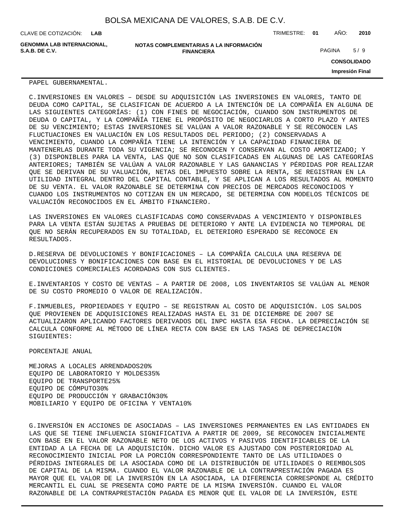CLAVE DE COTIZACIÓN: TRIMESTRE: **01** AÑO: **2010 LAB**

**GENOMMA LAB INTERNACIONAL, S.A.B. DE C.V.** PAGINA 5 / 9

**NOTAS COMPLEMENTARIAS A LA INFORMACIÓN FINANCIERA**

**CONSOLIDADO**

**Impresión Final**

PAPEL GUBERNAMENTAL.

C. INVERSIONES EN VALORES – DESDE SU ADQUISICIÓN LAS INVERSIONES EN VALORES, TANTO DE DEUDA COMO CAPITAL, SE CLASIFICAN DE ACUERDO A LA INTENCIÓN DE LA COMPAÑÍA EN ALGUNA DE LAS SIGUIENTES CATEGORÍAS: (1) CON FINES DE NEGOCIACIÓN, CUANDO SON INSTRUMENTOS DE DEUDA O CAPITAL, Y LA COMPAÑÍA TIENE EL PROPÓSITO DE NEGOCIARLOS A CORTO PLAZO Y ANTES DE SU VENCIMIENTO; ESTAS INVERSIONES SE VALÚAN A VALOR RAZONABLE Y SE RECONOCEN LAS FLUCTUACIONES EN VALUACIÓN EN LOS RESULTADOS DEL PERIODO; (2) CONSERVADAS A VENCIMIENTO, CUANDO LA COMPAÑÍA TIENE LA INTENCIÓN Y LA CAPACIDAD FINANCIERA DE MANTENERLAS DURANTE TODA SU VIGENCIA; SE RECONOCEN Y CONSERVAN AL COSTO AMORTIZADO; Y (3) DISPONIBLES PARA LA VENTA, LAS QUE NO SON CLASIFICADAS EN ALGUNAS DE LAS CATEGORÍAS ANTERIORES; TAMBIÉN SE VALÚAN A VALOR RAZONABLE Y LAS GANANCIAS Y PÉRDIDAS POR REALIZAR QUE SE DERIVAN DE SU VALUACIÓN, NETAS DEL IMPUESTO SOBRE LA RENTA, SE REGISTRAN EN LA UTILIDAD INTEGRAL DENTRO DEL CAPITAL CONTABLE, Y SE APLICAN A LOS RESULTADOS AL MOMENTO DE SU VENTA. EL VALOR RAZONABLE SE DETERMINA CON PRECIOS DE MERCADOS RECONOCIDOS Y CUANDO LOS INSTRUMENTOS NO COTIZAN EN UN MERCADO, SE DETERMINA CON MODELOS TÉCNICOS DE VALUACIÓN RECONOCIDOS EN EL ÁMBITO FINANCIERO.

LAS INVERSIONES EN VALORES CLASIFICADAS COMO CONSERVADAS A VENCIMIENTO Y DISPONIBLES PARA LA VENTA ESTÁN SUJETAS A PRUEBAS DE DETERIORO Y ANTE LA EVIDENCIA NO TEMPORAL DE QUE NO SERÁN RECUPERADOS EN SU TOTALIDAD, EL DETERIORO ESPERADO SE RECONOCE EN RESULTADOS.

D. RESERVA DE DEVOLUCIONES Y BONIFICACIONES – LA COMPAÑÍA CALCULA UNA RESERVA DE DEVOLUCIONES Y BONIFICACIONES CON BASE EN EL HISTORIAL DE DEVOLUCIONES Y DE LAS CONDICIONES COMERCIALES ACORDADAS CON SUS CLIENTES.

E. INVENTARIOS Y COSTO DE VENTAS - A PARTIR DE 2008, LOS INVENTARIOS SE VALÚAN AL MENOR DE SU COSTO PROMEDIO O VALOR DE REALIZACIÓN.

F. INMUEBLES, PROPIEDADES Y EQUIPO – SE REGISTRAN AL COSTO DE ADQUISICIÓN. LOS SALDOS QUE PROVIENEN DE ADQUISICIONES REALIZADAS HASTA EL 31 DE DICIEMBRE DE 2007 SE ACTUALIZARON APLICANDO FACTORES DERIVADOS DEL INPC HASTA ESA FECHA. LA DEPRECIACIÓN SE CALCULA CONFORME AL MÉTODO DE LÍNEA RECTA CON BASE EN LAS TASAS DE DEPRECIACIÓN SIGUIENTES:

 PORCENTAJE ANUAL

MEJORAS A LOCALES ARRENDADOS 20% EQUIPO DE LABORATORIO Y MOLDES 35% EQUIPO DE TRANSPORTE 25% EQUIPO DE CÓMPUTO 30% EQUIPO DE PRODUCCIÓN Y GRABACIÓN 30% MOBILIARIO Y EQUIPO DE OFICINA Y VENTA 10%

G. INVERSIÓN EN ACCIONES DE ASOCIADAS – LAS INVERSIONES PERMANENTES EN LAS ENTIDADES EN LAS QUE SE TIENE INFLUENCIA SIGNIFICATIVA A PARTIR DE 2009, SE RECONOCEN INICIALMENTE CON BASE EN EL VALOR RAZONABLE NETO DE LOS ACTIVOS Y PASIVOS IDENTIFICABLES DE LA ENTIDAD A LA FECHA DE LA ADQUISICIÓN. DICHO VALOR ES AJUSTADO CON POSTERIORIDAD AL RECONOCIMIENTO INICIAL POR LA PORCIÓN CORRESPONDIENTE TANTO DE LAS UTILIDADES O PÉRDIDAS INTEGRALES DE LA ASOCIADA COMO DE LA DISTRIBUCIÓN DE UTILIDADES O REEMBOLSOS DE CAPITAL DE LA MISMA. CUANDO EL VALOR RAZONABLE DE LA CONTRAPRESTACIÓN PAGADA ES MAYOR QUE EL VALOR DE LA INVERSIÓN EN LA ASOCIADA, LA DIFERENCIA CORRESPONDE AL CRÉDITO MERCANTIL EL CUAL SE PRESENTA COMO PARTE DE LA MISMA INVERSIÓN. CUANDO EL VALOR RAZONABLE DE LA CONTRAPRESTACIÓN PAGADA ES MENOR QUE EL VALOR DE LA INVERSIÓN, ESTE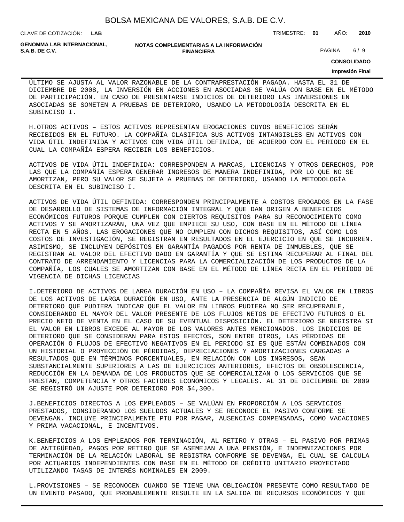| BOLSA MEXICANA DE VALORES, S.A.B. DE C.V. |  |  |  |  |  |
|-------------------------------------------|--|--|--|--|--|
|-------------------------------------------|--|--|--|--|--|

**FINANCIERA**

CLAVE DE COTIZACIÓN: TRIMESTRE: **01** AÑO: **2010 LAB**

**GENOMMA LAB INTERNACIONAL,**

**NOTAS COMPLEMENTARIAS A LA INFORMACIÓN**

**S.A.B. DE C.V.** PAGINA 6 / 9

### **CONSOLIDADO**

#### **Impresión Final**

ÚLTIMO SE AJUSTA AL VALOR RAZONABLE DE LA CONTRAPRESTACIÓN PAGADA. HASTA EL 31 DE DICIEMBRE DE 2008, LA INVERSIÓN EN ACCIONES EN ASOCIADAS SE VALÚA CON BASE EN EL MÉTODO DE PARTICIPACIÓN. EN CASO DE PRESENTARSE INDICIOS DE DETERIORO LAS INVERSIONES EN ASOCIADAS SE SOMETEN A PRUEBAS DE DETERIORO, USANDO LA METODOLOGÍA DESCRITA EN EL SUBINCISO I.

H. OTROS ACTIVOS - ESTOS ACTIVOS REPRESENTAN EROGACIONES CUYOS BENEFICIOS SERÁN RECIBIDOS EN EL FUTURO. LA COMPAÑÍA CLASIFICA SUS ACTIVOS INTANGIBLES EN ACTIVOS CON VIDA ÚTIL INDEFINIDA Y ACTIVOS CON VIDA ÚTIL DEFINIDA, DE ACUERDO CON EL PERIODO EN EL CUAL LA COMPAÑÍA ESPERA RECIBIR LOS BENEFICIOS.

ACTIVOS DE VIDA ÚTIL INDEFINIDA: CORRESPONDEN A MARCAS, LICENCIAS Y OTROS DERECHOS, POR LAS QUE LA COMPAÑÍA ESPERA GENERAR INGRESOS DE MANERA INDEFINIDA, POR LO QUE NO SE AMORTIZAN, PERO SU VALOR SE SUJETA A PRUEBAS DE DETERIORO, USANDO LA METODOLOGÍA DESCRITA EN EL SUBINCISO I.

ACTIVOS DE VIDA ÚTIL DEFINIDA: CORRESPONDEN PRINCIPALMENTE A COSTOS EROGADOS EN LA FASE DE DESARROLLO DE SISTEMAS DE INFORMACIÓN INTEGRAL Y QUE DAN ORIGEN A BENEFICIOS ECONÓMICOS FUTUROS PORQUE CUMPLEN CON CIERTOS REQUISITOS PARA SU RECONOCIMIENTO COMO ACTIVOS Y SE AMORTIZARÁN, UNA VEZ QUE EMPIECE SU USO, CON BASE EN EL MÉTODO DE LÍNEA RECTA EN 5 AÑOS. LAS EROGACIONES QUE NO CUMPLEN CON DICHOS REQUISITOS, ASÍ COMO LOS COSTOS DE INVESTIGACIÓN, SE REGISTRAN EN RESULTADOS EN EL EJERCICIO EN QUE SE INCURREN. ASIMISMO, SE INCLUYEN DEPÓSITOS EN GARANTÍA PAGADOS POR RENTA DE INMUEBLES, QUE SE REGISTRAN AL VALOR DEL EFECTIVO DADO EN GARANTÍA Y QUE SE ESTIMA RECUPERAR AL FINAL DEL CONTRATO DE ARRENDAMIENTO Y LICENCIAS PARA LA COMERCIALIZACIÓN DE LOS PRODUCTOS DE LA COMPAÑÍA, LOS CUALES SE AMORTIZAN CON BASE EN EL MÉTODO DE LÍNEA RECTA EN EL PERÍODO DE VIGENCIA DE DICHAS LICENCIAS

I. DETERIORO DE ACTIVOS DE LARGA DURACIÓN EN USO - LA COMPAÑÍA REVISA EL VALOR EN LIBROS DE LOS ACTIVOS DE LARGA DURACIÓN EN USO, ANTE LA PRESENCIA DE ALGÚN INDICIO DE DETERIORO QUE PUDIERA INDICAR QUE EL VALOR EN LIBROS PUDIERA NO SER RECUPERABLE, CONSIDERANDO EL MAYOR DEL VALOR PRESENTE DE LOS FLUJOS NETOS DE EFECTIVO FUTUROS O EL PRECIO NETO DE VENTA EN EL CASO DE SU EVENTUAL DISPOSICIÓN. EL DETERIORO SE REGISTRA SI EL VALOR EN LIBROS EXCEDE AL MAYOR DE LOS VALORES ANTES MENCIONADOS. LOS INDICIOS DE DETERIORO QUE SE CONSIDERAN PARA ESTOS EFECTOS, SON ENTRE OTROS, LAS PÉRDIDAS DE OPERACIÓN O FLUJOS DE EFECTIVO NEGATIVOS EN EL PERIODO SI ES QUE ESTÁN COMBINADOS CON UN HISTORIAL O PROYECCIÓN DE PÉRDIDAS, DEPRECIACIONES Y AMORTIZACIONES CARGADAS A RESULTADOS QUE EN TÉRMINOS PORCENTUALES, EN RELACIÓN CON LOS INGRESOS, SEAN SUBSTANCIALMENTE SUPERIORES A LAS DE EJERCICIOS ANTERIORES, EFECTOS DE OBSOLESCENCIA, REDUCCIÓN EN LA DEMANDA DE LOS PRODUCTOS QUE SE COMERCIALIZAN O LOS SERVICIOS QUE SE PRESTAN, COMPETENCIA Y OTROS FACTORES ECONÓMICOS Y LEGALES. AL 31 DE DICIEMBRE DE 2009 SE REGISTRÓ UN AJUSTE POR DETERIORO POR \$4,300.

J. BENEFICIOS DIRECTOS A LOS EMPLEADOS – SE VALÚAN EN PROPORCIÓN A LOS SERVICIOS PRESTADOS, CONSIDERANDO LOS SUELDOS ACTUALES Y SE RECONOCE EL PASIVO CONFORME SE DEVENGAN. INCLUYE PRINCIPALMENTE PTU POR PAGAR, AUSENCIAS COMPENSADAS, COMO VACACIONES Y PRIMA VACACIONAL, E INCENTIVOS.

K. BENEFICIOS A LOS EMPLEADOS POR TERMINACIÓN, AL RETIRO Y OTRAS – EL PASIVO POR PRIMAS DE ANTIGÜEDAD, PAGOS POR RETIRO QUE SE ASEMEJAN A UNA PENSIÓN, E INDEMNIZACIONES POR TERMINACIÓN DE LA RELACIÓN LABORAL SE REGISTRA CONFORME SE DEVENGA, EL CUAL SE CALCULA POR ACTUARIOS INDEPENDIENTES CON BASE EN EL MÉTODO DE CRÉDITO UNITARIO PROYECTADO UTILIZANDO TASAS DE INTERÉS NOMINALES EN 2009.

L. PROVISIONES - SE RECONOCEN CUANDO SE TIENE UNA OBLIGACIÓN PRESENTE COMO RESULTADO DE UN EVENTO PASADO, QUE PROBABLEMENTE RESULTE EN LA SALIDA DE RECURSOS ECONÓMICOS Y QUE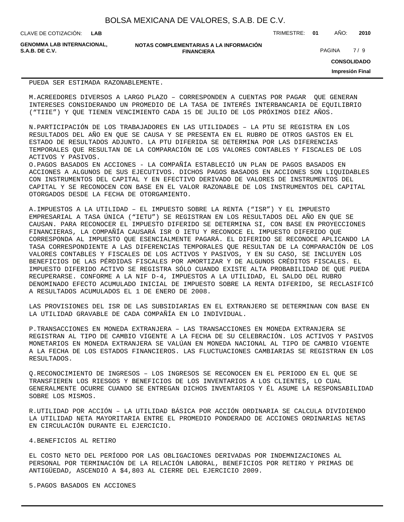**LAB**

CLAVE DE COTIZACIÓN: TRIMESTRE: **01** AÑO: **2010**

**GENOMMA LAB INTERNACIONAL,**

#### **NOTAS COMPLEMENTARIAS A LA INFORMACIÓN FINANCIERA S.A.B. DE C.V.** PAGINA 7 / 9

**CONSOLIDADO**

**Impresión Final**

#### PUEDA SER ESTIMADA RAZONABLEMENTE.

M. ACREEDORES DIVERSOS A LARGO PLAZO – CORRESPONDEN A CUENTAS POR PAGAR QUE GENERAN INTERESES CONSIDERANDO UN PROMEDIO DE LA TASA DE INTERÉS INTERBANCARIA DE EQUILIBRIO ("TIIE") Y QUE TIENEN VENCIMIENTO CADA 15 DE JULIO DE LOS PRÓXIMOS DIEZ AÑOS.

N. PARTICIPACIÓN DE LOS TRABAJADORES EN LAS UTILIDADES – LA PTU SE REGISTRA EN LOS RESULTADOS DEL AÑO EN QUE SE CAUSA Y SE PRESENTA EN EL RUBRO DE OTROS GASTOS EN EL ESTADO DE RESULTADOS ADJUNTO. LA PTU DIFERIDA SE DETERMINA POR LAS DIFERENCIAS TEMPORALES QUE RESULTAN DE LA COMPARACIÓN DE LOS VALORES CONTABLES Y FISCALES DE LOS ACTIVOS Y PASIVOS.

O. PAGOS BASADOS EN ACCIONES - LA COMPAÑÍA ESTABLECIÓ UN PLAN DE PAGOS BASADOS EN ACCIONES A ALGUNOS DE SUS EJECUTIVOS. DICHOS PAGOS BASADOS EN ACCIONES SON LIQUIDABLES CON INSTRUMENTOS DEL CAPITAL Y EN EFECTIVO DERIVADO DE VALORES DE INSTRUMENTOS DEL CAPITAL Y SE RECONOCEN CON BASE EN EL VALOR RAZONABLE DE LOS INSTRUMENTOS DEL CAPITAL OTORGADOS DESDE LA FECHA DE OTORGAMIENTO.

A. IMPUESTOS A LA UTILIDAD – EL IMPUESTO SOBRE LA RENTA ("ISR") Y EL IMPUESTO EMPRESARIAL A TASA ÚNICA ("IETU") SE REGISTRAN EN LOS RESULTADOS DEL AÑO EN QUE SE CAUSAN. PARA RECONOCER EL IMPUESTO DIFERIDO SE DETERMINA SI, CON BASE EN PROYECCIONES FINANCIERAS, LA COMPAÑÍA CAUSARÁ ISR O IETU Y RECONOCE EL IMPUESTO DIFERIDO QUE CORRESPONDA AL IMPUESTO QUE ESENCIALMENTE PAGARÁ. EL DIFERIDO SE RECONOCE APLICANDO LA TASA CORRESPONDIENTE A LAS DIFERENCIAS TEMPORALES QUE RESULTAN DE LA COMPARACIÓN DE LOS VALORES CONTABLES Y FISCALES DE LOS ACTIVOS Y PASIVOS, Y EN SU CASO, SE INCLUYEN LOS BENEFICIOS DE LAS PÉRDIDAS FISCALES POR AMORTIZAR Y DE ALGUNOS CRÉDITOS FISCALES. EL IMPUESTO DIFERIDO ACTIVO SE REGISTRA SÓLO CUANDO EXISTE ALTA PROBABILIDAD DE QUE PUEDA RECUPERARSE. CONFORME A LA NIF D-4, IMPUESTOS A LA UTILIDAD, EL SALDO DEL RUBRO DENOMINADO EFECTO ACUMULADO INICIAL DE IMPUESTO SOBRE LA RENTA DIFERIDO, SE RECLASIFICÓ A RESULTADOS ACUMULADOS EL 1 DE ENERO DE 2008.

LAS PROVISIONES DEL ISR DE LAS SUBSIDIARIAS EN EL EXTRANJERO SE DETERMINAN CON BASE EN LA UTILIDAD GRAVABLE DE CADA COMPAÑÍA EN LO INDIVIDUAL.

P. TRANSACCIONES EN MONEDA EXTRANJERA - LAS TRANSACCIONES EN MONEDA EXTRANJERA SE REGISTRAN AL TIPO DE CAMBIO VIGENTE A LA FECHA DE SU CELEBRACIÓN. LOS ACTIVOS Y PASIVOS MONETARIOS EN MONEDA EXTRANJERA SE VALÚAN EN MONEDA NACIONAL AL TIPO DE CAMBIO VIGENTE A LA FECHA DE LOS ESTADOS FINANCIEROS. LAS FLUCTUACIONES CAMBIARIAS SE REGISTRAN EN LOS RESULTADOS.

Q. RECONOCIMIENTO DE INGRESOS – LOS INGRESOS SE RECONOCEN EN EL PERIODO EN EL QUE SE TRANSFIEREN LOS RIESGOS Y BENEFICIOS DE LOS INVENTARIOS A LOS CLIENTES, LO CUAL GENERALMENTE OCURRE CUANDO SE ENTREGAN DICHOS INVENTARIOS Y ÉL ASUME LA RESPONSABILIDAD SOBRE LOS MISMOS.

R. UTILIDAD POR ACCIÓN – LA UTILIDAD BÁSICA POR ACCIÓN ORDINARIA SE CALCULA DIVIDIENDO LA UTILIDAD NETA MAYORITARIA ENTRE EL PROMEDIO PONDERADO DE ACCIONES ORDINARIAS NETAS EN CIRCULACIÓN DURANTE EL EJERCICIO.

#### 4. BENEFICIOS AL RETIRO

EL COSTO NETO DEL PERÍODO POR LAS OBLIGACIONES DERIVADAS POR INDEMNIZACIONES AL PERSONAL POR TERMINACIÓN DE LA RELACIÓN LABORAL, BENEFICIOS POR RETIRO Y PRIMAS DE ANTIGÜEDAD, ASCENDIÓ A \$4,803 AL CIERRE DEL EJERCICIO 2009.

#### 5. PAGOS BASADOS EN ACCIONES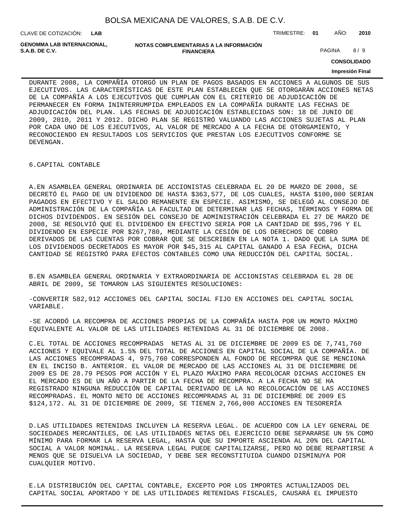CLAVE DE COTIZACIÓN: TRIMESTRE: **01** AÑO: **2010 LAB**

**GENOMMA LAB INTERNACIONAL,**

**NOTAS COMPLEMENTARIAS A LA INFORMACIÓN FINANCIERA S.A.B. DE C.V.** PAGINA 8 / 9

**CONSOLIDADO**

#### **Impresión Final**

DURANTE 2008, LA COMPAÑÍA OTORGÓ UN PLAN DE PAGOS BASADOS EN ACCIONES A ALGUNOS DE SUS EJECUTIVOS. LAS CARACTERÍSTICAS DE ESTE PLAN ESTABLECEN QUE SE OTORGARÁN ACCIONES NETAS DE LA COMPAÑÍA A LOS EJECUTIVOS QUE CUMPLAN CON EL CRITERIO DE ADJUDICACIÓN DE PERMANECER EN FORMA ININTERRUMPIDA EMPLEADOS EN LA COMPAÑÍA DURANTE LAS FECHAS DE ADJUDICACIÓN DEL PLAN. LAS FECHAS DE ADJUDICACIÓN ESTABLECIDAS SON: 18 DE JUNIO DE 2009, 2010, 2011 Y 2012. DICHO PLAN SE REGISTRÓ VALUANDO LAS ACCIONES SUJETAS AL PLAN POR CADA UNO DE LOS EJECUTIVOS, AL VALOR DE MERCADO A LA FECHA DE OTORGAMIENTO, Y RECONOCIENDO EN RESULTADOS LOS SERVICIOS QUE PRESTAN LOS EJECUTIVOS CONFORME SE DEVENGAN.

6. CAPITAL CONTABLE

A. EN ASAMBLEA GENERAL ORDINARIA DE ACCIONISTAS CELEBRADA EL 20 DE MARZO DE 2008, SE DECRETÓ EL PAGO DE UN DIVIDENDO DE HASTA \$363,577, DE LOS CUALES, HASTA \$100,000 SERIAN PAGADOS EN EFECTIVO Y EL SALDO REMANENTE EN ESPECIE. ASIMISMO, SE DELEGÓ AL CONSEJO DE ADMINISTRACIÓN DE LA COMPAÑÍA LA FACULTAD DE DETERMINAR LAS FECHAS, TÉRMINOS Y FORMA DE DICHOS DIVIDENDOS. EN SESIÓN DEL CONSEJO DE ADMINISTRACIÓN CELEBRADA EL 27 DE MARZO DE 2008, SE RESOLVIÓ QUE EL DIVIDENDO EN EFECTIVO SERIA POR LA CANTIDAD DE \$95,796 Y EL DIVIDENDO EN ESPECIE POR \$267,780, MEDIANTE LA CESIÓN DE LOS DERECHOS DE COBRO DERIVADOS DE LAS CUENTAS POR COBRAR QUE SE DESCRIBEN EN LA NOTA 1. DADO QUE LA SUMA DE LOS DIVIDENDOS DECRETADOS ES MAYOR POR \$45,315 AL CAPITAL GANADO A ESA FECHA, DICHA CANTIDAD SE REGISTRÓ PARA EFECTOS CONTABLES COMO UNA REDUCCIÓN DEL CAPITAL SOCIAL.

B. EN ASAMBLEA GENERAL ORDINARIA Y EXTRAORDINARIA DE ACCIONISTAS CELEBRADA EL 28 DE ABRIL DE 2009, SE TOMARON LAS SIGUIENTES RESOLUCIONES:

- CONVERTIR 582,912 ACCIONES DEL CAPITAL SOCIAL FIJO EN ACCIONES DEL CAPITAL SOCIAL VARIABLE.

- SE ACORDÓ LA RECOMPRA DE ACCIONES PROPIAS DE LA COMPAÑÍA HASTA POR UN MONTO MÁXIMO EQUIVALENTE AL VALOR DE LAS UTILIDADES RETENIDAS AL 31 DE DICIEMBRE DE 2008.

C. EL TOTAL DE ACCIONES RECOMPRADAS NETAS AL 31 DE DICIEMBRE DE 2009 ES DE 7,741,760 ACCIONES Y EQUIVALE AL 1.5% DEL TOTAL DE ACCIONES EN CAPITAL SOCIAL DE LA COMPAÑÍA. DE LAS ACCIONES RECOMPRADAS 4, 975,760 CORRESPONDEN AL FONDO DE RECOMPRA QUE SE MENCIONA EN EL INCISO B. ANTERIOR. EL VALOR DE MERCADO DE LAS ACCIONES AL 31 DE DICIEMBRE DE 2009 ES DE 28.79 PESOS POR ACCIÓN Y EL PLAZO MÁXIMO PARA RECOLOCAR DICHAS ACCIONES EN EL MERCADO ES DE UN AÑO A PARTIR DE LA FECHA DE RECOMPRA. A LA FECHA NO SE HA REGISTRADO NINGUNA REDUCCIÓN DE CAPITAL DERIVADO DE LA NO RECOLOCACIÓN DE LAS ACCIONES RECOMPRADAS. EL MONTO NETO DE ACCIONES RECOMPRADAS AL 31 DE DICIEMBRE DE 2009 ES \$124,172. AL 31 DE DICIEMBRE DE 2009, SE TIENEN 2,766,000 ACCIONES EN TESORERÍA

D. LAS UTILIDADES RETENIDAS INCLUYEN LA RESERVA LEGAL. DE ACUERDO CON LA LEY GENERAL DE SOCIEDADES MERCANTILES, DE LAS UTILIDADES NETAS DEL EJERCICIO DEBE SEPARARSE UN 5% COMO MÍNIMO PARA FORMAR LA RESERVA LEGAL, HASTA QUE SU IMPORTE ASCIENDA AL 20% DEL CAPITAL SOCIAL A VALOR NOMINAL. LA RESERVA LEGAL PUEDE CAPITALIZARSE, PERO NO DEBE REPARTIRSE A MENOS QUE SE DISUELVA LA SOCIEDAD, Y DEBE SER RECONSTITUIDA CUANDO DISMINUYA POR CUALQUIER MOTIVO.

E. LA DISTRIBUCIÓN DEL CAPITAL CONTABLE, EXCEPTO POR LOS IMPORTES ACTUALIZADOS DEL CAPITAL SOCIAL APORTADO Y DE LAS UTILIDADES RETENIDAS FISCALES, CAUSARÁ EL IMPUESTO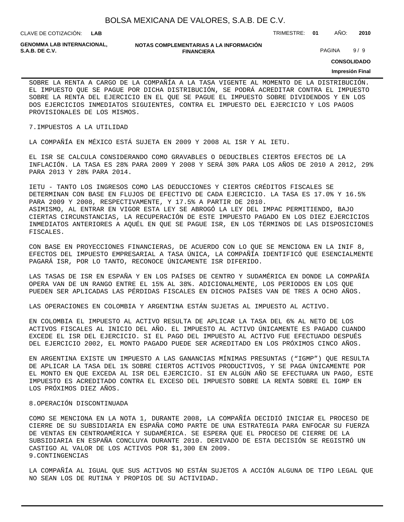| BOLSA MEXICANA DE VALORES, S.A.B. DE C.V. |  |  |  |  |  |
|-------------------------------------------|--|--|--|--|--|
|-------------------------------------------|--|--|--|--|--|

**LAB**

CLAVE DE COTIZACIÓN: TRIMESTRE: **01** AÑO: **2010**

**GENOMMA LAB INTERNACIONAL,**

#### **NOTAS COMPLEMENTARIAS A LA INFORMACIÓN FINANCIERA S.A.B. DE C.V.** PAGINA 9 / 9

**CONSOLIDADO**

#### **Impresión Final**

SOBRE LA RENTA A CARGO DE LA COMPAÑÍA A LA TASA VIGENTE AL MOMENTO DE LA DISTRIBUCIÓN. EL IMPUESTO QUE SE PAGUE POR DICHA DISTRIBUCIÓN, SE PODRÁ ACREDITAR CONTRA EL IMPUESTO SOBRE LA RENTA DEL EJERCICIO EN EL QUE SE PAGUE EL IMPUESTO SOBRE DIVIDENDOS Y EN LOS DOS EJERCICIOS INMEDIATOS SIGUIENTES, CONTRA EL IMPUESTO DEL EJERCICIO Y LOS PAGOS PROVISIONALES DE LOS MISMOS.

#### 7. IMPUESTOS A LA UTILIDAD

LA COMPAÑÍA EN MÉXICO ESTÁ SUJETA EN 2009 Y 2008 AL ISR Y AL IETU.

EL ISR SE CALCULA CONSIDERANDO COMO GRAVABLES O DEDUCIBLES CIERTOS EFECTOS DE LA INFLACIÓN. LA TASA ES 28% PARA 2009 Y 2008 Y SERÁ 30% PARA LOS AÑOS DE 2010 A 2012, 29% PARA 2013 Y 28% PARA 2014.

IETU - TANTO LOS INGRESOS COMO LAS DEDUCCIONES Y CIERTOS CRÉDITOS FISCALES SE DETERMINAN CON BASE EN FLUJOS DE EFECTIVO DE CADA EJERCICIO. LA TASA ES 17.0% Y 16.5% PARA 2009 Y 2008, RESPECTIVAMENTE, Y 17.5% A PARTIR DE 2010. ASIMISMO, AL ENTRAR EN VIGOR ESTA LEY SE ABROGÓ LA LEY DEL IMPAC PERMITIENDO, BAJO CIERTAS CIRCUNSTANCIAS, LA RECUPERACIÓN DE ESTE IMPUESTO PAGADO EN LOS DIEZ EJERCICIOS INMEDIATOS ANTERIORES A AQUÉL EN QUE SE PAGUE ISR, EN LOS TÉRMINOS DE LAS DISPOSICIONES FISCALES.

CON BASE EN PROYECCIONES FINANCIERAS, DE ACUERDO CON LO QUE SE MENCIONA EN LA INIF 8, EFECTOS DEL IMPUESTO EMPRESARIAL A TASA ÚNICA, LA COMPAÑÍA IDENTIFICÓ QUE ESENCIALMENTE PAGARÁ ISR, POR LO TANTO, RECONOCE ÚNICAMENTE ISR DIFERIDO.

LAS TASAS DE ISR EN ESPAÑA Y EN LOS PAÍSES DE CENTRO Y SUDAMÉRICA EN DONDE LA COMPAÑÍA OPERA VAN DE UN RANGO ENTRE EL 15% AL 38%. ADICIONALMENTE, LOS PERIODOS EN LOS QUE PUEDEN SER APLICADAS LAS PÉRDIDAS FISCALES EN DICHOS PAÍSES VAN DE TRES A OCHO AÑOS.

LAS OPERACIONES EN COLOMBIA Y ARGENTINA ESTÁN SUJETAS AL IMPUESTO AL ACTIVO.

EN COLOMBIA EL IMPUESTO AL ACTIVO RESULTA DE APLICAR LA TASA DEL 6% AL NETO DE LOS ACTIVOS FISCALES AL INICIO DEL AÑO. EL IMPUESTO AL ACTIVO ÚNICAMENTE ES PAGADO CUANDO EXCEDE EL ISR DEL EJERCICIO. SI EL PAGO DEL IMPUESTO AL ACTIVO FUE EFECTUADO DESPUÉS DEL EJERCICIO 2002, EL MONTO PAGADO PUEDE SER ACREDITADO EN LOS PRÓXIMOS CINCO AÑOS.

EN ARGENTINA EXISTE UN IMPUESTO A LAS GANANCIAS MÍNIMAS PRESUNTAS ("IGMP") QUE RESULTA DE APLICAR LA TASA DEL 1% SOBRE CIERTOS ACTIVOS PRODUCTIVOS, Y SE PAGA ÚNICAMENTE POR EL MONTO EN QUE EXCEDA AL ISR DEL EJERCICIO. SI EN ALGÚN AÑO SE EFECTUARA UN PAGO, ESTE IMPUESTO ES ACREDITADO CONTRA EL EXCESO DEL IMPUESTO SOBRE LA RENTA SOBRE EL IGMP EN LOS PRÓXIMOS DIEZ AÑOS.

#### 8. OPERACIÓN DISCONTINUADA

COMO SE MENCIONA EN LA NOTA 1, DURANTE 2008, LA COMPAÑÍA DECIDIÓ INICIAR EL PROCESO DE CIERRE DE SU SUBSIDIARIA EN ESPAÑA COMO PARTE DE UNA ESTRATEGIA PARA ENFOCAR SU FUERZA DE VENTAS EN CENTROAMÉRICA Y SUDAMÉRICA. SE ESPERA QUE EL PROCESO DE CIERRE DE LA SUBSIDIARIA EN ESPAÑA CONCLUYA DURANTE 2010. DERIVADO DE ESTA DECISIÓN SE REGISTRÓ UN CASTIGO AL VALOR DE LOS ACTIVOS POR \$1,300 EN 2009. 9. CONTINGENCIAS

LA COMPAÑÍA AL IGUAL QUE SUS ACTIVOS NO ESTÁN SUJETOS A ACCIÓN ALGUNA DE TIPO LEGAL QUE NO SEAN LOS DE RUTINA Y PROPIOS DE SU ACTIVIDAD.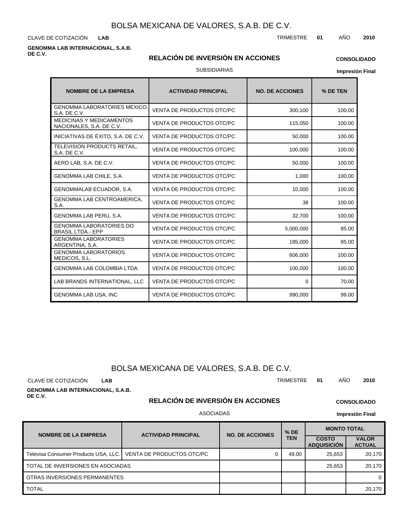CLAVE DE COTIZACIÓN TRIMESTRE **01** AÑO **2010 LAB**

#### **GENOMMA LAB INTERNACIONAL, S.A.B. DE C.V.**

#### **RELACIÓN DE INVERSIÓN EN ACCIONES**

### **CONSOLIDADO**

SUBSIDIARIAS

**Impresión Final**

| <b>NOMBRE DE LA EMPRESA</b>                                 | <b>ACTIVIDAD PRINCIPAL</b>       | <b>NO. DE ACCIONES</b> | % DE TEN |
|-------------------------------------------------------------|----------------------------------|------------------------|----------|
| <b>GENOMMA LABORATORIES MEXICO,</b><br>S.A. DE C.V.         | <b>VENTA DE PRODUCTOS OTC/PC</b> | 300,100                | 100.00   |
| <b>MEDICINAS Y MEDICAMENTOS</b><br>NACIONALES, S.A. DE C.V. | VENTA DE PRODUCTOS OTC/PC        | 115,050                | 100.00   |
| INICIATIVAS DE ÉXITO, S.A. DE C.V.                          | <b>VENTA DE PRODUCTOS OTC/PC</b> | 50,000                 | 100.00   |
| TELEVISION PRODUCTS RETAIL,<br>S.A. DE C.V.                 | VENTA DE PRODUCTOS OTC/PC        | 100,000                | 100.00   |
| AERO LAB, S.A. DE C.V.                                      | VENTA DE PRODUCTOS OTC/PC        | 50,000                 | 100.00   |
| GENOMMA LAB CHILE, S.A.                                     | VENTA DE PRODUCTOS OTC/PC        | 1,000                  | 100.00   |
| GENOMMALAB ECUADOR, S.A.                                    | VENTA DE PRODUCTOS OTC/PC        | 10,000                 | 100.00   |
| GENOMMA LAB CENTROAMERICA,<br>S.A.                          | <b>VENTA DE PRODUCTOS OTC/PC</b> | 38                     | 100.00   |
| GENOMMA LAB PERU, S.A.                                      | VENTA DE PRODUCTOS OTC/PC        | 32,700                 | 100.00   |
| <b>GENOMMA LABORATORIES DO</b><br><b>BRASIL LTDA.- EPP</b>  | VENTA DE PRODUCTOS OTC/PC        | 5,000,000              | 85.00    |
| <b>GENOMMA LABORATORIES</b><br>ARGENTINA, S.A.              | VENTA DE PRODUCTOS OTC/PC        | 185,000                | 85.00    |
| <b>GENOMMA LABORATORIOS</b><br>MEDICOS, S.L.                | VENTA DE PRODUCTOS OTC/PC        | 606,000                | 100.00   |
| <b>GENOMMA LAB COLOMBIA LTDA.</b>                           | VENTA DE PRODUCTOS OTC/PC        | 100,000                | 100.00   |
| LAB BRANDS INTERNATIONAL, LLC                               | VENTA DE PRODUCTOS OTC/PC        | $\Omega$               | 70.00    |
| <b>GENOMMA LAB USA, INC</b>                                 | VENTA DE PRODUCTOS OTC/PC        | 990,000                | 99.00    |

### BOLSA MEXICANA DE VALORES, S.A.B. DE C.V.

CLAVE DE COTIZACIÓN TRIMESTRE **01** AÑO **2010 LAB**

**GENOMMA LAB INTERNACIONAL, S.A.B. DE C.V.**

### **RELACIÓN DE INVERSIÓN EN ACCIONES**

### ASOCIADAS

**NOMBRE DE LA EMPRESA | ACTIVIDAD PRINCIPAL COSTO ADQUISICIÓN VALOR ACTUAL MONTO TOTAL**<br>TEN COSTO I VAL **TEN NO. DE ACCIONES** Televisa Consumer Products USA, LLC. VENTA DE PRODUCTOS OTC/PC | 0 49.00 | 49.00 25,653 | 20,170 TOTAL 20,170 OTRAS INVERSIONES PERMANENTES TOTAL DE INVERSIONES EN ASOCIADAS 25,653 20,170 0



**CONSOLIDADO**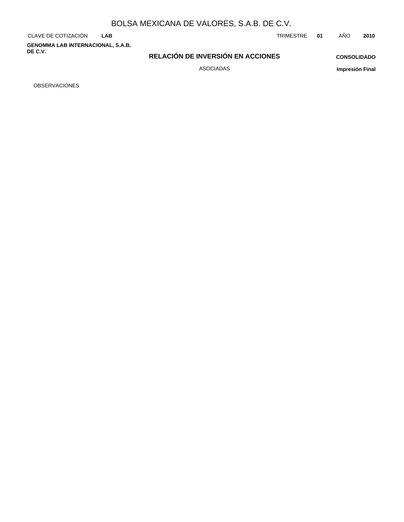**LAB**

**GENOMMA LAB INTERNACIONAL, S.A.B. DE C.V.**

#### CLAVE DE COTIZACIÓN TRIMESTRE **01** AÑO **2010**

**RELACIÓN DE INVERSIÓN EN ACCIONES**

**CONSOLIDADO Impresión Final**

ASOCIADAS

OBSERVACIONES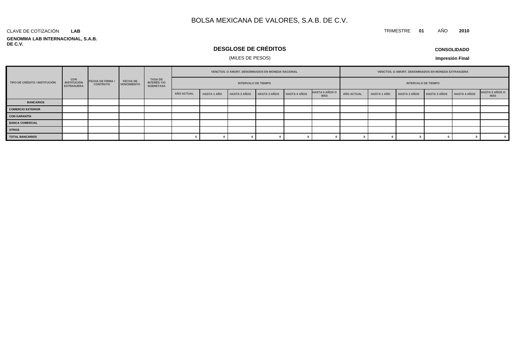#### **GENOMMA LAB INTERNACIONAL, S.A.B. DE C.V.** CLAVE DE COTIZACIÓN **LAB**

### **DESGLOSE DE CRÉDITOS**

### (MILES DE PESOS)

**CONSOLIDADO**

**Impresión Final**

|                               |                                                       |                                            |                                       |                                            |                   |                    | VENCTOS. O AMORT. DENOMINADOS EN MONEDA NACIONAL |                     |                     |                                     |            |                    | VENCTOS. O AMORT. DENOMINADOS EN MONEDA EXTRANJERA |                     |                     |                              |
|-------------------------------|-------------------------------------------------------|--------------------------------------------|---------------------------------------|--------------------------------------------|-------------------|--------------------|--------------------------------------------------|---------------------|---------------------|-------------------------------------|------------|--------------------|----------------------------------------------------|---------------------|---------------------|------------------------------|
| TIPO DE CRÉDITO / INSTITUCIÓN | <b>CON</b><br><b>INSTITUCIÓN</b><br><b>EXTRANJERA</b> | <b>FECHA DE FIRMA /</b><br><b>CONTRATO</b> | <b>FECHA DE</b><br><b>VENCIMIENTO</b> | TASA DE<br>INTERÉS Y/O<br><b>SOBRETASA</b> |                   |                    | <b>INTERVALO DE TIEMPO</b>                       |                     |                     |                                     |            |                    | <b>INTERVALO DE TIEMPO</b>                         |                     |                     |                              |
|                               |                                                       |                                            |                                       |                                            | <b>AÑO ACTUAL</b> | <b>HASTA 1 AÑO</b> | <b>HASTA 2 AÑOS</b>                              | <b>HASTA 3 AÑOS</b> | <b>HASTA 4 AÑOS</b> | <b>HASTA 5 AÑOS O</b><br><b>MÁS</b> | AÑO ACTUAL | <b>HASTA 1 AÑO</b> | <b>HASTA 2 AÑOS</b>                                | <b>HASTA 3 AÑOS</b> | <b>HASTA 4 AÑOS</b> | <b>HASTA 5 AÑOS O</b><br>MÁS |
| <b>BANCARIOS</b>              |                                                       |                                            |                                       |                                            |                   |                    |                                                  |                     |                     |                                     |            |                    |                                                    |                     |                     |                              |
| <b>COMERCIO EXTERIOR</b>      |                                                       |                                            |                                       |                                            |                   |                    |                                                  |                     |                     |                                     |            |                    |                                                    |                     |                     |                              |
| <b>CON GARANTÍA</b>           |                                                       |                                            |                                       |                                            |                   |                    |                                                  |                     |                     |                                     |            |                    |                                                    |                     |                     |                              |
| <b>BANCA COMERCIAL</b>        |                                                       |                                            |                                       |                                            |                   |                    |                                                  |                     |                     |                                     |            |                    |                                                    |                     |                     |                              |
| <b>OTROS</b>                  |                                                       |                                            |                                       |                                            |                   |                    |                                                  |                     |                     |                                     |            |                    |                                                    |                     |                     |                              |
| <b>TOTAL BANCARIOS</b>        |                                                       |                                            |                                       |                                            |                   |                    |                                                  |                     |                     |                                     |            |                    |                                                    |                     |                     | $\overline{\mathbf{0}}$      |

TRIMESTRE **01** AÑO **2010**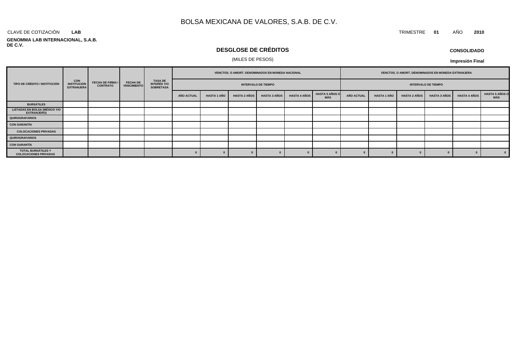#### CLAVE DE COTIZACIÓN TRIMESTRE **01** AÑO **2010 LAB**

#### **GENOMMA LAB INTERNACIONAL, S.A.B. DE C.V.**

### **DESGLOSE DE CRÉDITOS**

#### (MILES DE PESOS)

| <b>CONSOLIDADO</b> |  |
|--------------------|--|
|--------------------|--|

|                                                     | <b>CON<br/>INSTITUCIÓN</b><br><b>EXTRANJERA</b> | <b>FECHA DE FIRMA /</b><br><b>CONTRATO</b> |                                       | TASA DE<br>INTERÉS Y/O<br><b>SOBRETASA</b> | VENCTOS. O AMORT. DENOMINADOS EN MONEDA NACIONAL |                    |                     |                     | VENCTOS. O AMORT. DENOMINADOS EN MONEDA EXTRANJERA |                              |            |                    |                            |                     |                     |                               |
|-----------------------------------------------------|-------------------------------------------------|--------------------------------------------|---------------------------------------|--------------------------------------------|--------------------------------------------------|--------------------|---------------------|---------------------|----------------------------------------------------|------------------------------|------------|--------------------|----------------------------|---------------------|---------------------|-------------------------------|
| TIPO DE CRÉDITO / INSTITUCIÓN                       |                                                 |                                            | <b>FECHA DE</b><br><b>VENCIMIENTO</b> |                                            | <b>INTERVALO DE TIEMPO</b>                       |                    |                     |                     |                                                    |                              |            |                    | <b>INTERVALO DE TIEMPO</b> |                     |                     |                               |
|                                                     |                                                 |                                            |                                       |                                            | <b>AÑO ACTUAL</b>                                | <b>HASTA 1 AÑO</b> | <b>HASTA 2 AÑOS</b> | <b>HASTA 3 AÑOS</b> | <b>HASTA 4 AÑOS</b>                                | <b>HASTA 5 AÑOS O</b><br>MÁS | AÑO ACTUAL | <b>HASTA 1 AÑO</b> | <b>HASTA 2 AÑOS</b>        | <b>HASTA 3 AÑOS</b> | <b>HASTA 4 AÑOS</b> | <b>HASTA 5 AÑOS O<br/>MÁS</b> |
| <b>BURSÁTILES</b>                                   |                                                 |                                            |                                       |                                            |                                                  |                    |                     |                     |                                                    |                              |            |                    |                            |                     |                     |                               |
| <b>LISTADAS EN BOLSA (MÉXICO Y/O</b><br>EXTRANJERO) |                                                 |                                            |                                       |                                            |                                                  |                    |                     |                     |                                                    |                              |            |                    |                            |                     |                     |                               |
| <b>QUIROGRAFARIOS</b>                               |                                                 |                                            |                                       |                                            |                                                  |                    |                     |                     |                                                    |                              |            |                    |                            |                     |                     |                               |
| <b>CON GARANTÍA</b>                                 |                                                 |                                            |                                       |                                            |                                                  |                    |                     |                     |                                                    |                              |            |                    |                            |                     |                     |                               |
| <b>COLOCACIONES PRIVADAS</b>                        |                                                 |                                            |                                       |                                            |                                                  |                    |                     |                     |                                                    |                              |            |                    |                            |                     |                     |                               |
| QUIROGRAFARIOS                                      |                                                 |                                            |                                       |                                            |                                                  |                    |                     |                     |                                                    |                              |            |                    |                            |                     |                     |                               |
| <b>CON GARANTÍA</b>                                 |                                                 |                                            |                                       |                                            |                                                  |                    |                     |                     |                                                    |                              |            |                    |                            |                     |                     |                               |
| TOTAL BURSÁTILES Y<br><b>COLOCACIONES PRIVADAS</b>  |                                                 |                                            |                                       |                                            |                                                  |                    |                     |                     |                                                    |                              |            |                    |                            |                     |                     | $\mathbf{0}$                  |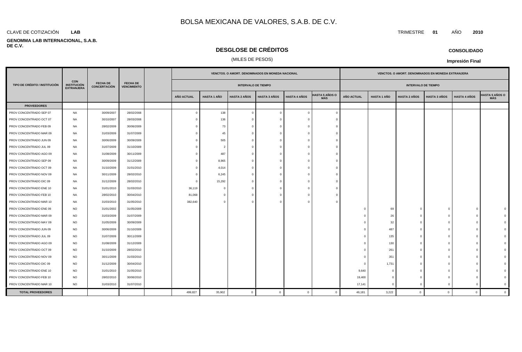#### **LAB**

#### **GENOMMA LAB INTERNACIONAL, S.A.B. DE C.V.**

### **DESGLOSE DE CRÉDITOS**

### (MILES DE PESOS)

|                               |                                                       |                                        |                                       |  | VENCTOS. O AMORT. DENOMINADOS EN MONEDA NACIONAL |                    |                            |                     |                     | VENCTOS. O AMORT. DENOMINADOS EN MONEDA EXTRANJERA |                            |                    |                     |                     |                     |                              |
|-------------------------------|-------------------------------------------------------|----------------------------------------|---------------------------------------|--|--------------------------------------------------|--------------------|----------------------------|---------------------|---------------------|----------------------------------------------------|----------------------------|--------------------|---------------------|---------------------|---------------------|------------------------------|
| TIPO DE CRÉDITO / INSTITUCIÓN | <b>CON</b><br><b>INSTITUCIÓN</b><br><b>EXTRANJERA</b> | <b>FECHA DE</b><br><b>CONCERTACIÓN</b> | <b>FECHA DE</b><br><b>VENCIMIENTO</b> |  |                                                  |                    | <b>INTERVALO DE TIEMPO</b> |                     |                     |                                                    | <b>INTERVALO DE TIEMPO</b> |                    |                     |                     |                     |                              |
|                               |                                                       |                                        |                                       |  | <b>AÑO ACTUAL</b>                                | <b>HASTA 1 AÑO</b> | <b>HASTA 2 AÑOS</b>        | <b>HASTA 3 AÑOS</b> | <b>HASTA 4 AÑOS</b> | <b>HASTA 5 AÑOS O</b><br><b>MÁS</b>                | <b>AÑO ACTUAL</b>          | <b>HASTA 1 AÑO</b> | <b>HASTA 2 AÑOS</b> | <b>HASTA 3 AÑOS</b> | <b>HASTA 4 AÑOS</b> | <b>IASTA 5 AÑOS O</b><br>MÁS |
| <b>PROVEEDORES</b>            |                                                       |                                        |                                       |  |                                                  |                    |                            |                     |                     |                                                    |                            |                    |                     |                     |                     |                              |
| PROV CONCENTRADO SEP 07       | NA                                                    | 30/09/2007                             | 28/02/2008                            |  | $\mathbf{0}$                                     | 138                | $\overline{0}$             | $\Omega$            | $\mathbf{0}$        | $\Omega$                                           |                            |                    |                     |                     |                     |                              |
| PROV CONCENTRADO OCT 07       | NA                                                    | 30/10/2007                             | 28/03/2008                            |  | $\Omega$                                         | 136                | $\overline{0}$             |                     | $\Omega$            | $\epsilon$                                         |                            |                    |                     |                     |                     |                              |
| PROV CONCENTRADO FEB 09       | NA                                                    | 28/02/2009                             | 30/06/2009                            |  | $\Omega$                                         | 73                 | $\overline{0}$             |                     | $\Omega$            |                                                    |                            |                    |                     |                     |                     |                              |
| PROV CONCENTRADO MAR 09       | NA                                                    | 31/03/2009                             | 31/07/2009                            |  | $\Omega$                                         | 45                 | $\overline{0}$             |                     | -0                  | - 0                                                |                            |                    |                     |                     |                     |                              |
| PROV CONCENTRADO JUN 09       | NA                                                    | 30/06/2009                             | 30/09/2009                            |  | $\bigcap$                                        | 505                | $\overline{0}$             |                     | $\Omega$            |                                                    |                            |                    |                     |                     |                     |                              |
| PROV CONCENTRADO JUL 09       | NA                                                    | 31/07/2009                             | 31/10/2009                            |  |                                                  | 2                  | $\overline{0}$             |                     | $\Omega$            |                                                    |                            |                    |                     |                     |                     |                              |
| PROV CONCENTRADO AGO 09       | NA                                                    | 31/08/2009                             | 30/11/2009                            |  |                                                  | 487                | $\Omega$                   |                     |                     |                                                    |                            |                    |                     |                     |                     |                              |
| PROV CONCENTRADO SEP 09       | NA                                                    | 30/09/2009                             | 31/12/2009                            |  | $\Omega$                                         | 8,965              | $\overline{0}$             |                     | $\Omega$            | -0                                                 |                            |                    |                     |                     |                     |                              |
| PROV CONCENTRADO OCT 09       | NA                                                    | 31/10/2009                             | 31/01/2010                            |  | $\Omega$                                         | 4,014              | $\overline{0}$             |                     | $\Omega$            | - 6                                                |                            |                    |                     |                     |                     |                              |
| PROV CONCENTRADO NOV 09       | NA                                                    | 30/11/2009                             | 28/02/2010                            |  | $\bigcap$                                        | 6,245              | $\overline{0}$             |                     | n                   |                                                    |                            |                    |                     |                     |                     |                              |
| PROV CONCENTRADO DIC 09       | NA                                                    | 31/12/2009                             | 28/02/2010                            |  | $\Omega$                                         | 15,292             | $\overline{0}$             |                     |                     |                                                    |                            |                    |                     |                     |                     |                              |
| PROV CONCENTRADO ENE 10       | NA                                                    | 31/01/2010                             | 31/03/2010                            |  | 36,119                                           | $\Omega$           | $\overline{0}$             |                     |                     |                                                    |                            |                    |                     |                     |                     |                              |
| PROV CONCENTRADO FEB 10       | NA                                                    | 28/02/2010                             | 30/04/2010                            |  | 81,068                                           | $\Omega$           | $\overline{0}$             |                     | $\Omega$            |                                                    |                            |                    |                     |                     |                     |                              |
| PROV CONCENTRADO MAR 10       | NA                                                    | 31/03/2010                             | 31/05/2010                            |  | 382,640                                          | $\Omega$           | $\Omega$                   |                     |                     |                                                    |                            |                    |                     |                     |                     |                              |
| PROV CONCENTRADO ENE 09       | <b>NO</b>                                             | 31/01/2002                             | 31/05/2009                            |  |                                                  |                    |                            |                     |                     |                                                    | $^{\circ}$                 | 69                 | $\mathbf 0$         | $\Omega$            | <sup>0</sup>        |                              |
| PROV CONCENTRADO MAR 09       | <b>NO</b>                                             | 31/03/2009                             | 31/07/2009                            |  |                                                  |                    |                            |                     |                     |                                                    | $\mathbf 0$                | 26                 | $\mathbf 0$         | $\overline{0}$      | <sup>0</sup>        |                              |
| PROV CONCENTRADO MAY 09       | <b>NO</b>                                             | 31/05/2009                             | 30/09/2009                            |  |                                                  |                    |                            |                     |                     |                                                    | $\Omega$                   | 32                 | $\Omega$            | $\Omega$            |                     |                              |
| PROV CONCENTRADO JUN 09       | <b>NO</b>                                             | 30/06/2009                             | 31/10/2009                            |  |                                                  |                    |                            |                     |                     |                                                    | $^{\circ}$                 | 487                | $\Omega$            | $\Omega$            |                     |                              |
| PROV CONCENTRADO JUL 09       | <b>NO</b>                                             | 31/07/2009                             | 30/11/2009                            |  |                                                  |                    |                            |                     |                     |                                                    | $\mathbf{0}$               | 135                | $\Omega$            | $\Omega$            |                     |                              |
| PROV CONCENTRADO AGO 09       | <b>NO</b>                                             | 31/08/2009                             | 31/12/2009                            |  |                                                  |                    |                            |                     |                     |                                                    | $\mathbf{0}$               | 130                | $\Omega$            | $\Omega$            | <sup>n</sup>        |                              |
| PROV CONCENTRADO OCT 09       | <b>NO</b>                                             | 31/10/2009                             | 28/02/2010                            |  |                                                  |                    |                            |                     |                     |                                                    | $^{\circ}$                 | 261                | $\Omega$            | $\Omega$            | <sup>0</sup>        |                              |
| PROV CONCENTRADO NOV 09       | <b>NO</b>                                             | 30/11/2009                             | 31/03/2010                            |  |                                                  |                    |                            |                     |                     |                                                    | $^{\circ}$                 | 351                | $\mathbf 0$         | $\Omega$            |                     |                              |
| PROV CONCENTRADO DIC 09       | <b>NO</b>                                             | 31/12/2009                             | 30/04/2010                            |  |                                                  |                    |                            |                     |                     |                                                    | $\mathbf 0$                | 1,731              | $\mathbf{0}$        | $\Omega$            |                     |                              |
| PROV CONCENTRADO ENE 10       | <b>NO</b>                                             | 31/01/2010                             | 31/05/2010                            |  |                                                  |                    |                            |                     |                     |                                                    | 9,640                      |                    | $\Omega$            | $\Omega$            |                     |                              |
| PROV CONCENTRADO FEB 10       | <b>NO</b>                                             | 28/02/2010                             | 30/06/2010                            |  |                                                  |                    |                            |                     |                     |                                                    | 19,400                     | n                  | $\Omega$            | $\Omega$            | <sup>0</sup>        |                              |
| PROV CONCENTRADO MAR 10       | <b>NO</b>                                             | 31/03/2010                             | 31/07/2010                            |  |                                                  |                    |                            |                     |                     |                                                    | 17,141                     | $\Omega$           | $\mathbf 0$         | $\overline{0}$      | $\mathbf 0$         |                              |

**TOTAL PROVEEDORES** 499,827 35,902 0 0 0 0 46,181 3,222 0 0 0 0

#### **CONSOLIDADO**

**Impresión Final**

#### CLAVE DE COTIZACIÓN TRIMESTRE **01** AÑO **2010**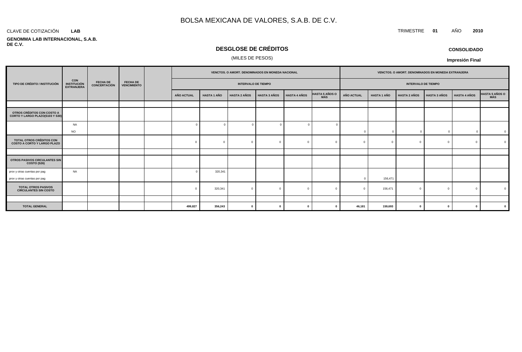#### CLAVE DE COTIZACIÓN TRIMESTRE **01** AÑO **2010 LAB**

#### **GENOMMA LAB INTERNACIONAL, S.A.B. DE C.V.**

### **DESGLOSE DE CRÉDITOS**

#### (MILES DE PESOS)

| <b>CONSOLIDADO</b> |
|--------------------|
|--------------------|

#### **Impresión Final**

|                                                                       |                                                       |                                        |                                       |  | VENCTOS. O AMORT. DENOMINADOS EN MONEDA NACIONAL |                    |                            |                     |                     | VENCTOS. O AMORT. DENOMINADOS EN MONEDA EXTRANJERA |                   |                    |                            |                     |                     |                |
|-----------------------------------------------------------------------|-------------------------------------------------------|----------------------------------------|---------------------------------------|--|--------------------------------------------------|--------------------|----------------------------|---------------------|---------------------|----------------------------------------------------|-------------------|--------------------|----------------------------|---------------------|---------------------|----------------|
| TIPO DE CRÉDITO / INSTITUCIÓN                                         | <b>CON</b><br><b>INSTITUCIÓN</b><br><b>EXTRANJERA</b> | <b>FECHA DE</b><br><b>CONCERTACIÓN</b> | <b>FECHA DE</b><br><b>VENCIMIENTO</b> |  |                                                  |                    | <b>INTERVALO DE TIEMPO</b> |                     |                     |                                                    |                   |                    | <b>INTERVALO DE TIEMPO</b> |                     |                     |                |
|                                                                       |                                                       |                                        |                                       |  | <b>AÑO ACTUAL</b>                                | <b>HASTA 1 AÑO</b> | <b>HASTA 2 AÑOS</b>        | <b>HASTA 3 AÑOS</b> | <b>HASTA 4 AÑOS</b> | <b>HASTA 5 AÑOS O</b><br><b>MÁS</b>                | <b>AÑO ACTUAL</b> | <b>HASTA 1 AÑO</b> | <b>HASTA 2 AÑOS</b>        | <b>HASTA 3 AÑOS</b> | <b>HASTA 4 AÑOS</b> | HASTA 5 AÑOS O |
|                                                                       |                                                       |                                        |                                       |  |                                                  |                    |                            |                     |                     |                                                    |                   |                    |                            |                     |                     |                |
| OTROS CRÉDITOS CON COSTO A<br>CORTO Y LARGO PLAZO(S103 Y S30)         |                                                       |                                        |                                       |  |                                                  |                    |                            |                     |                     |                                                    |                   |                    |                            |                     |                     |                |
|                                                                       | <b>NA</b>                                             |                                        |                                       |  |                                                  | $\overline{0}$     | $\epsilon$                 | $\Omega$            |                     |                                                    |                   |                    |                            |                     |                     |                |
|                                                                       | <b>NO</b>                                             |                                        |                                       |  |                                                  |                    |                            |                     |                     |                                                    | $\Omega$          | $\Omega$           |                            | $\Omega$            |                     | $\Omega$       |
| <b>TOTAL OTROS CRÉDITOS CON</b><br><b>COSTO A CORTO Y LARGO PLAZO</b> |                                                       |                                        |                                       |  |                                                  | $\mathbf{0}$       |                            |                     |                     |                                                    |                   |                    |                            | $\Omega$            | $\sqrt{ }$          |                |
|                                                                       |                                                       |                                        |                                       |  |                                                  |                    |                            |                     |                     |                                                    |                   |                    |                            |                     |                     |                |
| OTROS PASIVOS CIRCULANTES SIN<br><b>COSTO (S26)</b>                   |                                                       |                                        |                                       |  |                                                  |                    |                            |                     |                     |                                                    |                   |                    |                            |                     |                     |                |
| prov y otras cuentas por pag<br>prov y otras cuentas por pag          | <b>NA</b>                                             |                                        |                                       |  |                                                  | 320,341            |                            |                     |                     |                                                    | $\Omega$          | 156,471            |                            |                     |                     |                |
| <b>TOTAL OTROS PASIVOS</b><br><b>CIRCULANTES SIN COSTO</b>            |                                                       |                                        |                                       |  |                                                  | 320,341            |                            |                     |                     |                                                    |                   | 156,471            |                            | $\Omega$            |                     |                |
|                                                                       |                                                       |                                        |                                       |  |                                                  |                    |                            |                     |                     |                                                    |                   |                    |                            |                     |                     |                |
| <b>TOTAL GENERAL</b>                                                  |                                                       |                                        |                                       |  | 499,827                                          | 356,243            | $\Omega$                   | $\Omega$            |                     |                                                    | 46,181            | 159,693            | - 0                        | $\mathbf{0}$        | $\mathbf{0}$        |                |

**CONSOLIDADO**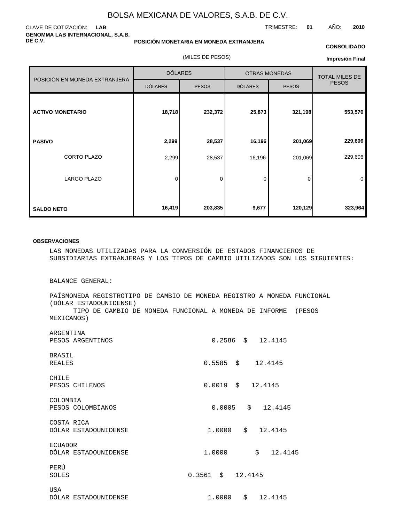#### CLAVE DE COTIZACIÓN: **LAB GENOMMA LAB INTERNACIONAL, S.A.B. DE C.V.**

#### **POSICIÓN MONETARIA EN MONEDA EXTRANJERA**

(MILES DE PESOS)

#### **CONSOLIDADO**

**Impresión Final**

|                               | <b>DÓLARES</b> |              |                | <b>OTRAS MONEDAS</b> | <b>TOTAL MILES DE</b> |
|-------------------------------|----------------|--------------|----------------|----------------------|-----------------------|
| POSICIÓN EN MONEDA EXTRANJERA | <b>DÓLARES</b> | <b>PESOS</b> | <b>DÓLARES</b> | <b>PESOS</b>         | <b>PESOS</b>          |
| <b>ACTIVO MONETARIO</b>       | 18,718         | 232,372      | 25,873         | 321,198              | 553,570               |
| <b>PASIVO</b>                 | 2,299          | 28,537       | 16,196         | 201,069              | 229,606               |
| CORTO PLAZO                   | 2,299          | 28,537       | 16,196         | 201,069              | 229,606               |
| <b>LARGO PLAZO</b>            | 0              | $\mathbf 0$  | 0              | 0                    | 0                     |
| <b>SALDO NETO</b>             | 16,419         | 203,835      | 9,677          | 120,129              | 323,964               |

#### **OBSERVACIONES**

LAS MONEDAS UTILIZADAS PARA LA CONVERSIÓN DE ESTADOS FINANCIEROS DE SUBSIDIARIAS EXTRANJERAS Y LOS TIPOS DE CAMBIO UTILIZADOS SON LOS SIGUIENTES:

BALANCE GENERAL:

PAÍS MONEDA REGISTRO TIPO DE CAMBIO DE MONEDA REGISTRO A MONEDA FUNCIONAL (DÓLAR ESTADOUNIDENSE) TIPO DE CAMBIO DE MONEDA FUNCIONAL A MONEDA DE INFORME (PESOS MEXICANOS)

| ARGENTINA            |        |                       |
|----------------------|--------|-----------------------|
| PESOS ARGENTINOS     |        | $0.2586$ \$ 12.4145   |
| BRASIL               |        |                       |
| <b>REALES</b>        |        | $0.5585$ \$ 12.4145   |
| CHILE                |        |                       |
| PESOS CHILENOS       |        | $0.0019$ \$ 12.4145   |
| COLOMBIA             |        |                       |
| PESOS COLOMBIANOS    |        | $0.0005$ \$ 12.4145   |
| COSTA RICA           |        |                       |
| DÓLAR ESTADOUNIDENSE | 1.0000 | $\ddot{s}$<br>12.4145 |
| <b>ECUADOR</b>       |        |                       |
| DÓLAR ESTADOUNIDENSE | 1,0000 | \$12.4145             |
| PERÚ                 |        |                       |
| SOLES                |        |                       |
| USA                  |        |                       |
| DÓLAR ESTADOUNIDENSE | 1.0000 | \$12.4145             |

# TRIMESTRE: **01** AÑO: **2010**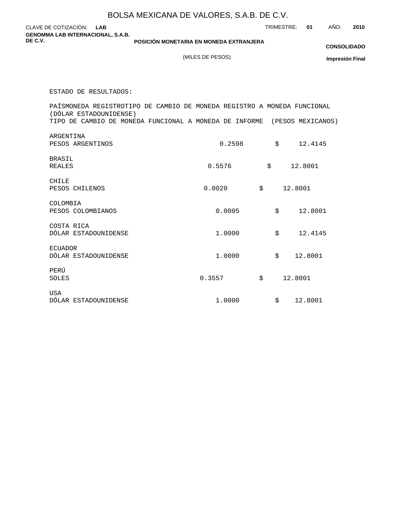|                                                                                                     | BOLSA MEXICANA DE VALORES, S.A.B. DE C.V. |            |         |            |                        |
|-----------------------------------------------------------------------------------------------------|-------------------------------------------|------------|---------|------------|------------------------|
| CLAVE DE COTIZACIÓN:<br><b>LAB</b><br><b>GENOMMA LAB INTERNACIONAL, S.A.B.</b>                      |                                           | TRIMESTRE: |         | AÑO:<br>01 | 2010                   |
| DE C.V.                                                                                             | POSICIÓN MONETARIA EN MONEDA EXTRANJERA   |            |         |            | <b>CONSOLIDADO</b>     |
|                                                                                                     | (MILES DE PESOS)                          |            |         |            | <b>Impresión Final</b> |
|                                                                                                     |                                           |            |         |            |                        |
| ESTADO DE RESULTADOS:                                                                               |                                           |            |         |            |                        |
| PAÍS MONEDA REGISTRO TIPO DE CAMBIO DE MONEDA REGISTRO A MONEDA FUNCIONAL<br>(DÓLAR ESTADOUNIDENSE) |                                           |            |         |            |                        |
| TIPO DE CAMBIO DE MONEDA FUNCIONAL A MONEDA DE INFORME (PESOS MEXICANOS)                            |                                           |            |         |            |                        |
| ARGENTINA                                                                                           |                                           |            |         |            |                        |
| PESOS ARGENTINOS                                                                                    | 0.2598                                    | \$         |         | 12.4145    |                        |
| <b>BRASIL</b><br><b>REALES</b>                                                                      | 0.5576                                    | \$         |         | 12.8001    |                        |
|                                                                                                     |                                           |            |         |            |                        |
| CHILE<br>PESOS CHILENOS                                                                             | 0.0020                                    | \$         | 12.8001 |            |                        |
| COLOMBIA                                                                                            |                                           |            |         |            |                        |
| PESOS COLOMBIANOS                                                                                   | 0.0005                                    | \$         |         | 12.8001    |                        |
| COSTA RICA                                                                                          |                                           |            |         |            |                        |
| DÓLAR ESTADOUNIDENSE                                                                                | 1.0000                                    | \$         |         | 12.4145    |                        |
| <b>ECUADOR</b>                                                                                      |                                           |            |         |            |                        |
| DÓLAR ESTADOUNIDENSE                                                                                | 1.0000                                    | \$         |         | 12.8001    |                        |
| PERÚ<br>SOLES                                                                                       | 0.3557                                    | \$         | 12.8001 |            |                        |
|                                                                                                     |                                           |            |         |            |                        |
| <b>USA</b><br>DÓLAR ESTADOUNIDENSE                                                                  | 1.0000                                    | \$         |         | 12.8001    |                        |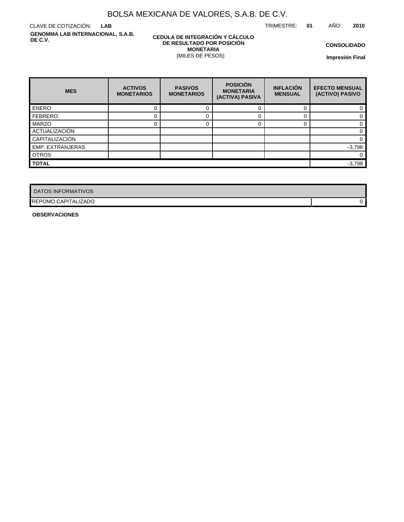TRIMESTRE: **01** AÑO: **2010**

CLAVE DE COTIZACIÓN: **LAB GENOMMA LAB INTERNACIONAL, S.A.B. DE C.V.**

#### **CEDULA DE INTEGRACIÓN Y CÁLCULO DE RESULTADO POR POSICIÓN MONETARIA** (MILES DE PESOS)

**CONSOLIDADO**

**Impresión Final**

| <b>MES</b>       | <b>ACTIVOS</b><br><b>MONETARIOS</b> | <b>PASIVOS</b><br><b>MONETARIOS</b> | <b>POSICIÓN</b><br><b>MONETARIA</b><br>(ACTIVA) PASIVA | <b>INFLACIÓN</b><br><b>MENSUAL</b> | <b>EFECTO MENSUAL</b><br>(ACTIVO) PASIVO |
|------------------|-------------------------------------|-------------------------------------|--------------------------------------------------------|------------------------------------|------------------------------------------|
| <b>ENERO</b>     |                                     |                                     |                                                        |                                    |                                          |
| <b>FEBRERO</b>   |                                     |                                     |                                                        |                                    |                                          |
| <b>MARZO</b>     |                                     |                                     |                                                        |                                    |                                          |
| ACTUALIZACIÓN    |                                     |                                     |                                                        |                                    |                                          |
| CAPITALIZACIÓN   |                                     |                                     |                                                        |                                    |                                          |
| EMP. EXTRANJERAS |                                     |                                     |                                                        |                                    | $-3,798$                                 |
| <b>OTROS</b>     |                                     |                                     |                                                        |                                    | 0                                        |
| <b>TOTAL</b>     |                                     |                                     |                                                        |                                    | $-3,798$                                 |

| <b>DATOS INFORMATIVOS</b>  |  |
|----------------------------|--|
| <b>REPOMO CAPITALIZADO</b> |  |

**OBSERVACIONES**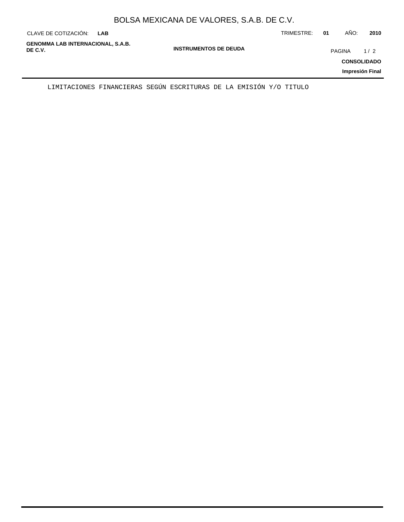|  | BOLSA MEXICANA DE VALORES, S.A.B. DE C.V. |  |
|--|-------------------------------------------|--|
|--|-------------------------------------------|--|

| CLAVE DE COTIZACIÓN:                                | <b>LAB</b> |                              | TRIMESTRE: | 01            | AÑO:                                  | 2010 |
|-----------------------------------------------------|------------|------------------------------|------------|---------------|---------------------------------------|------|
| <b>GENOMMA LAB INTERNACIONAL, S.A.B.</b><br>DE C.V. |            | <b>INSTRUMENTOS DE DEUDA</b> |            | <b>PAGINA</b> | <b>CONSOLIDADO</b><br>Impresión Final | 1/2  |
|                                                     |            |                              |            |               |                                       |      |

LIMITACIONES FINANCIERAS SEGÚN ESCRITURAS DE LA EMISIÓN Y/O TITULO

 $\overline{\phantom{0}}$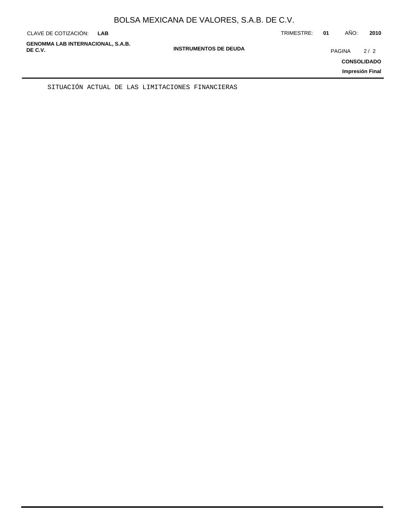| CLAVE DE COTIZACIÓN:                                | <b>LAB</b> |                              | TRIMESTRE: | 01            | AÑO: | 2010                      |
|-----------------------------------------------------|------------|------------------------------|------------|---------------|------|---------------------------|
| <b>GENOMMA LAB INTERNACIONAL, S.A.B.</b><br>DE C.V. |            | <b>INSTRUMENTOS DE DEUDA</b> |            | <b>PAGINA</b> |      | 2/2<br><b>CONSOLIDADO</b> |
|                                                     |            |                              |            |               |      | Impresión Final           |

SITUACIÓN ACTUAL DE LAS LIMITACIONES FINANCIERAS

÷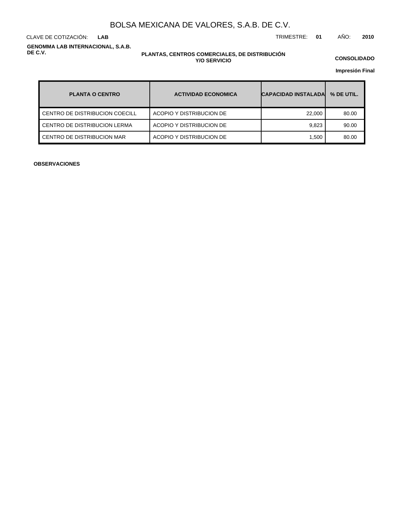**LAB**

CLAVE DE COTIZACIÓN: TRIMESTRE: **01** AÑO: **2010**

**GENOMMA LAB INTERNACIONAL, S.A.B. DE C.V.**

#### **PLANTAS, CENTROS COMERCIALES, DE DISTRIBUCIÓN Y/O SERVICIO**

**CONSOLIDADO**

**Impresión Final**

| <b>PLANTA O CENTRO</b>         | <b>ACTIVIDAD ECONOMICA</b> | <b>CAPACIDAD INSTALADAL</b> | % DE UTIL. |
|--------------------------------|----------------------------|-----------------------------|------------|
| CENTRO DE DISTRIBUCION COECILL | ACOPIO Y DISTRIBUCION DE   | 22,000                      | 80.00      |
| CENTRO DE DISTRIBUCION LERMA   | ACOPIO Y DISTRIBUCION DE   | 9.823                       | 90.00      |
| CENTRO DE DISTRIBUCION MAR     | ACOPIO Y DISTRIBUCION DE   | 1.500                       | 80.00      |

**OBSERVACIONES**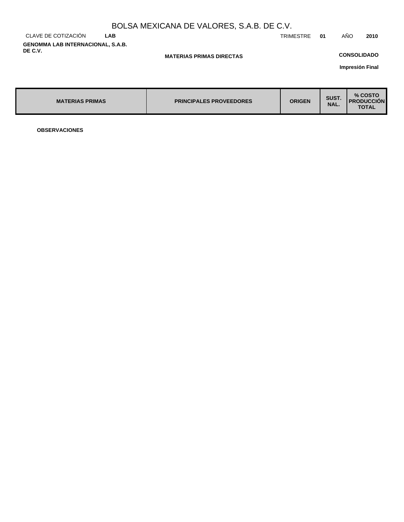|                                                     |            | BOLSA MEXICANA DE VALORES, S.A.B. DE C.V. |           |     |                    |      |
|-----------------------------------------------------|------------|-------------------------------------------|-----------|-----|--------------------|------|
| CLAVE DE COTIZACIÓN                                 | <b>LAB</b> |                                           | TRIMESTRE | -01 | AÑO                | 2010 |
| <b>GENOMMA LAB INTERNACIONAL, S.A.B.</b><br>DE C.V. |            | <b>MATERIAS PRIMAS DIRECTAS</b>           |           |     | <b>CONSOLIDADO</b> |      |

**Impresión Final**

| <b>MATERIAS PRIMAS</b> | <b>PRINCIPALES PROVEEDORES</b> | <b>ORIGEN</b> | SUST.<br>NAL. | % COSTO<br><b>I PRODUCCION</b><br><b>TOTAL</b> |
|------------------------|--------------------------------|---------------|---------------|------------------------------------------------|
|------------------------|--------------------------------|---------------|---------------|------------------------------------------------|

**OBSERVACIONES**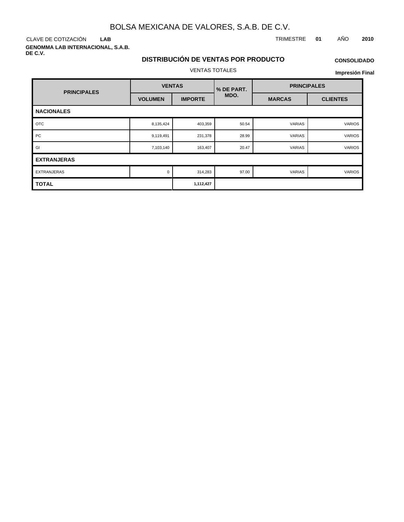**LAB**

**GENOMMA LAB INTERNACIONAL, S.A.B. DE C.V.**

#### CLAVE DE COTIZACIÓN TRIMESTRE **01** AÑO **2010**

### **DISTRIBUCIÓN DE VENTAS POR PRODUCTO** VENTAS TOTALES

## **CONSOLIDADO**

| <b>PRINCIPALES</b> | <b>VENTAS</b>  |                | % DE PART. | <b>PRINCIPALES</b> |                 |  |
|--------------------|----------------|----------------|------------|--------------------|-----------------|--|
|                    | <b>VOLUMEN</b> | <b>IMPORTE</b> | MDO.       | <b>MARCAS</b>      | <b>CLIENTES</b> |  |
| <b>NACIONALES</b>  |                |                |            |                    |                 |  |
| <b>OTC</b>         | 8,135,424      | 403,359        | 50.54      | VARIAS             | <b>VARIOS</b>   |  |
| PC                 | 9,119,491      | 231,378        | 28.99      | <b>VARIAS</b>      | <b>VARIOS</b>   |  |
| GI                 | 7,103,140      | 163,407        | 20.47      | VARIAS             | <b>VARIOS</b>   |  |
| <b>EXTRANJERAS</b> |                |                |            |                    |                 |  |
| <b>EXTRANJERAS</b> | $\Omega$       | 314,283        | 97.00      | <b>VARIAS</b>      | <b>VARIOS</b>   |  |
| <b>TOTAL</b>       |                | 1,112,427      |            |                    |                 |  |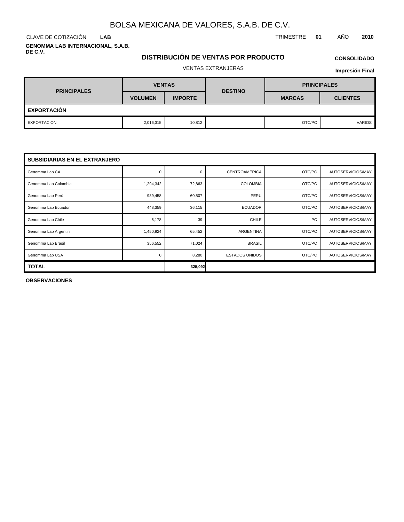**LAB**

**GENOMMA LAB INTERNACIONAL, S.A.B. DE C.V.**

### **DISTRIBUCIÓN DE VENTAS POR PRODUCTO**

# **CONSOLIDADO**

VENTAS EXTRANJERAS

**Impresión Final**

| <b>PRINCIPALES</b> | <b>VENTAS</b>  |                | <b>DESTINO</b> | <b>PRINCIPALES</b> |                 |  |
|--------------------|----------------|----------------|----------------|--------------------|-----------------|--|
|                    | <b>VOLUMEN</b> | <b>IMPORTE</b> |                | <b>MARCAS</b>      | <b>CLIENTES</b> |  |
| <b>EXPORTACIÓN</b> |                |                |                |                    |                 |  |
| EXPORTACION        | 2,016,315      | 10,812         |                | OTC/PC             | <b>VARIOS</b>   |  |

| <b>SUBSIDIARIAS EN EL EXTRANJERO</b> |           |          |                       |        |                   |  |  |  |  |
|--------------------------------------|-----------|----------|-----------------------|--------|-------------------|--|--|--|--|
| Genomma Lab CA                       | 0         | $\Omega$ | <b>CENTROAMERICA</b>  | OTC/PC | AUTOSERVICIOS/MAY |  |  |  |  |
| Genomma Lab Colombia                 | 1,294,342 | 72,863   | <b>COLOMBIA</b>       | OTC/PC | AUTOSERVICIOS/MAY |  |  |  |  |
| Genomma Lab Perú                     | 989,458   | 60,507   | PERU                  | OTC/PC | AUTOSERVICIOS/MAY |  |  |  |  |
| Genomma Lab Ecuador                  | 448,359   | 36,115   | <b>ECUADOR</b>        | OTC/PC | AUTOSERVICIOS/MAY |  |  |  |  |
| Genomma Lab Chile                    | 5,178     | 39       | <b>CHILE</b>          | PC     | AUTOSERVICIOS/MAY |  |  |  |  |
| Genomma Lab Argentin                 | 1,450,924 | 65,452   | <b>ARGENTINA</b>      | OTC/PC | AUTOSERVICIOS/MAY |  |  |  |  |
| Genomma Lab Brasil                   | 356,552   | 71,024   | <b>BRASIL</b>         | OTC/PC | AUTOSERVICIOS/MAY |  |  |  |  |
| Genomma Lab USA                      | 0         | 8,280    | <b>ESTADOS UNIDOS</b> | OTC/PC | AUTOSERVICIOS/MAY |  |  |  |  |
| <b>TOTAL</b>                         |           | 325,092  |                       |        |                   |  |  |  |  |

**OBSERVACIONES**

CLAVE DE COTIZACIÓN TRIMESTRE **01** AÑO **2010**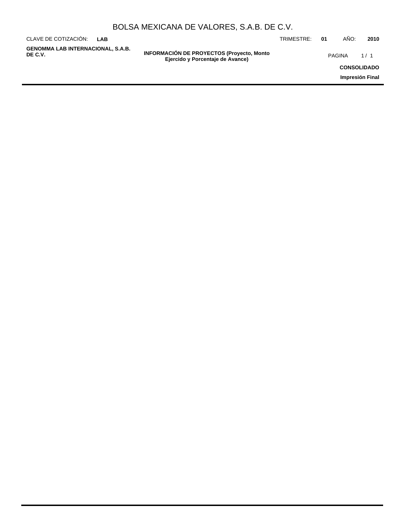|  | BOLSA MEXICANA DE VALORES, S.A.B. DE C.V. |
|--|-------------------------------------------|
|--|-------------------------------------------|

| CLAVE DE COTIZACIÓN:<br>LAB                  |                                                                                      | TRIMESTRE: | 01 | AÑO:          | 2010               |
|----------------------------------------------|--------------------------------------------------------------------------------------|------------|----|---------------|--------------------|
| GENOMMA LAB INTERNACIONAL, S.A.B.<br>DE C.V. | <b>INFORMACIÓN DE PROYECTOS (Proyecto, Monto</b><br>Ejercido y Porcentaje de Avance) |            |    | <b>PAGINA</b> | 1/1                |
|                                              |                                                                                      |            |    |               | <b>CONSOLIDADO</b> |
|                                              |                                                                                      |            |    |               | Impresión Final    |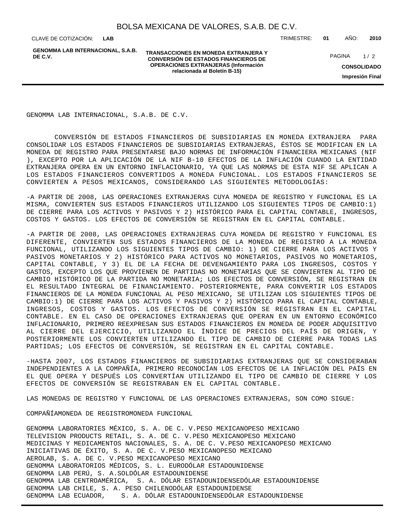**LAB**

**GENOMMA LAB INTERNACIONAL, S.A.B. DE C.V.**

**TRANSACCIONES EN MONEDA EXTRANJERA Y CONVERSIÓN DE ESTADOS FINANCIEROS DE OPERACIONES EXTRANJERAS (Información relacionada al Boletín B-15)**

CLAVE DE COTIZACIÓN: TRIMESTRE: **01** AÑO: **2010**

**CONSOLIDADO** PAGINA 1/2

**Impresión Final**

GENOMMA LAB INTERNACIONAL, S.A.B. DE C.V.

 CONVERSIÓN DE ESTADOS FINANCIEROS DE SUBSIDIARIAS EN MONEDA EXTRANJERA PARA CONSOLIDAR LOS ESTADOS FINANCIEROS DE SUBSIDIARIAS EXTRANJERAS, ÉSTOS SE MODIFICAN EN LA MONEDA DE REGISTRO PARA PRESENTARSE BAJO NORMAS DE INFORMACIÓN FINANCIERA MEXICANAS (NIF ), EXCEPTO POR LA APLICACIÓN DE LA NIF B-10 EFECTOS DE LA INFLACIÓN CUANDO LA ENTIDAD EXTRANJERA OPERA EN UN ENTORNO INFLACIONARIO, YA QUE LAS NORMAS DE ESTA NIF SE APLICAN A LOS ESTADOS FINANCIEROS CONVERTIDOS A MONEDA FUNCIONAL. LOS ESTADOS FINANCIEROS SE CONVIERTEN A PESOS MEXICANOS, CONSIDERANDO LAS SIGUIENTES METODOLOGÍAS:

- A PARTIR DE 2008, LAS OPERACIONES EXTRANJERAS CUYA MONEDA DE REGISTRO Y FUNCIONAL ES LA MISMA, CONVIERTEN SUS ESTADOS FINANCIEROS UTILIZANDO LOS SIGUIENTES TIPOS DE CAMBIO:1) DE CIERRE PARA LOS ACTIVOS Y PASIVOS Y 2) HISTÓRICO PARA EL CAPITAL CONTABLE, INGRESOS, COSTOS Y GASTOS. LOS EFECTOS DE CONVERSIÓN SE REGISTRAN EN EL CAPITAL CONTABLE.

- A PARTIR DE 2008, LAS OPERACIONES EXTRANJERAS CUYA MONEDA DE REGISTRO Y FUNCIONAL ES DIFERENTE, CONVIERTEN SUS ESTADOS FINANCIEROS DE LA MONEDA DE REGISTRO A LA MONEDA FUNCIONAL, UTILIZANDO LOS SIGUIENTES TIPOS DE CAMBIO: 1) DE CIERRE PARA LOS ACTIVOS Y PASIVOS MONETARIOS Y 2) HISTÓRICO PARA ACTIVOS NO MONETARIOS, PASIVOS NO MONETARIOS, CAPITAL CONTABLE, Y 3) EL DE LA FECHA DE DEVENGAMIENTO PARA LOS INGRESOS, COSTOS Y GASTOS, EXCEPTO LOS QUE PROVIENEN DE PARTIDAS NO MONETARIAS QUE SE CONVIERTEN AL TIPO DE CAMBIO HISTÓRICO DE LA PARTIDA NO MONETARIA; LOS EFECTOS DE CONVERSIÓN, SE REGISTRAN EN EL RESULTADO INTEGRAL DE FINANCIAMIENTO. POSTERIORMENTE, PARA CONVERTIR LOS ESTADOS FINANCIEROS DE LA MONEDA FUNCIONAL AL PESO MEXICANO, SE UTILIZAN LOS SIGUIENTES TIPOS DE CAMBIO:1) DE CIERRE PARA LOS ACTIVOS Y PASIVOS Y 2) HISTÓRICO PARA EL CAPITAL CONTABLE, INGRESOS, COSTOS Y GASTOS. LOS EFECTOS DE CONVERSIÓN SE REGISTRAN EN EL CAPITAL CONTABLE. EN EL CASO DE OPERACIONES EXTRANJERAS QUE OPERAN EN UN ENTORNO ECONÓMICO INFLACIONARIO, PRIMERO REEXPRESAN SUS ESTADOS FINANCIEROS EN MONEDA DE PODER ADQUISITIVO AL CIERRE DEL EJERCICIO, UTILIZANDO EL ÍNDICE DE PRECIOS DEL PAÍS DE ORIGEN, Y POSTERIORMENTE LOS CONVIERTEN UTILIZANDO EL TIPO DE CAMBIO DE CIERRE PARA TODAS LAS PARTIDAS; LOS EFECTOS DE CONVERSIÓN, SE REGISTRAN EN EL CAPITAL CONTABLE.

- HASTA 2007, LOS ESTADOS FINANCIEROS DE SUBSIDIARIAS EXTRANJERAS QUE SE CONSIDERABAN INDEPENDIENTES A LA COMPAÑÍA, PRIMERO RECONOCÍAN LOS EFECTOS DE LA INFLACIÓN DEL PAÍS EN EL QUE OPERA Y DESPUÉS LOS CONVERTÍAN UTILIZANDO EL TIPO DE CAMBIO DE CIERRE Y LOS EFECTOS DE CONVERSIÓN SE REGISTRABAN EN EL CAPITAL CONTABLE.

LAS MONEDAS DE REGISTRO Y FUNCIONAL DE LAS OPERACIONES EXTRANJERAS, SON COMO SIGUE:

COMPAÑÍA MONEDA DE REGISTRO MONEDA FUNCIONAL

GENOMMA LABORATORIES MÉXICO, S. A. DE C. V. PESO MEXICANO PESO MEXICANO TELEVISION PRODUCTS RETAIL, S. A. DE C. V. PESO MEXICANO PESO MEXICANO MEDICINAS Y MEDICAMENTOS NACIONALES, S. A. DE C. V. PESO MEXICANO PESO MEXICANO INICIATIVAS DE ÉXITO, S. A. DE C. V. PESO MEXICANO PESO MEXICANO AEROLAB, S. A. DE C. V. PESO MEXICANO PESO MEXICANO GENOMMA LABORATORIOS MÉDICOS, S. L. EURO DÓLAR ESTADOUNIDENSE GENOMMA LAB PERÚ, S. A. SOL DÓLAR ESTADOUNIDENSE GENOMMA LAB CENTROAMÉRICA, S. A. DÓLAR ESTADOUNIDENSE DÓLAR ESTADOUNIDENSE GENOMMA LAB CHILE, S. A. PESO CHILENO DÓLAR ESTADOUNIDENSE GENOMMA LAB ECUADOR, S. A. DÓLAR ESTADOUNIDENSE DÓLAR ESTADOUNIDENSE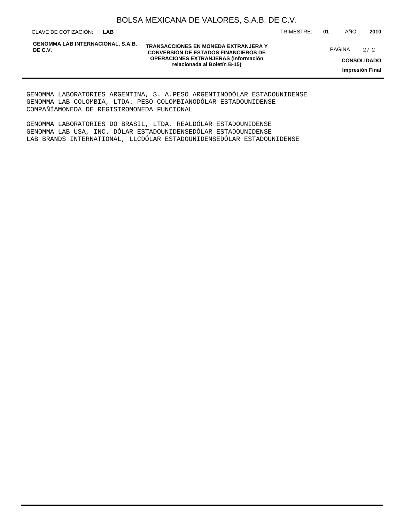CLAVE DE COTIZACIÓN: TRIMESTRE: **01** AÑO: **2010 LAB**

**GENOMMA LAB INTERNACIONAL, S.A.B. DE C.V.**

**TRANSACCIONES EN MONEDA EXTRANJERA Y CONVERSIÓN DE ESTADOS FINANCIEROS DE OPERACIONES EXTRANJERAS (Información relacionada al Boletín B-15)**

PAGINA 2/2

**CONSOLIDADO Impresión Final**

GENOMMA LABORATORIES ARGENTINA, S. A. PESO ARGENTINO DÓLAR ESTADOUNIDENSE GENOMMA LAB COLOMBIA, LTDA. PESO COLOMBIANO DÓLAR ESTADOUNIDENSE COMPAÑÍA MONEDA DE REGISTRO MONEDA FUNCIONAL

GENOMMA LABORATORIES DO BRASIL, LTDA. REAL DÓLAR ESTADOUNIDENSE GENOMMA LAB USA, INC. DÓLAR ESTADOUNIDENSE DÓLAR ESTADOUNIDENSE LAB BRANDS INTERNATIONAL, LLC DÓLAR ESTADOUNIDENSE DÓLAR ESTADOUNIDENSE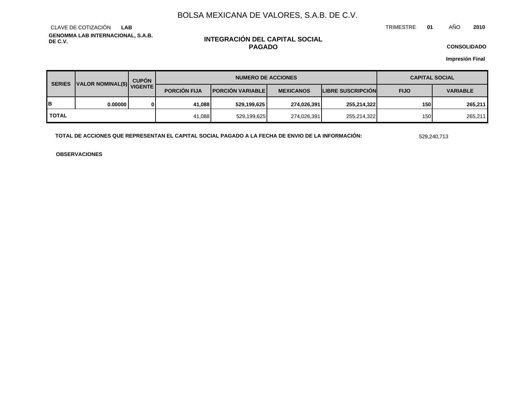TRIMESTRE **01** AÑO **2010**

**GENOMMA LAB INTERNACIONAL, S.A.B. DE C.V.** CLAVE DE COTIZACIÓN **LAB**

### **INTEGRACIÓN DEL CAPITAL SOCIAL PAGADO**

**CONSOLIDADO**

**Impresión Final**

| <b>CUPÓN</b><br>VALOR NOMINAL(\$) VIGENTE<br><b>SERIES</b> |          | <b>NUMERO DE ACCIONES</b> |                          |                  |                          | <b>CAPITAL SOCIAL</b>          |         |  |
|------------------------------------------------------------|----------|---------------------------|--------------------------|------------------|--------------------------|--------------------------------|---------|--|
|                                                            |          | <b>PORCIÓN FIJA</b>       | <b>PORCIÓN VARIABLEI</b> | <b>MEXICANOS</b> | <b>LIBRE SUSCRIPCION</b> | <b>FIJO</b><br><b>VARIABLE</b> |         |  |
| в                                                          | 0.000001 | 41.088                    | 529,199,625              | 274,026,391      | 255,214,322              | 150                            | 265.211 |  |
| <b>TOTAL</b>                                               |          | 41,088                    | 529,199,625              | 274,026,391      | 255,214,322              | 150                            | 265,211 |  |

**TOTAL DE ACCIONES QUE REPRESENTAN EL CAPITAL SOCIAL PAGADO A LA FECHA DE ENVIO DE LA INFORMACIÓN:** 529,240,713

**OBSERVACIONES**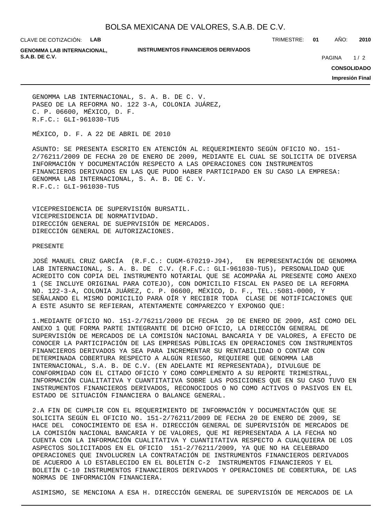CLAVE DE COTIZACIÓN: **LAB**

**INSTRUMENTOS FINANCIEROS DERIVADOS**

TRIMESTRE: **01** AÑO: **2010**

**GENOMMA LAB INTERNACIONAL, S.A.B. DE C.V. PAGINA 2020 20:20 20:20 20:20 20:20 20:20 20:20 20:20 20:20 20:20 20:20 20:20 20:20 20:20 20:20 20:20 20:20 20:20 20:20 20:20 20:20 20:20 20:20 20:20 20:20 20:20 20:20 20:20 20:20 20:20 20:20 20:20 20:20** 

 $1/2$ 

**CONSOLIDADO**

**Impresión Final**

GENOMMA LAB INTERNACIONAL, S. A. B. DE C. V. PASEO DE LA REFORMA NO. 122 3-A, COLONIA JUÁREZ, C. P. 06600, MÉXICO, D. F. R.F.C.: GLI-961030-TU5

MÉXICO, D. F. A 22 DE ABRIL DE 2010

ASUNTO: SE PRESENTA ESCRITO EN ATENCIÓN AL REQUERIMIENTO SEGÚN OFICIO NO. 151- 2/76211/2009 DE FECHA 20 DE ENERO DE 2009, MEDIANTE EL CUAL SE SOLICITA DE DIVERSA INFORMACIÓN Y DOCUMENTACIÓN RESPECTO A LAS OPERACIONES CON INSTRUMENTOS FINANCIEROS DERIVADOS EN LAS QUE PUDO HABER PARTICIPADO EN SU CASO LA EMPRESA: GENOMMA LAB INTERNACIONAL, S. A. B. DE C. V. R.F.C.: GLI-961030-TU5

VICEPRESIDENCIA DE SUPERVISIÓN BURSATIL. VICEPRESIDENCIA DE NORMATIVIDAD. DIRECCIÓN GENERAL DE SUEPRVISIÓN DE MERCADOS. DIRECCIÓN GENERAL DE AUTORIZACIONES.

#### PRESENTE

JOSÉ MANUEL CRUZ GARCÍA (R.F.C.: CUGM-670219-J94), EN REPRESENTACIÓN DE GENOMMA LAB INTERNACIONAL, S. A. B. DE C.V. (R.F.C.: GLI-961030-TU5), PERSONALIDAD QUE ACREDITO CON COPIA DEL INSTRUMENTO NOTARIAL QUE SE ACOMPAÑA AL PRESENTE COMO ANEXO 1 (SE INCLUYE ORIGINAL PARA COTEJO), CON DOMICILIO FISCAL EN PASEO DE LA REFORMA NO. 122-3-A, COLONIA JUÁREZ, C. P. 06600, MÉXICO, D. F., TEL.:5081-0000, Y SEÑALANDO EL MISMO DOMICILIO PARA OÍR Y RECIBIR TODA CLASE DE NOTIFICACIONES QUE A ESTE ASUNTO SE REFIERAN, ATENTAMENTE COMPAREZCO Y EXPONGO QUE:

1. MEDIANTE OFICIO NO. 151-2/76211/2009 DE FECHA 20 DE ENERO DE 2009, ASÍ COMO DEL ANEXO 1 QUE FORMA PARTE INTEGRANTE DE DICHO OFICIO, LA DIRECCIÓN GENERAL DE SUPERVISIÓN DE MERCADOS DE LA COMISIÓN NACIONAL BANCARIA Y DE VALORES, A EFECTO DE CONOCER LA PARTICIPACIÓN DE LAS EMPRESAS PÚBLICAS EN OPERACIONES CON INSTRUMENTOS FINANCIEROS DERIVADOS YA SEA PARA INCREMENTAR SU RENTABILIDAD O CONTAR CON DETERMINADA COBERTURA RESPECTO A ALGÚN RIESGO, REQUIERE QUE GENOMMA LAB INTERNACIONAL, S.A. B. DE C.V. (EN ADELANTE MI REPRESENTADA), DIVULGUE DE CONFORMIDAD CON EL CITADO OFICIO Y COMO COMPLEMENTO A SU REPORTE TRIMESTRAL, INFORMACIÓN CUALITATIVA Y CUANTITATIVA SOBRE LAS POSICIONES QUE EN SU CASO TUVO EN INSTRUMENTOS FINANCIEROS DERIVADOS, RECONOCIDOS O NO COMO ACTIVOS O PASIVOS EN EL ESTADO DE SITUACIÓN FINANCIERA O BALANCE GENERAL.

2. A FIN DE CUMPLIR CON EL REQUERIMIENTO DE INFORMACIÓN Y DOCUMENTACIÓN QUE SE SOLICITA SEGÚN EL OFICIO NO. 151-2/76211/2009 DE FECHA 20 DE ENERO DE 2009, SE HACE DEL CONOCIMIENTO DE ESA H. DIRECCIÓN GENERAL DE SUPERVISIÓN DE MERCADOS DE LA COMISIÓN NACIONAL BANCARIA Y DE VALORES, QUE MI REPRESENTADA A LA FECHA NO CUENTA CON LA INFORMACIÓN CUALITATIVA Y CUANTITATIVA RESPECTO A CUALQUIERA DE LOS ASPECTOS SOLICITADOS EN EL OFICIO 151-2/76211/2009, YA QUE NO HA CELEBRADO OPERACIONES QUE INVOLUCREN LA CONTRATACIÓN DE INSTRUMENTOS FINANCIEROS DERIVADOS DE ACUERDO A LO ESTABLECIDO EN EL BOLETÍN C-2 INSTRUMENTOS FINANCIEROS Y EL BOLETÍN C-10 INSTRUMENTOS FINANCIEROS DERIVADOS Y OPERACIONES DE COBERTURA, DE LAS NORMAS DE INFORMACIÓN FINANCIERA.

ASIMISMO, SE MENCIONA A ESA H. DIRECCIÓN GENERAL DE SUPERVISIÓN DE MERCADOS DE LA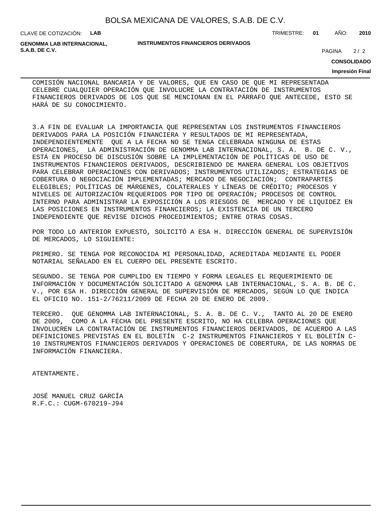CLAVE DE COTIZACIÓN: **LAB**

**GENOMMA LAB INTERNACIONAL, S.A.B. DE C.V.** 2/2

#### **INSTRUMENTOS FINANCIEROS DERIVADOS**

TRIMESTRE: **01** AÑO: **2010**

 $2/2$ 

**CONSOLIDADO**

#### **Impresión Final**

COMISIÓN NACIONAL BANCARIA Y DE VALORES, QUE EN CASO DE QUE MI REPRESENTADA CELEBRE CUALQUIER OPERACIÓN QUE INVOLUCRE LA CONTRATACIÓN DE INSTRUMENTOS FINANCIEROS DERIVADOS DE LOS QUE SE MENCIONAN EN EL PÁRRAFO QUE ANTECEDE, ESTO SE HARÁ DE SU CONOCIMIENTO.

3. A FIN DE EVALUAR LA IMPORTANCIA QUE REPRESENTAN LOS INSTRUMENTOS FINANCIEROS DERIVADOS PARA LA POSICIÓN FINANCIERA Y RESULTADOS DE MI REPRESENTADA, INDEPENDIENTEMENTE QUE A LA FECHA NO SE TENGA CELEBRADA NINGUNA DE ESTAS OPERACIONES, LA ADMINISTRACIÓN DE GENOMMA LAB INTERNACIONAL, S. A. B. DE C. V., ESTÁ EN PROCESO DE DISCUSIÓN SOBRE LA IMPLEMENTACIÓN DE POLÍTICAS DE USO DE INSTRUMENTOS FINANCIEROS DERIVADOS, DESCRIBIENDO DE MANERA GENERAL LOS OBJETIVOS PARA CELEBRAR OPERACIONES CON DERIVADOS; INSTRUMENTOS UTILIZADOS; ESTRATEGIAS DE COBERTURA O NEGOCIACIÓN IMPLEMENTADAS; MERCADO DE NEGOCIACIÓN; CONTRAPARTES ELEGIBLES; POLÍTICAS DE MÁRGENES, COLATERALES Y LÍNEAS DE CRÉDITO; PROCESOS Y NIVELES DE AUTORIZACIÓN REQUERIDOS POR TIPO DE OPERACIÓN; PROCESOS DE CONTROL INTERNO PARA ADMINISTRAR LA EXPOSICIÓN A LOS RIESGOS DE MERCADO Y DE LIQUIDEZ EN LAS POSICIONES EN INSTRUMENTOS FINANCIEROS; LA EXISTENCIA DE UN TERCERO INDEPENDIENTE QUE REVISE DICHOS PROCEDIMIENTOS; ENTRE OTRAS COSAS.

POR TODO LO ANTERIOR EXPUESTO, SOLICITÓ A ESA H. DIRECCIÓN GENERAL DE SUPERVISIÓN DE MERCADOS, LO SIGUIENTE:

PRIMERO. SE TENGA POR RECONOCIDA MI PERSONALIDAD, ACREDITADA MEDIANTE EL PODER NOTARIAL SEÑALADO EN EL CUERPO DEL PRESENTE ESCRITO.

SEGUNDO. SE TENGA POR CUMPLIDO EN TIEMPO Y FORMA LEGALES EL REQUERIMIENTO DE INFORMACIÓN Y DOCUMENTACIÓN SOLICITADO A GENOMMA LAB INTERNACIONAL, S. A. B. DE C. V., POR ESA H. DIRECCIÓN GENERAL DE SUPERVISIÓN DE MERCADOS, SEGÚN LO QUE INDICA EL OFICIO NO. 151-2/76211/2009 DE FECHA 20 DE ENERO DE 2009.

TERCERO. QUE GENOMMA LAB INTERNACIONAL, S. A. B. DE C. V., TANTO AL 20 DE ENERO DE 2009, COMO A LA FECHA DEL PRESENTE ESCRITO, NO HA CELEBRA OPERACIONES QUE INVOLUCREN LA CONTRATACIÓN DE INSTRUMENTOS FINANCIEROS DERIVADOS, DE ACUERDO A LAS DEFINICIONES PREVISTAS EN EL BOLETÍN C-2 INSTRUMENTOS FINANCIEROS Y EL BOLETÍN C-10 INSTRUMENTOS FINANCIEROS DERIVADOS Y OPERACIONES DE COBERTURA, DE LAS NORMAS DE INFORMACIÓN FINANCIERA.

ATENTAMENTE.

JOSÉ MANUEL CRUZ GARCÍA R.F.C.: CUGM-670219-J94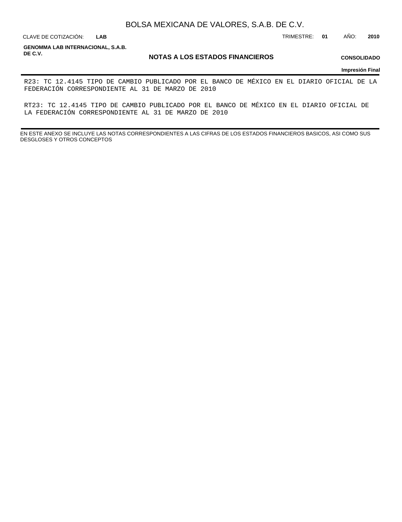**LAB**

CLAVE DE COTIZACIÓN: TRIMESTRE: **01** AÑO: **2010**

**GENOMMA LAB INTERNACIONAL, S.A.B. DE C.V.**

#### **NOTAS A LOS ESTADOS FINANCIEROS**

**CONSOLIDADO**

**Impresión Final**

R23: TC 12.4145 TIPO DE CAMBIO PUBLICADO POR EL BANCO DE MÉXICO EN EL DIARIO OFICIAL DE LA FEDERACIÓN CORRESPONDIENTE AL 31 DE MARZO DE 2010

RT23: TC 12.4145 TIPO DE CAMBIO PUBLICADO POR EL BANCO DE MÉXICO EN EL DIARIO OFICIAL DE LA FEDERACIÓN CORRESPONDIENTE AL 31 DE MARZO DE 2010

EN ESTE ANEXO SE INCLUYE LAS NOTAS CORRESPONDIENTES A LAS CIFRAS DE LOS ESTADOS FINANCIEROS BASICOS, ASI COMO SUS DESGLOSES Y OTROS CONCEPTOS